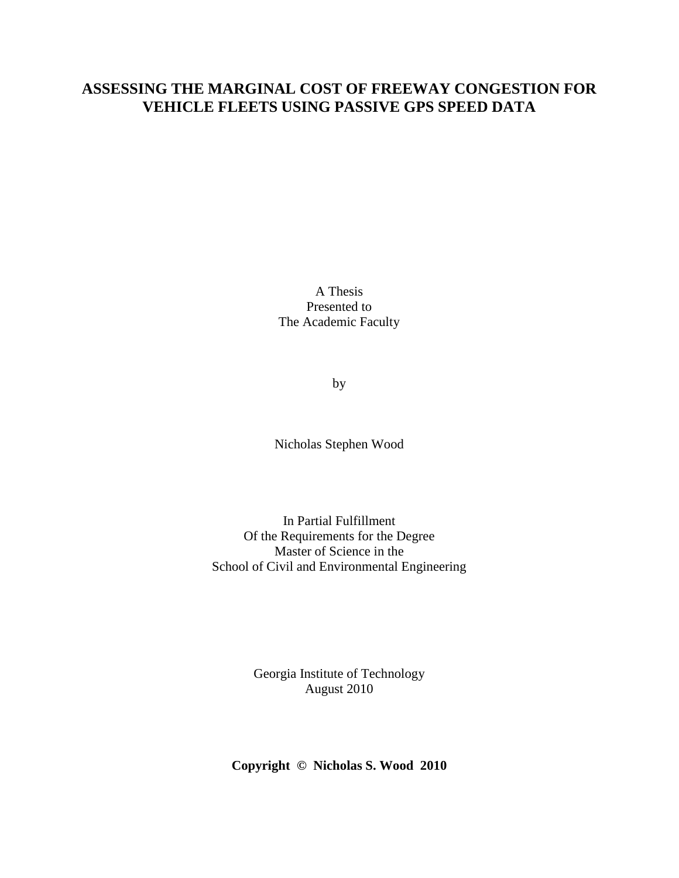## **ASSESSING THE MARGINAL COST OF FREEWAY CONGESTION FOR VEHICLE FLEETS USING PASSIVE GPS SPEED DATA**

A Thesis Presented to The Academic Faculty

by

Nicholas Stephen Wood

In Partial Fulfillment Of the Requirements for the Degree Master of Science in the School of Civil and Environmental Engineering

> Georgia Institute of Technology August 2010

**Copyright © Nicholas S. Wood 2010**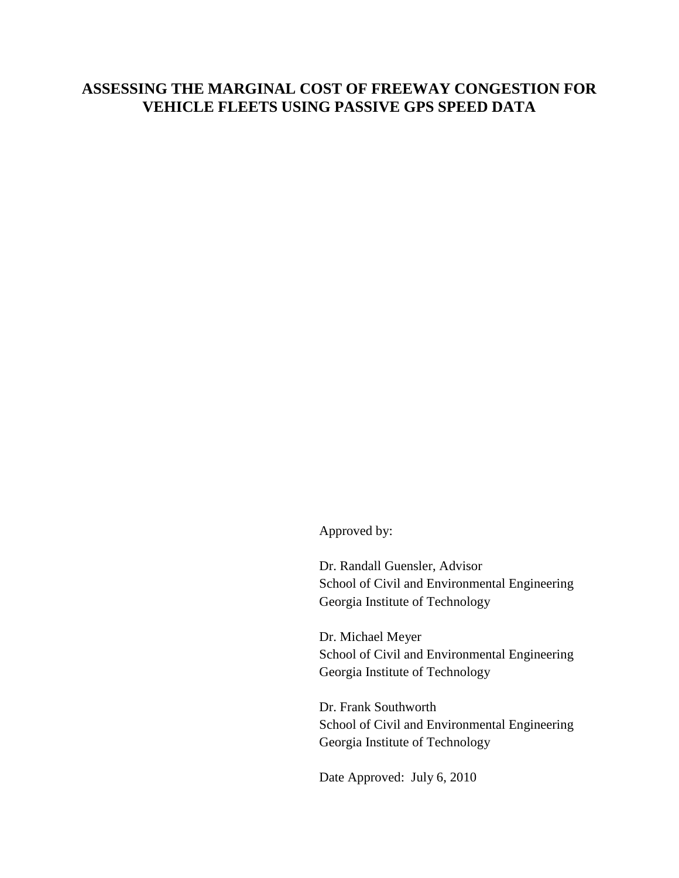## **ASSESSING THE MARGINAL COST OF FREEWAY CONGESTION FOR VEHICLE FLEETS USING PASSIVE GPS SPEED DATA**

Approved by:

Dr. Randall Guensler, Advisor School of Civil and Environmental Engineering Georgia Institute of Technology

Dr. Michael Meyer School of Civil and Environmental Engineering Georgia Institute of Technology

Dr. Frank Southworth School of Civil and Environmental Engineering Georgia Institute of Technology

Date Approved: July 6, 2010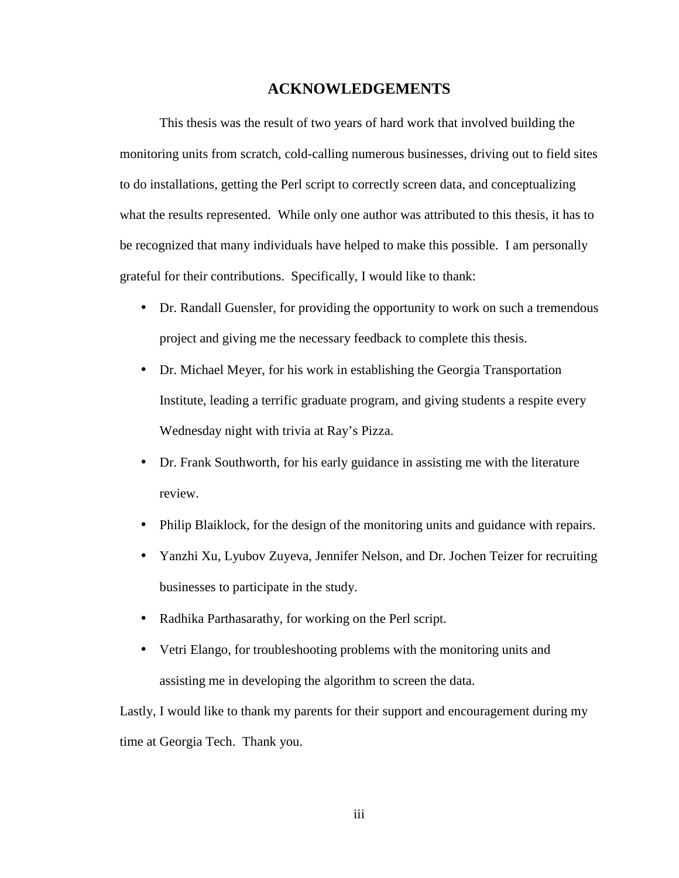### **ACKNOWLEDGEMENTS**

 This thesis was the result of two years of hard work that involved building the monitoring units from scratch, cold-calling numerous businesses, driving out to field sites to do installations, getting the Perl script to correctly screen data, and conceptualizing what the results represented. While only one author was attributed to this thesis, it has to be recognized that many individuals have helped to make this possible. I am personally grateful for their contributions. Specifically, I would like to thank:

- Dr. Randall Guensler, for providing the opportunity to work on such a tremendous project and giving me the necessary feedback to complete this thesis.
- Dr. Michael Meyer, for his work in establishing the Georgia Transportation Institute, leading a terrific graduate program, and giving students a respite every Wednesday night with trivia at Ray's Pizza.
- Dr. Frank Southworth, for his early guidance in assisting me with the literature review.
- Philip Blaiklock, for the design of the monitoring units and guidance with repairs.
- Yanzhi Xu, Lyubov Zuyeva, Jennifer Nelson, and Dr. Jochen Teizer for recruiting businesses to participate in the study.
- Radhika Parthasarathy, for working on the Perl script.
- Vetri Elango, for troubleshooting problems with the monitoring units and assisting me in developing the algorithm to screen the data.

Lastly, I would like to thank my parents for their support and encouragement during my time at Georgia Tech. Thank you.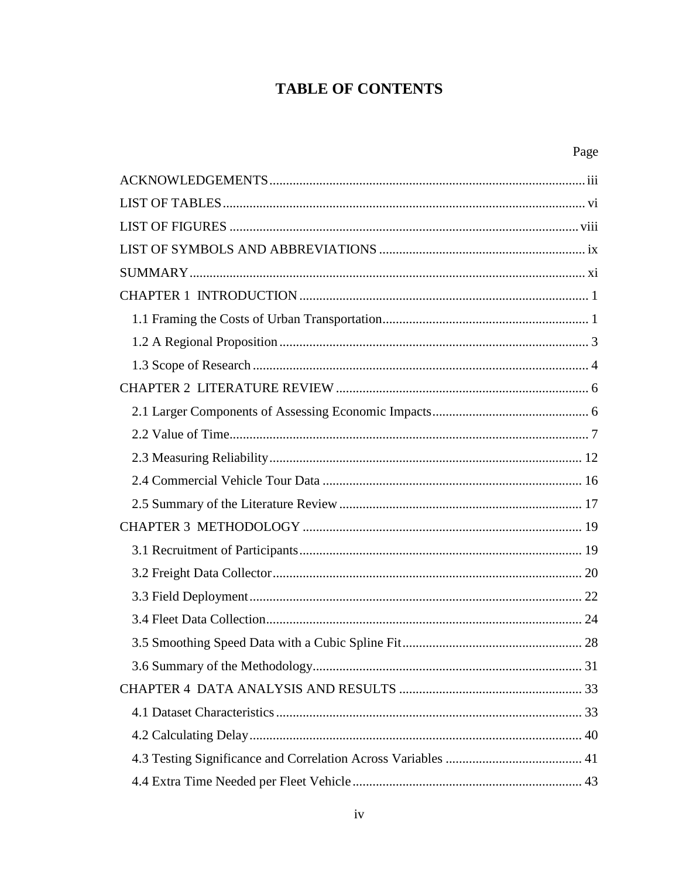# **TABLE OF CONTENTS**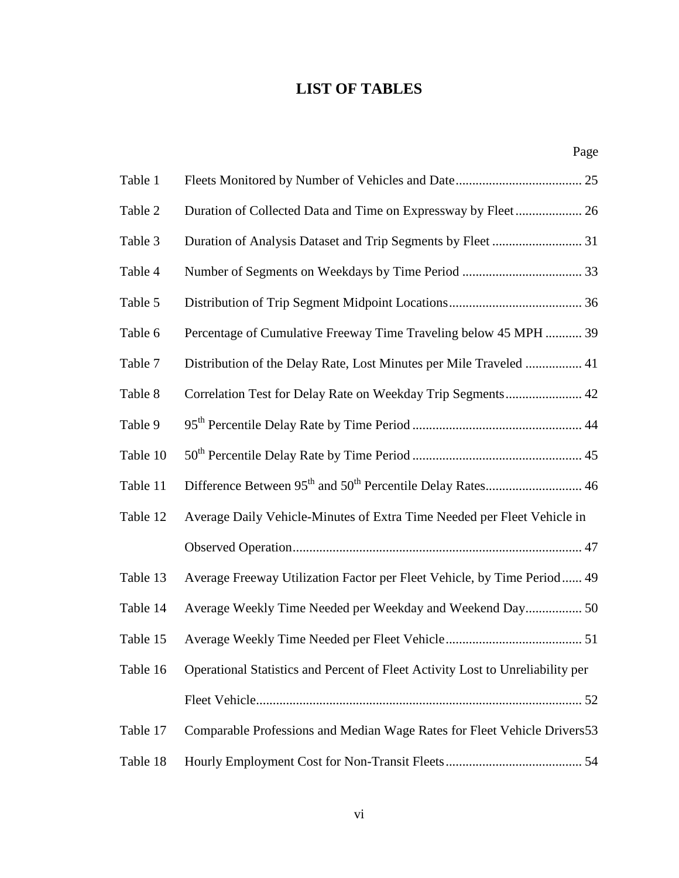## **LIST OF TABLES**

|          | Page                                                                           |
|----------|--------------------------------------------------------------------------------|
| Table 1  |                                                                                |
| Table 2  |                                                                                |
| Table 3  | Duration of Analysis Dataset and Trip Segments by Fleet  31                    |
| Table 4  |                                                                                |
| Table 5  |                                                                                |
| Table 6  | Percentage of Cumulative Freeway Time Traveling below 45 MPH  39               |
| Table 7  | Distribution of the Delay Rate, Lost Minutes per Mile Traveled  41             |
| Table 8  | Correlation Test for Delay Rate on Weekday Trip Segments 42                    |
| Table 9  |                                                                                |
| Table 10 |                                                                                |
| Table 11 |                                                                                |
| Table 12 | Average Daily Vehicle-Minutes of Extra Time Needed per Fleet Vehicle in        |
|          |                                                                                |
| Table 13 | Average Freeway Utilization Factor per Fleet Vehicle, by Time Period 49        |
| Table 14 | Average Weekly Time Needed per Weekday and Weekend Day 50                      |
|          |                                                                                |
| Table 16 | Operational Statistics and Percent of Fleet Activity Lost to Unreliability per |
|          |                                                                                |
| Table 17 | Comparable Professions and Median Wage Rates for Fleet Vehicle Drivers53       |
| Table 18 |                                                                                |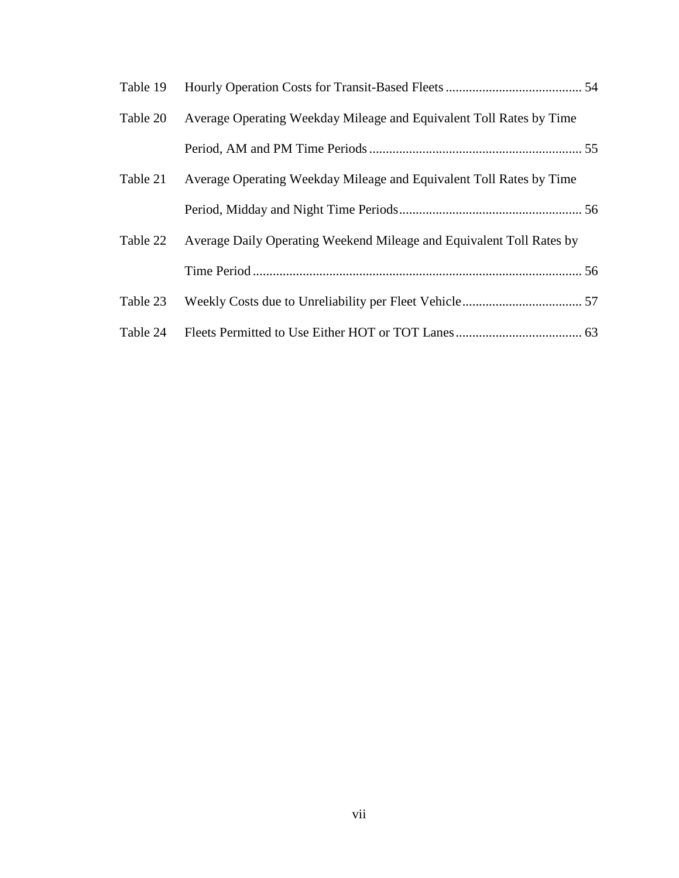| Table 19 |                                                                      |  |
|----------|----------------------------------------------------------------------|--|
| Table 20 | Average Operating Weekday Mileage and Equivalent Toll Rates by Time  |  |
|          |                                                                      |  |
| Table 21 | Average Operating Weekday Mileage and Equivalent Toll Rates by Time  |  |
|          |                                                                      |  |
| Table 22 | Average Daily Operating Weekend Mileage and Equivalent Toll Rates by |  |
|          |                                                                      |  |
| Table 23 |                                                                      |  |
| Table 24 |                                                                      |  |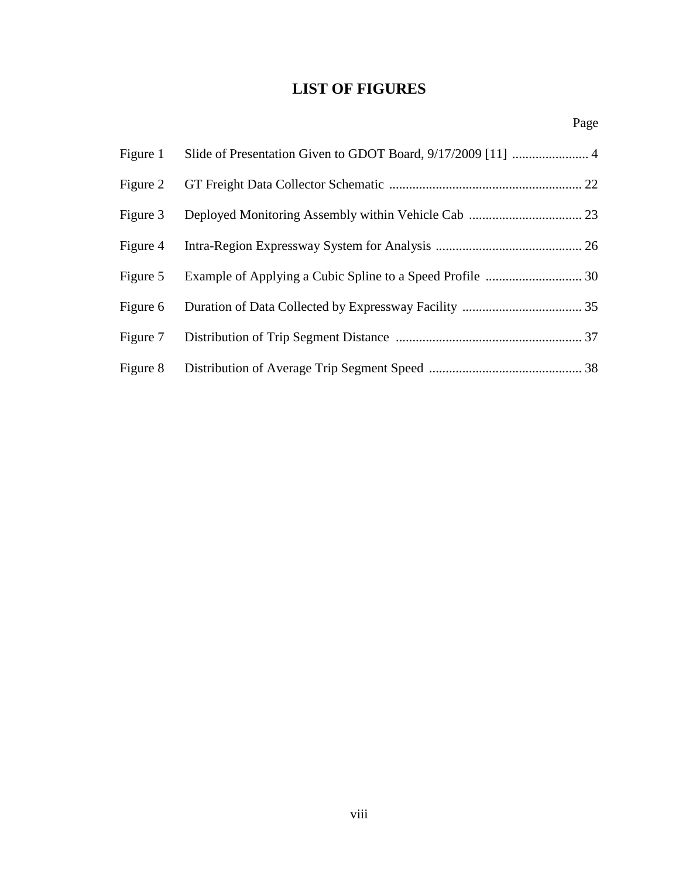## **LIST OF FIGURES**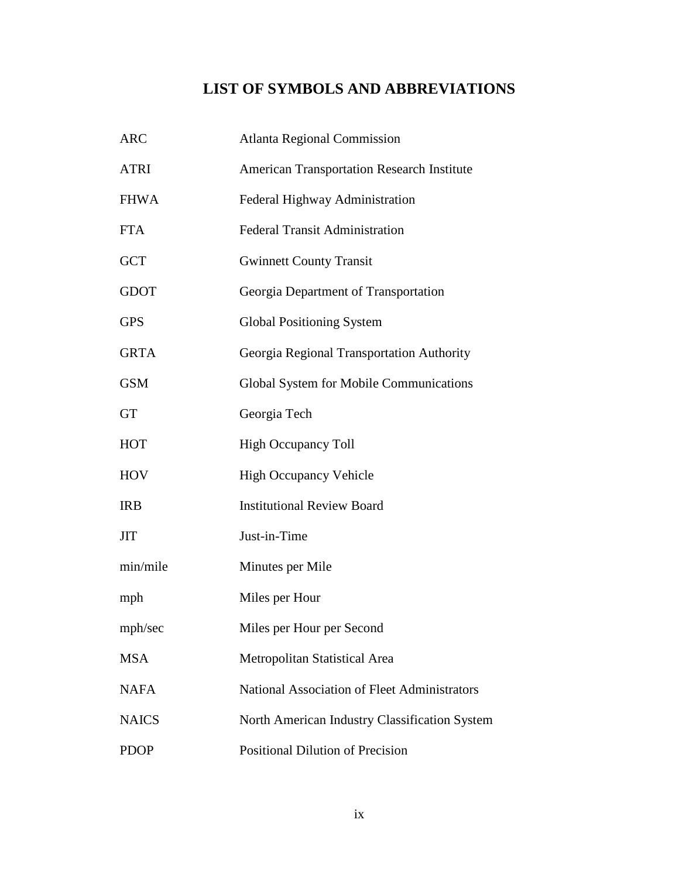# **LIST OF SYMBOLS AND ABBREVIATIONS**

| <b>ARC</b>   | <b>Atlanta Regional Commission</b>                |
|--------------|---------------------------------------------------|
| <b>ATRI</b>  | <b>American Transportation Research Institute</b> |
| <b>FHWA</b>  | Federal Highway Administration                    |
| <b>FTA</b>   | <b>Federal Transit Administration</b>             |
| <b>GCT</b>   | <b>Gwinnett County Transit</b>                    |
| <b>GDOT</b>  | Georgia Department of Transportation              |
| <b>GPS</b>   | <b>Global Positioning System</b>                  |
| <b>GRTA</b>  | Georgia Regional Transportation Authority         |
| <b>GSM</b>   | Global System for Mobile Communications           |
| <b>GT</b>    | Georgia Tech                                      |
| <b>HOT</b>   | <b>High Occupancy Toll</b>                        |
| <b>HOV</b>   | <b>High Occupancy Vehicle</b>                     |
| <b>IRB</b>   | <b>Institutional Review Board</b>                 |
| <b>JIT</b>   | Just-in-Time                                      |
| min/mile     | Minutes per Mile                                  |
| mph          | Miles per Hour                                    |
| mph/sec      | Miles per Hour per Second                         |
| <b>MSA</b>   | Metropolitan Statistical Area                     |
| <b>NAFA</b>  | National Association of Fleet Administrators      |
| <b>NAICS</b> | North American Industry Classification System     |
| <b>PDOP</b>  | <b>Positional Dilution of Precision</b>           |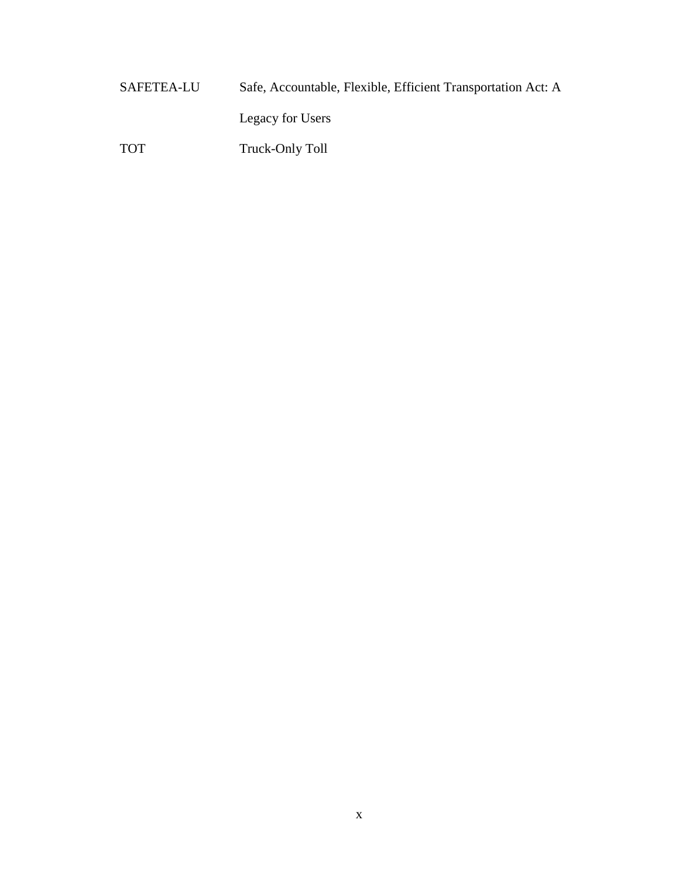SAFETEA-LU Safe, Accountable, Flexible, Efficient Transportation Act: A Legacy for Users TOT Truck-Only Toll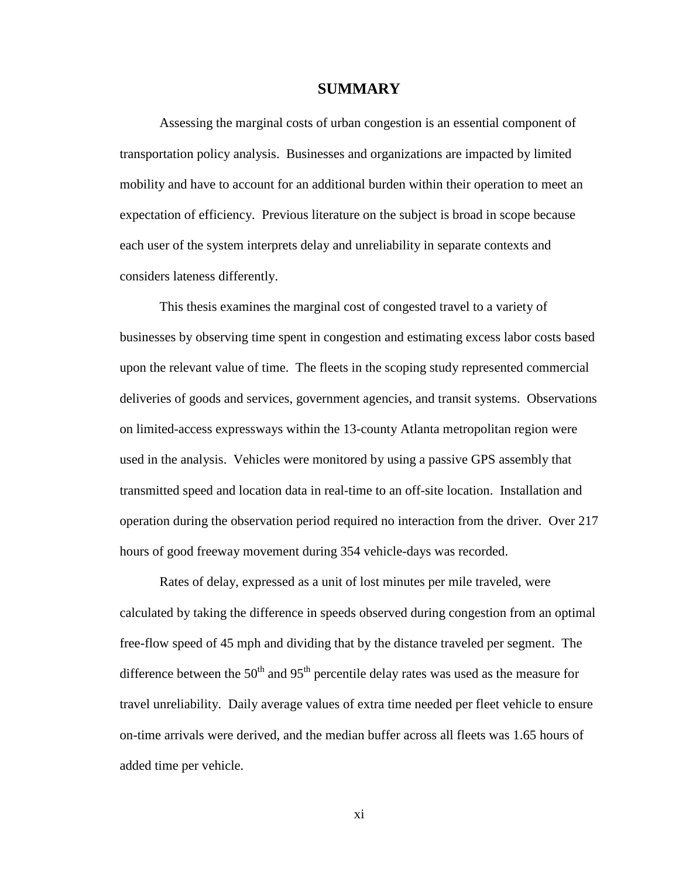### **SUMMARY**

 Assessing the marginal costs of urban congestion is an essential component of transportation policy analysis. Businesses and organizations are impacted by limited mobility and have to account for an additional burden within their operation to meet an expectation of efficiency. Previous literature on the subject is broad in scope because each user of the system interprets delay and unreliability in separate contexts and considers lateness differently.

 This thesis examines the marginal cost of congested travel to a variety of businesses by observing time spent in congestion and estimating excess labor costs based upon the relevant value of time. The fleets in the scoping study represented commercial deliveries of goods and services, government agencies, and transit systems. Observations on limited-access expressways within the 13-county Atlanta metropolitan region were used in the analysis. Vehicles were monitored by using a passive GPS assembly that transmitted speed and location data in real-time to an off-site location. Installation and operation during the observation period required no interaction from the driver. Over 217 hours of good freeway movement during 354 vehicle-days was recorded.

 Rates of delay, expressed as a unit of lost minutes per mile traveled, were calculated by taking the difference in speeds observed during congestion from an optimal free-flow speed of 45 mph and dividing that by the distance traveled per segment. The difference between the  $50<sup>th</sup>$  and  $95<sup>th</sup>$  percentile delay rates was used as the measure for travel unreliability. Daily average values of extra time needed per fleet vehicle to ensure on-time arrivals were derived, and the median buffer across all fleets was 1.65 hours of added time per vehicle.

xi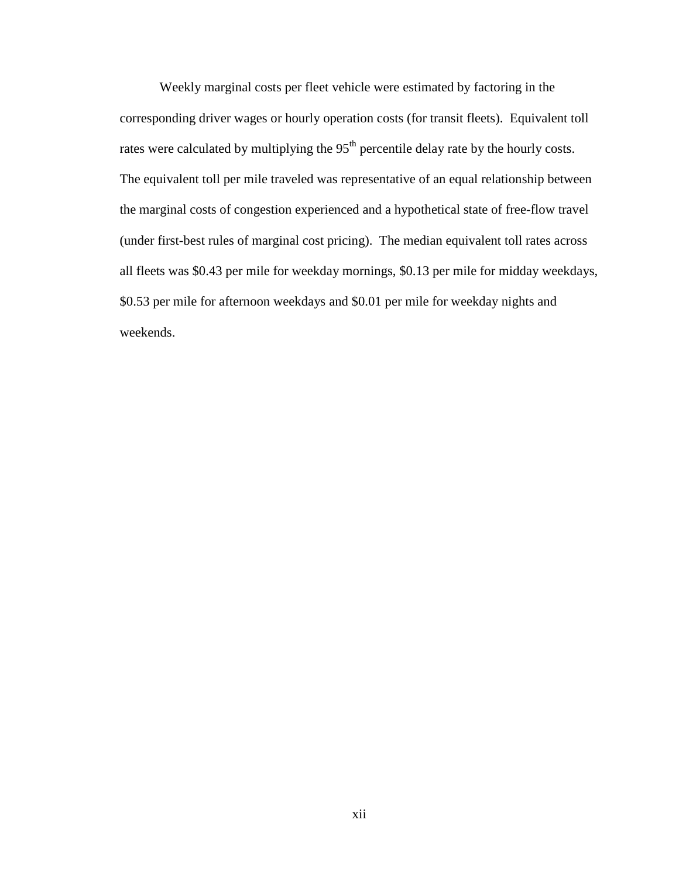Weekly marginal costs per fleet vehicle were estimated by factoring in the corresponding driver wages or hourly operation costs (for transit fleets). Equivalent toll rates were calculated by multiplying the 95<sup>th</sup> percentile delay rate by the hourly costs. The equivalent toll per mile traveled was representative of an equal relationship between the marginal costs of congestion experienced and a hypothetical state of free-flow travel (under first-best rules of marginal cost pricing). The median equivalent toll rates across all fleets was \$0.43 per mile for weekday mornings, \$0.13 per mile for midday weekdays, \$0.53 per mile for afternoon weekdays and \$0.01 per mile for weekday nights and weekends.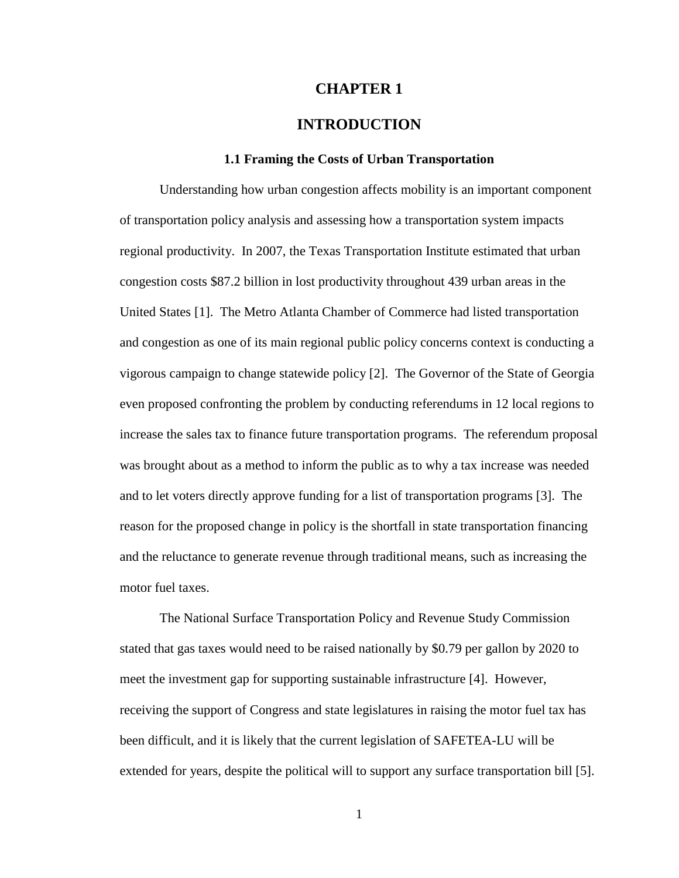### **CHAPTER 1**

### **INTRODUCTION**

### **1.1 Framing the Costs of Urban Transportation**

Understanding how urban congestion affects mobility is an important component of transportation policy analysis and assessing how a transportation system impacts regional productivity. In 2007, the Texas Transportation Institute estimated that urban congestion costs \$87.2 billion in lost productivity throughout 439 urban areas in the United States [1]. The Metro Atlanta Chamber of Commerce had listed transportation and congestion as one of its main regional public policy concerns context is conducting a vigorous campaign to change statewide policy [2]. The Governor of the State of Georgia even proposed confronting the problem by conducting referendums in 12 local regions to increase the sales tax to finance future transportation programs. The referendum proposal was brought about as a method to inform the public as to why a tax increase was needed and to let voters directly approve funding for a list of transportation programs [3]. The reason for the proposed change in policy is the shortfall in state transportation financing and the reluctance to generate revenue through traditional means, such as increasing the motor fuel taxes.

The National Surface Transportation Policy and Revenue Study Commission stated that gas taxes would need to be raised nationally by \$0.79 per gallon by 2020 to meet the investment gap for supporting sustainable infrastructure [4]. However, receiving the support of Congress and state legislatures in raising the motor fuel tax has been difficult, and it is likely that the current legislation of SAFETEA-LU will be extended for years, despite the political will to support any surface transportation bill [5].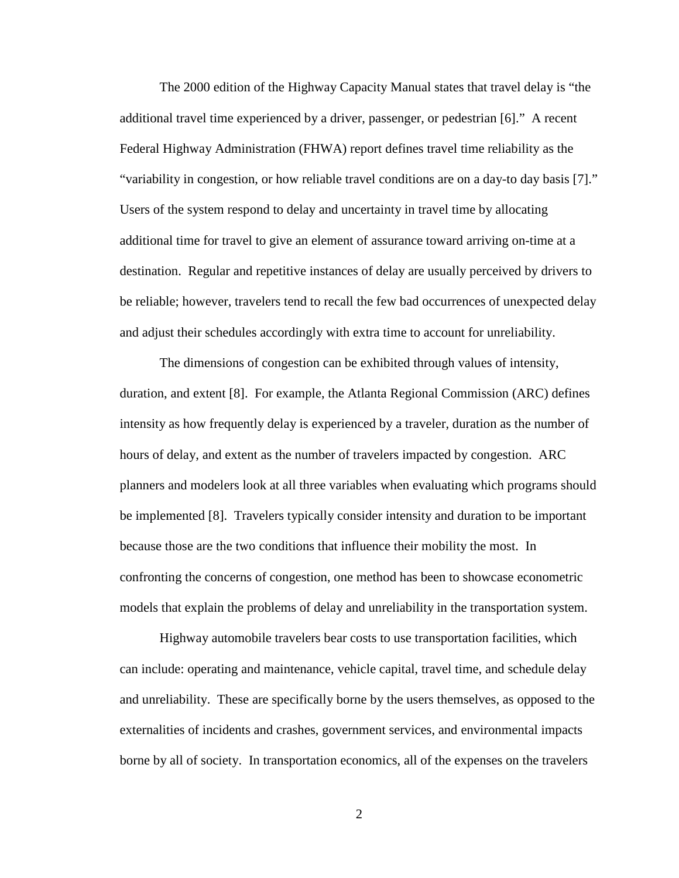The 2000 edition of the Highway Capacity Manual states that travel delay is "the additional travel time experienced by a driver, passenger, or pedestrian [6]." A recent Federal Highway Administration (FHWA) report defines travel time reliability as the "variability in congestion, or how reliable travel conditions are on a day-to day basis [7]." Users of the system respond to delay and uncertainty in travel time by allocating additional time for travel to give an element of assurance toward arriving on-time at a destination. Regular and repetitive instances of delay are usually perceived by drivers to be reliable; however, travelers tend to recall the few bad occurrences of unexpected delay and adjust their schedules accordingly with extra time to account for unreliability.

The dimensions of congestion can be exhibited through values of intensity, duration, and extent [8]. For example, the Atlanta Regional Commission (ARC) defines intensity as how frequently delay is experienced by a traveler, duration as the number of hours of delay, and extent as the number of travelers impacted by congestion. ARC planners and modelers look at all three variables when evaluating which programs should be implemented [8]. Travelers typically consider intensity and duration to be important because those are the two conditions that influence their mobility the most. In confronting the concerns of congestion, one method has been to showcase econometric models that explain the problems of delay and unreliability in the transportation system.

Highway automobile travelers bear costs to use transportation facilities, which can include: operating and maintenance, vehicle capital, travel time, and schedule delay and unreliability. These are specifically borne by the users themselves, as opposed to the externalities of incidents and crashes, government services, and environmental impacts borne by all of society. In transportation economics, all of the expenses on the travelers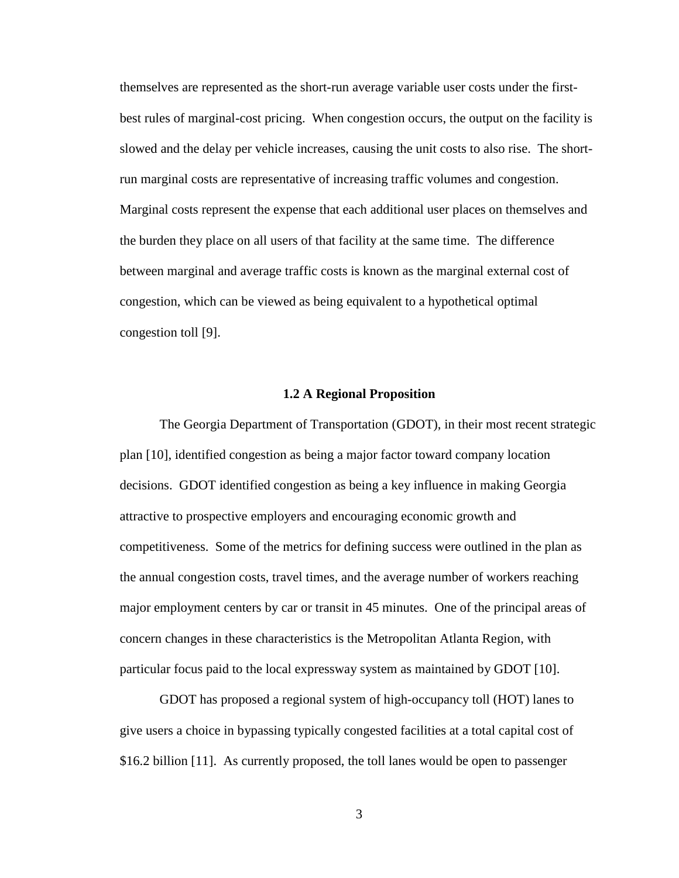themselves are represented as the short-run average variable user costs under the firstbest rules of marginal-cost pricing. When congestion occurs, the output on the facility is slowed and the delay per vehicle increases, causing the unit costs to also rise. The shortrun marginal costs are representative of increasing traffic volumes and congestion. Marginal costs represent the expense that each additional user places on themselves and the burden they place on all users of that facility at the same time. The difference between marginal and average traffic costs is known as the marginal external cost of congestion, which can be viewed as being equivalent to a hypothetical optimal congestion toll [9].

#### **1.2 A Regional Proposition**

The Georgia Department of Transportation (GDOT), in their most recent strategic plan [10], identified congestion as being a major factor toward company location decisions. GDOT identified congestion as being a key influence in making Georgia attractive to prospective employers and encouraging economic growth and competitiveness. Some of the metrics for defining success were outlined in the plan as the annual congestion costs, travel times, and the average number of workers reaching major employment centers by car or transit in 45 minutes. One of the principal areas of concern changes in these characteristics is the Metropolitan Atlanta Region, with particular focus paid to the local expressway system as maintained by GDOT [10].

GDOT has proposed a regional system of high-occupancy toll (HOT) lanes to give users a choice in bypassing typically congested facilities at a total capital cost of \$16.2 billion [11]. As currently proposed, the toll lanes would be open to passenger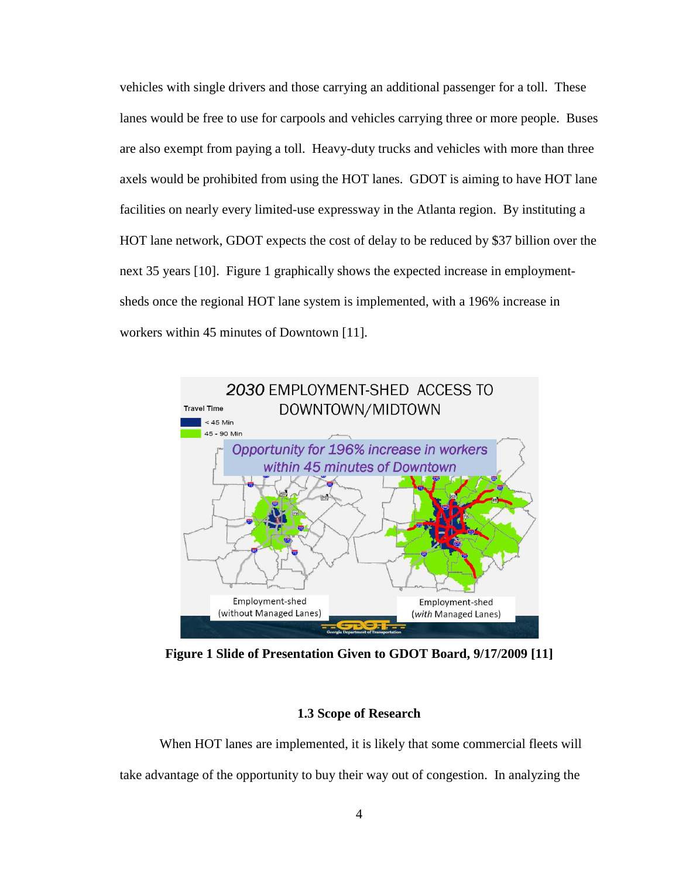vehicles with single drivers and those carrying an additional passenger for a toll. These lanes would be free to use for carpools and vehicles carrying three or more people. Buses are also exempt from paying a toll. Heavy-duty trucks and vehicles with more than three axels would be prohibited from using the HOT lanes. GDOT is aiming to have HOT lane facilities on nearly every limited-use expressway in the Atlanta region. By instituting a HOT lane network, GDOT expects the cost of delay to be reduced by \$37 billion over the next 35 years [10]. Figure 1 graphically shows the expected increase in employmentsheds once the regional HOT lane system is implemented, with a 196% increase in workers within 45 minutes of Downtown [11].



**Figure 1 Slide of Presentation Given to GDOT Board, 9/17/2009 [11]** 

### **1.3 Scope of Research**

When HOT lanes are implemented, it is likely that some commercial fleets will take advantage of the opportunity to buy their way out of congestion. In analyzing the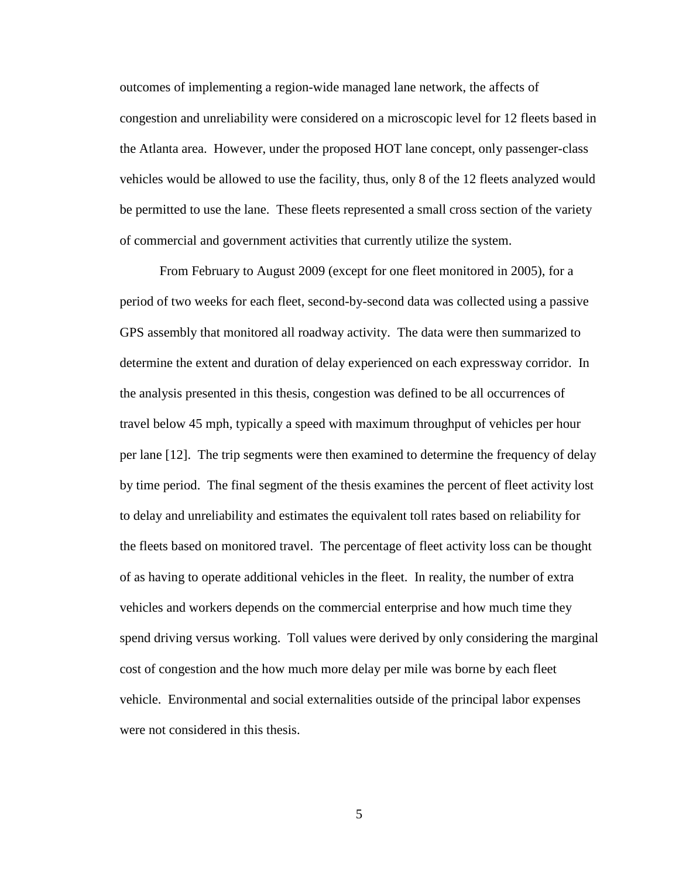outcomes of implementing a region-wide managed lane network, the affects of congestion and unreliability were considered on a microscopic level for 12 fleets based in the Atlanta area. However, under the proposed HOT lane concept, only passenger-class vehicles would be allowed to use the facility, thus, only 8 of the 12 fleets analyzed would be permitted to use the lane. These fleets represented a small cross section of the variety of commercial and government activities that currently utilize the system.

From February to August 2009 (except for one fleet monitored in 2005), for a period of two weeks for each fleet, second-by-second data was collected using a passive GPS assembly that monitored all roadway activity. The data were then summarized to determine the extent and duration of delay experienced on each expressway corridor. In the analysis presented in this thesis, congestion was defined to be all occurrences of travel below 45 mph, typically a speed with maximum throughput of vehicles per hour per lane [12]. The trip segments were then examined to determine the frequency of delay by time period. The final segment of the thesis examines the percent of fleet activity lost to delay and unreliability and estimates the equivalent toll rates based on reliability for the fleets based on monitored travel. The percentage of fleet activity loss can be thought of as having to operate additional vehicles in the fleet. In reality, the number of extra vehicles and workers depends on the commercial enterprise and how much time they spend driving versus working. Toll values were derived by only considering the marginal cost of congestion and the how much more delay per mile was borne by each fleet vehicle. Environmental and social externalities outside of the principal labor expenses were not considered in this thesis.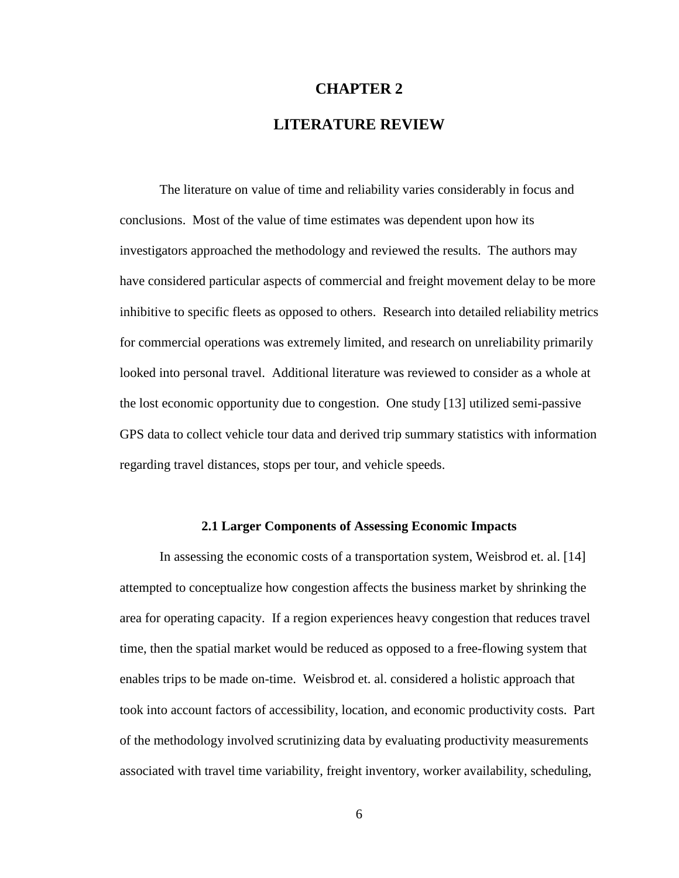## **CHAPTER 2**

## **LITERATURE REVIEW**

The literature on value of time and reliability varies considerably in focus and conclusions. Most of the value of time estimates was dependent upon how its investigators approached the methodology and reviewed the results. The authors may have considered particular aspects of commercial and freight movement delay to be more inhibitive to specific fleets as opposed to others. Research into detailed reliability metrics for commercial operations was extremely limited, and research on unreliability primarily looked into personal travel. Additional literature was reviewed to consider as a whole at the lost economic opportunity due to congestion. One study [13] utilized semi-passive GPS data to collect vehicle tour data and derived trip summary statistics with information regarding travel distances, stops per tour, and vehicle speeds.

### **2.1 Larger Components of Assessing Economic Impacts**

In assessing the economic costs of a transportation system, Weisbrod et. al. [14] attempted to conceptualize how congestion affects the business market by shrinking the area for operating capacity. If a region experiences heavy congestion that reduces travel time, then the spatial market would be reduced as opposed to a free-flowing system that enables trips to be made on-time. Weisbrod et. al. considered a holistic approach that took into account factors of accessibility, location, and economic productivity costs. Part of the methodology involved scrutinizing data by evaluating productivity measurements associated with travel time variability, freight inventory, worker availability, scheduling,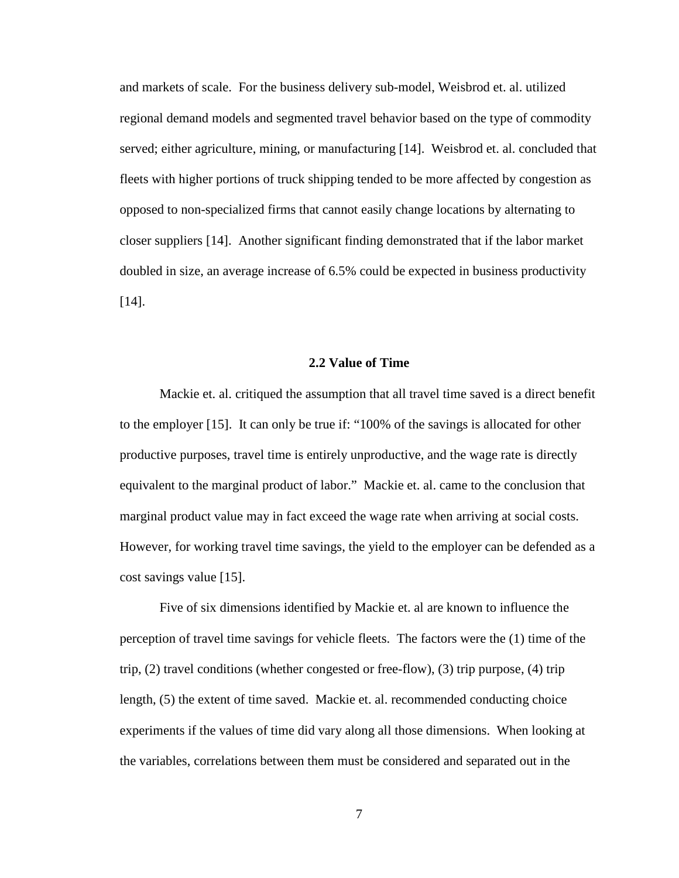and markets of scale. For the business delivery sub-model, Weisbrod et. al. utilized regional demand models and segmented travel behavior based on the type of commodity served; either agriculture, mining, or manufacturing [14]. Weisbrod et. al. concluded that fleets with higher portions of truck shipping tended to be more affected by congestion as opposed to non-specialized firms that cannot easily change locations by alternating to closer suppliers [14]. Another significant finding demonstrated that if the labor market doubled in size, an average increase of 6.5% could be expected in business productivity [14].

#### **2.2 Value of Time**

Mackie et. al. critiqued the assumption that all travel time saved is a direct benefit to the employer [15]. It can only be true if: "100% of the savings is allocated for other productive purposes, travel time is entirely unproductive, and the wage rate is directly equivalent to the marginal product of labor." Mackie et. al. came to the conclusion that marginal product value may in fact exceed the wage rate when arriving at social costs. However, for working travel time savings, the yield to the employer can be defended as a cost savings value [15].

Five of six dimensions identified by Mackie et. al are known to influence the perception of travel time savings for vehicle fleets. The factors were the (1) time of the trip, (2) travel conditions (whether congested or free-flow), (3) trip purpose, (4) trip length, (5) the extent of time saved. Mackie et. al. recommended conducting choice experiments if the values of time did vary along all those dimensions. When looking at the variables, correlations between them must be considered and separated out in the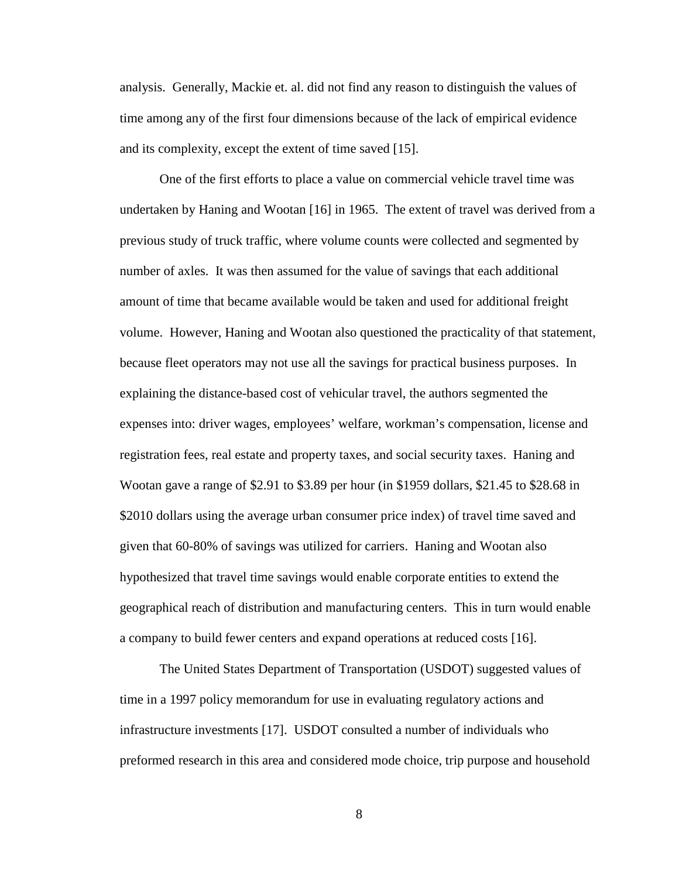analysis. Generally, Mackie et. al. did not find any reason to distinguish the values of time among any of the first four dimensions because of the lack of empirical evidence and its complexity, except the extent of time saved [15].

One of the first efforts to place a value on commercial vehicle travel time was undertaken by Haning and Wootan [16] in 1965. The extent of travel was derived from a previous study of truck traffic, where volume counts were collected and segmented by number of axles. It was then assumed for the value of savings that each additional amount of time that became available would be taken and used for additional freight volume. However, Haning and Wootan also questioned the practicality of that statement, because fleet operators may not use all the savings for practical business purposes. In explaining the distance-based cost of vehicular travel, the authors segmented the expenses into: driver wages, employees' welfare, workman's compensation, license and registration fees, real estate and property taxes, and social security taxes. Haning and Wootan gave a range of \$2.91 to \$3.89 per hour (in \$1959 dollars, \$21.45 to \$28.68 in \$2010 dollars using the average urban consumer price index) of travel time saved and given that 60-80% of savings was utilized for carriers. Haning and Wootan also hypothesized that travel time savings would enable corporate entities to extend the geographical reach of distribution and manufacturing centers. This in turn would enable a company to build fewer centers and expand operations at reduced costs [16].

The United States Department of Transportation (USDOT) suggested values of time in a 1997 policy memorandum for use in evaluating regulatory actions and infrastructure investments [17]. USDOT consulted a number of individuals who preformed research in this area and considered mode choice, trip purpose and household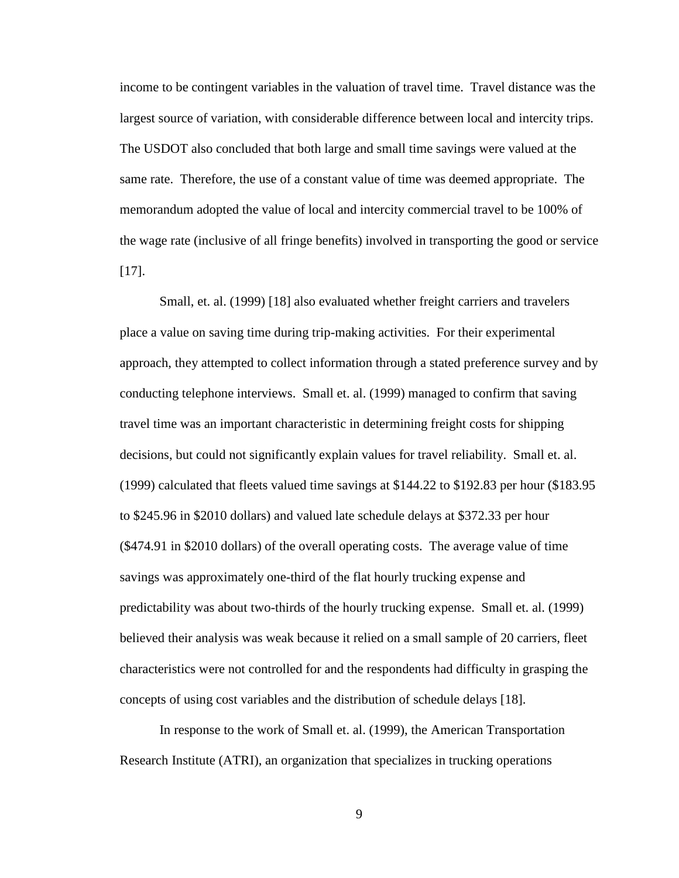income to be contingent variables in the valuation of travel time. Travel distance was the largest source of variation, with considerable difference between local and intercity trips. The USDOT also concluded that both large and small time savings were valued at the same rate. Therefore, the use of a constant value of time was deemed appropriate. The memorandum adopted the value of local and intercity commercial travel to be 100% of the wage rate (inclusive of all fringe benefits) involved in transporting the good or service [17].

Small, et. al. (1999) [18] also evaluated whether freight carriers and travelers place a value on saving time during trip-making activities. For their experimental approach, they attempted to collect information through a stated preference survey and by conducting telephone interviews. Small et. al. (1999) managed to confirm that saving travel time was an important characteristic in determining freight costs for shipping decisions, but could not significantly explain values for travel reliability. Small et. al. (1999) calculated that fleets valued time savings at \$144.22 to \$192.83 per hour (\$183.95 to \$245.96 in \$2010 dollars) and valued late schedule delays at \$372.33 per hour (\$474.91 in \$2010 dollars) of the overall operating costs. The average value of time savings was approximately one-third of the flat hourly trucking expense and predictability was about two-thirds of the hourly trucking expense. Small et. al. (1999) believed their analysis was weak because it relied on a small sample of 20 carriers, fleet characteristics were not controlled for and the respondents had difficulty in grasping the concepts of using cost variables and the distribution of schedule delays [18].

In response to the work of Small et. al. (1999), the American Transportation Research Institute (ATRI), an organization that specializes in trucking operations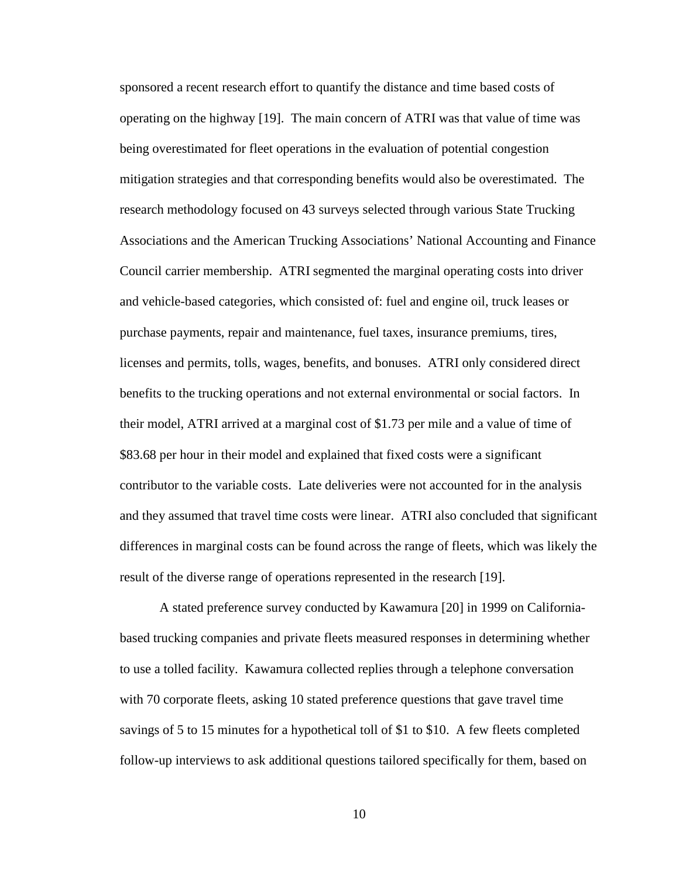sponsored a recent research effort to quantify the distance and time based costs of operating on the highway [19]. The main concern of ATRI was that value of time was being overestimated for fleet operations in the evaluation of potential congestion mitigation strategies and that corresponding benefits would also be overestimated. The research methodology focused on 43 surveys selected through various State Trucking Associations and the American Trucking Associations' National Accounting and Finance Council carrier membership. ATRI segmented the marginal operating costs into driver and vehicle-based categories, which consisted of: fuel and engine oil, truck leases or purchase payments, repair and maintenance, fuel taxes, insurance premiums, tires, licenses and permits, tolls, wages, benefits, and bonuses. ATRI only considered direct benefits to the trucking operations and not external environmental or social factors. In their model, ATRI arrived at a marginal cost of \$1.73 per mile and a value of time of \$83.68 per hour in their model and explained that fixed costs were a significant contributor to the variable costs. Late deliveries were not accounted for in the analysis and they assumed that travel time costs were linear. ATRI also concluded that significant differences in marginal costs can be found across the range of fleets, which was likely the result of the diverse range of operations represented in the research [19].

A stated preference survey conducted by Kawamura [20] in 1999 on Californiabased trucking companies and private fleets measured responses in determining whether to use a tolled facility. Kawamura collected replies through a telephone conversation with 70 corporate fleets, asking 10 stated preference questions that gave travel time savings of 5 to 15 minutes for a hypothetical toll of \$1 to \$10. A few fleets completed follow-up interviews to ask additional questions tailored specifically for them, based on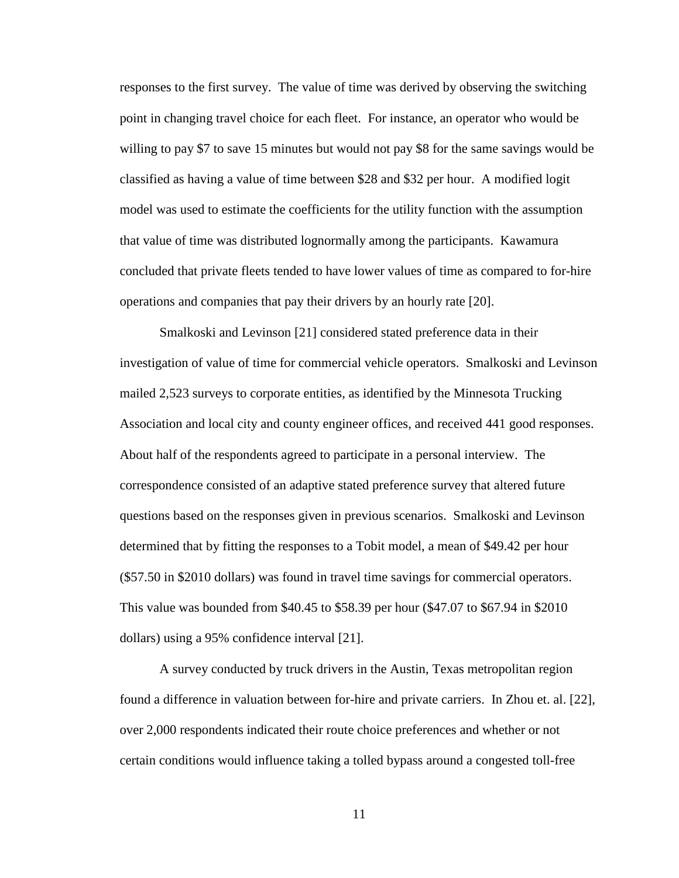responses to the first survey. The value of time was derived by observing the switching point in changing travel choice for each fleet. For instance, an operator who would be willing to pay \$7 to save 15 minutes but would not pay \$8 for the same savings would be classified as having a value of time between \$28 and \$32 per hour. A modified logit model was used to estimate the coefficients for the utility function with the assumption that value of time was distributed lognormally among the participants. Kawamura concluded that private fleets tended to have lower values of time as compared to for-hire operations and companies that pay their drivers by an hourly rate [20].

Smalkoski and Levinson [21] considered stated preference data in their investigation of value of time for commercial vehicle operators. Smalkoski and Levinson mailed 2,523 surveys to corporate entities, as identified by the Minnesota Trucking Association and local city and county engineer offices, and received 441 good responses. About half of the respondents agreed to participate in a personal interview. The correspondence consisted of an adaptive stated preference survey that altered future questions based on the responses given in previous scenarios. Smalkoski and Levinson determined that by fitting the responses to a Tobit model, a mean of \$49.42 per hour (\$57.50 in \$2010 dollars) was found in travel time savings for commercial operators. This value was bounded from \$40.45 to \$58.39 per hour (\$47.07 to \$67.94 in \$2010 dollars) using a 95% confidence interval [21].

A survey conducted by truck drivers in the Austin, Texas metropolitan region found a difference in valuation between for-hire and private carriers. In Zhou et. al. [22], over 2,000 respondents indicated their route choice preferences and whether or not certain conditions would influence taking a tolled bypass around a congested toll-free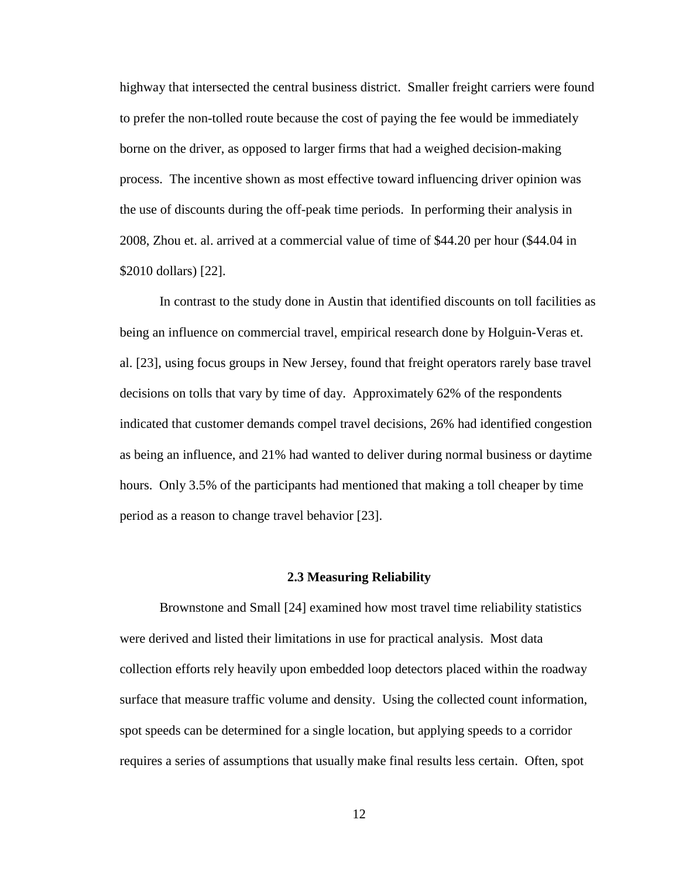highway that intersected the central business district. Smaller freight carriers were found to prefer the non-tolled route because the cost of paying the fee would be immediately borne on the driver, as opposed to larger firms that had a weighed decision-making process. The incentive shown as most effective toward influencing driver opinion was the use of discounts during the off-peak time periods. In performing their analysis in 2008, Zhou et. al. arrived at a commercial value of time of \$44.20 per hour (\$44.04 in \$2010 dollars) [22].

In contrast to the study done in Austin that identified discounts on toll facilities as being an influence on commercial travel, empirical research done by Holguin-Veras et. al. [23], using focus groups in New Jersey, found that freight operators rarely base travel decisions on tolls that vary by time of day. Approximately 62% of the respondents indicated that customer demands compel travel decisions, 26% had identified congestion as being an influence, and 21% had wanted to deliver during normal business or daytime hours. Only 3.5% of the participants had mentioned that making a toll cheaper by time period as a reason to change travel behavior [23].

#### **2.3 Measuring Reliability**

Brownstone and Small [24] examined how most travel time reliability statistics were derived and listed their limitations in use for practical analysis. Most data collection efforts rely heavily upon embedded loop detectors placed within the roadway surface that measure traffic volume and density. Using the collected count information, spot speeds can be determined for a single location, but applying speeds to a corridor requires a series of assumptions that usually make final results less certain. Often, spot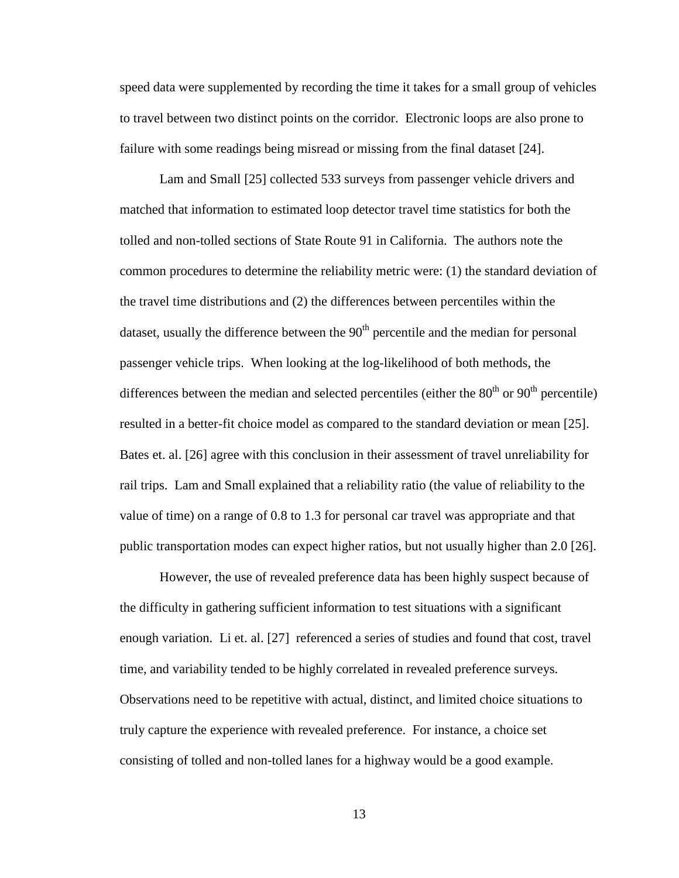speed data were supplemented by recording the time it takes for a small group of vehicles to travel between two distinct points on the corridor. Electronic loops are also prone to failure with some readings being misread or missing from the final dataset [24].

Lam and Small [25] collected 533 surveys from passenger vehicle drivers and matched that information to estimated loop detector travel time statistics for both the tolled and non-tolled sections of State Route 91 in California. The authors note the common procedures to determine the reliability metric were: (1) the standard deviation of the travel time distributions and (2) the differences between percentiles within the dataset, usually the difference between the  $90<sup>th</sup>$  percentile and the median for personal passenger vehicle trips. When looking at the log-likelihood of both methods, the differences between the median and selected percentiles (either the  $80<sup>th</sup>$  or  $90<sup>th</sup>$  percentile) resulted in a better-fit choice model as compared to the standard deviation or mean [25]. Bates et. al. [26] agree with this conclusion in their assessment of travel unreliability for rail trips. Lam and Small explained that a reliability ratio (the value of reliability to the value of time) on a range of 0.8 to 1.3 for personal car travel was appropriate and that public transportation modes can expect higher ratios, but not usually higher than 2.0 [26].

However, the use of revealed preference data has been highly suspect because of the difficulty in gathering sufficient information to test situations with a significant enough variation. Li et. al. [27] referenced a series of studies and found that cost, travel time, and variability tended to be highly correlated in revealed preference surveys. Observations need to be repetitive with actual, distinct, and limited choice situations to truly capture the experience with revealed preference. For instance, a choice set consisting of tolled and non-tolled lanes for a highway would be a good example.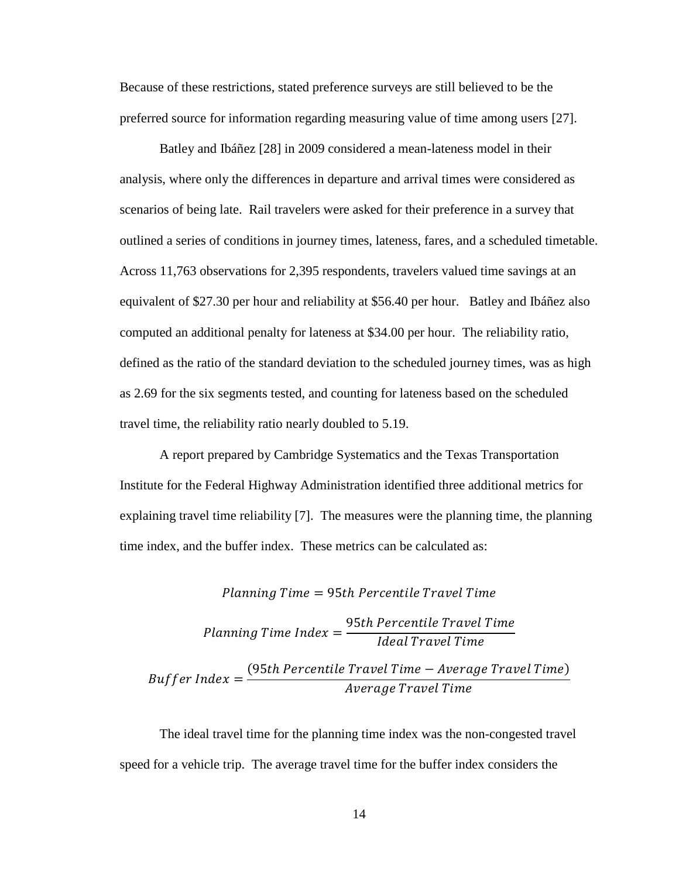Because of these restrictions, stated preference surveys are still believed to be the preferred source for information regarding measuring value of time among users [27].

Batley and Ibáñez [28] in 2009 considered a mean-lateness model in their analysis, where only the differences in departure and arrival times were considered as scenarios of being late. Rail travelers were asked for their preference in a survey that outlined a series of conditions in journey times, lateness, fares, and a scheduled timetable. Across 11,763 observations for 2,395 respondents, travelers valued time savings at an equivalent of \$27.30 per hour and reliability at \$56.40 per hour. Batley and Ibáñez also computed an additional penalty for lateness at \$34.00 per hour. The reliability ratio, defined as the ratio of the standard deviation to the scheduled journey times, was as high as 2.69 for the six segments tested, and counting for lateness based on the scheduled travel time, the reliability ratio nearly doubled to 5.19.

A report prepared by Cambridge Systematics and the Texas Transportation Institute for the Federal Highway Administration identified three additional metrics for explaining travel time reliability [7]. The measures were the planning time, the planning time index, and the buffer index. These metrics can be calculated as:

Planning Time = 95th Percentile Travel Time

\nPlanning Time Index = 
$$
\frac{95th Percentile TravelTime}{Ideal TravelTime}
$$
\nBuffer Index = 
$$
\frac{(95th Percentile TravelTime - Average TravelTime)}{Average TravelTime}
$$

The ideal travel time for the planning time index was the non-congested travel speed for a vehicle trip. The average travel time for the buffer index considers the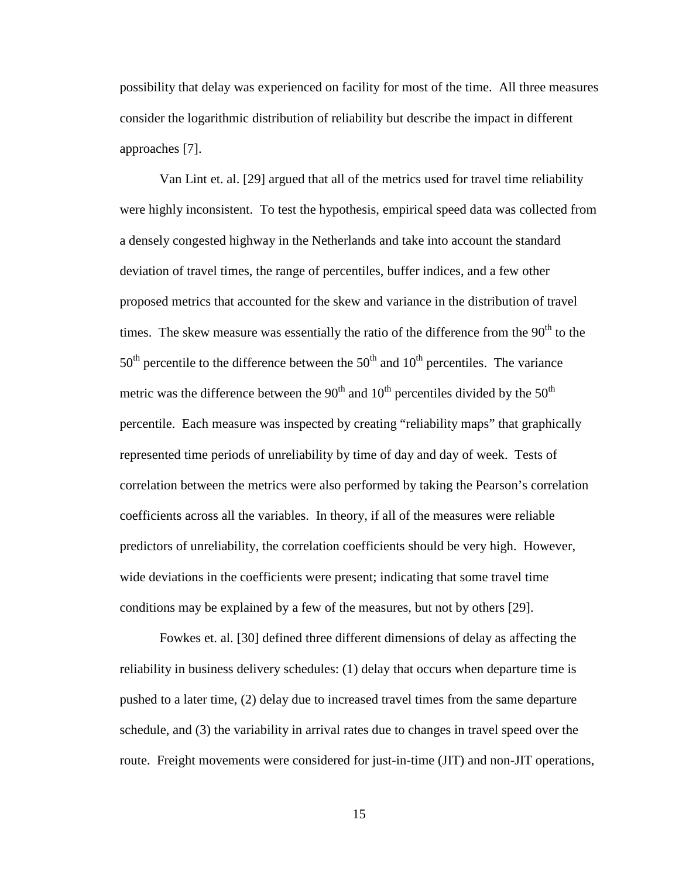possibility that delay was experienced on facility for most of the time. All three measures consider the logarithmic distribution of reliability but describe the impact in different approaches [7].

Van Lint et. al. [29] argued that all of the metrics used for travel time reliability were highly inconsistent. To test the hypothesis, empirical speed data was collected from a densely congested highway in the Netherlands and take into account the standard deviation of travel times, the range of percentiles, buffer indices, and a few other proposed metrics that accounted for the skew and variance in the distribution of travel times. The skew measure was essentially the ratio of the difference from the  $90<sup>th</sup>$  to the  $50<sup>th</sup>$  percentile to the difference between the  $50<sup>th</sup>$  and  $10<sup>th</sup>$  percentiles. The variance metric was the difference between the  $90<sup>th</sup>$  and  $10<sup>th</sup>$  percentiles divided by the  $50<sup>th</sup>$ percentile. Each measure was inspected by creating "reliability maps" that graphically represented time periods of unreliability by time of day and day of week. Tests of correlation between the metrics were also performed by taking the Pearson's correlation coefficients across all the variables. In theory, if all of the measures were reliable predictors of unreliability, the correlation coefficients should be very high. However, wide deviations in the coefficients were present; indicating that some travel time conditions may be explained by a few of the measures, but not by others [29].

Fowkes et. al. [30] defined three different dimensions of delay as affecting the reliability in business delivery schedules: (1) delay that occurs when departure time is pushed to a later time, (2) delay due to increased travel times from the same departure schedule, and (3) the variability in arrival rates due to changes in travel speed over the route. Freight movements were considered for just-in-time (JIT) and non-JIT operations,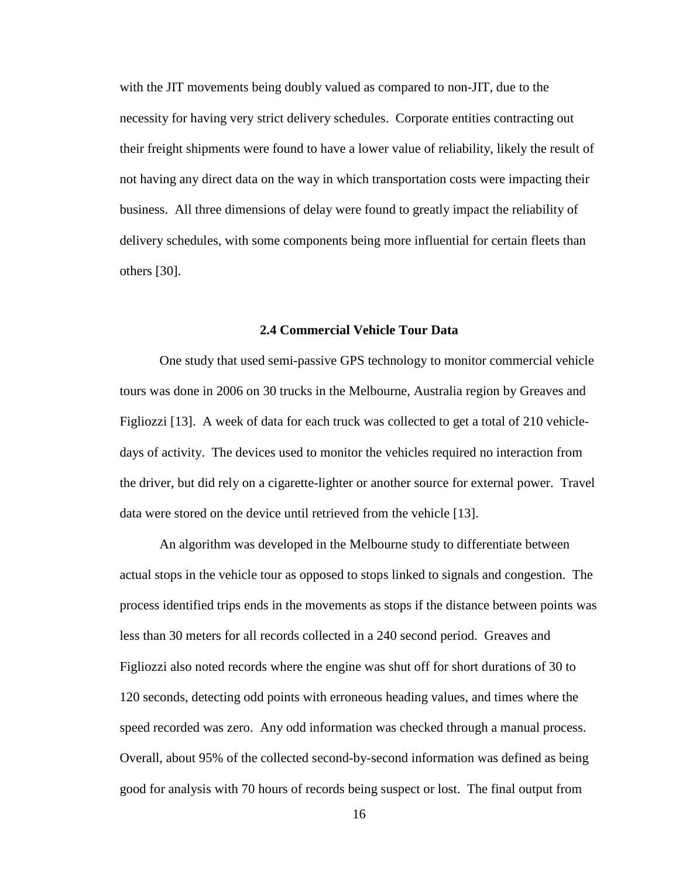with the JIT movements being doubly valued as compared to non-JIT, due to the necessity for having very strict delivery schedules. Corporate entities contracting out their freight shipments were found to have a lower value of reliability, likely the result of not having any direct data on the way in which transportation costs were impacting their business. All three dimensions of delay were found to greatly impact the reliability of delivery schedules, with some components being more influential for certain fleets than others [30].

### **2.4 Commercial Vehicle Tour Data**

One study that used semi-passive GPS technology to monitor commercial vehicle tours was done in 2006 on 30 trucks in the Melbourne, Australia region by Greaves and Figliozzi [13]. A week of data for each truck was collected to get a total of 210 vehicledays of activity. The devices used to monitor the vehicles required no interaction from the driver, but did rely on a cigarette-lighter or another source for external power. Travel data were stored on the device until retrieved from the vehicle [13].

An algorithm was developed in the Melbourne study to differentiate between actual stops in the vehicle tour as opposed to stops linked to signals and congestion. The process identified trips ends in the movements as stops if the distance between points was less than 30 meters for all records collected in a 240 second period. Greaves and Figliozzi also noted records where the engine was shut off for short durations of 30 to 120 seconds, detecting odd points with erroneous heading values, and times where the speed recorded was zero. Any odd information was checked through a manual process. Overall, about 95% of the collected second-by-second information was defined as being good for analysis with 70 hours of records being suspect or lost. The final output from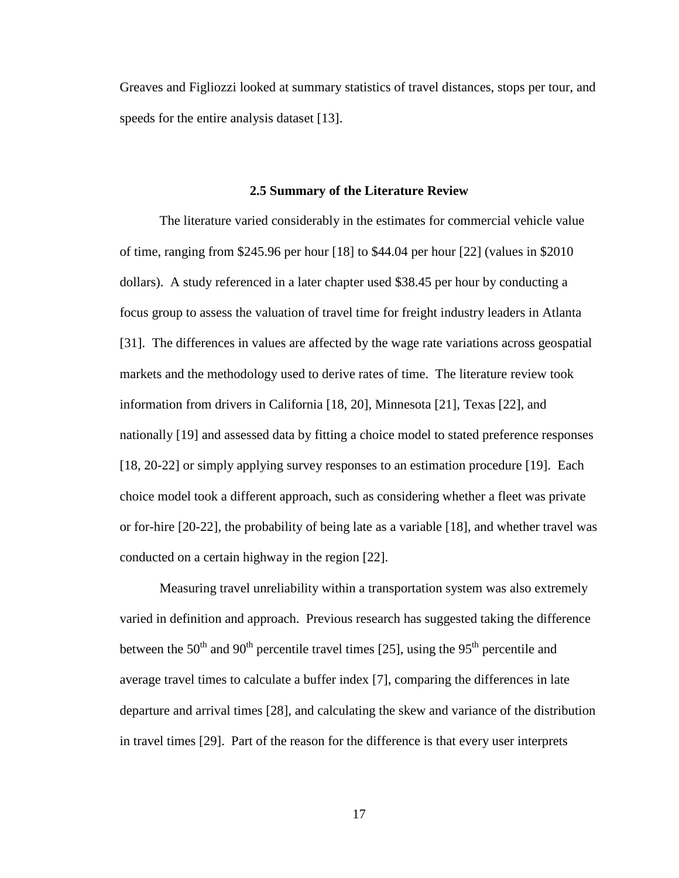Greaves and Figliozzi looked at summary statistics of travel distances, stops per tour, and speeds for the entire analysis dataset [13].

#### **2.5 Summary of the Literature Review**

 The literature varied considerably in the estimates for commercial vehicle value of time, ranging from \$245.96 per hour [18] to \$44.04 per hour [22] (values in \$2010 dollars). A study referenced in a later chapter used \$38.45 per hour by conducting a focus group to assess the valuation of travel time for freight industry leaders in Atlanta [31]. The differences in values are affected by the wage rate variations across geospatial markets and the methodology used to derive rates of time. The literature review took information from drivers in California [18, 20], Minnesota [21], Texas [22], and nationally [19] and assessed data by fitting a choice model to stated preference responses [18, 20-22] or simply applying survey responses to an estimation procedure [19]. Each choice model took a different approach, such as considering whether a fleet was private or for-hire [20-22], the probability of being late as a variable [18], and whether travel was conducted on a certain highway in the region [22].

 Measuring travel unreliability within a transportation system was also extremely varied in definition and approach. Previous research has suggested taking the difference between the  $50<sup>th</sup>$  and  $90<sup>th</sup>$  percentile travel times [25], using the  $95<sup>th</sup>$  percentile and average travel times to calculate a buffer index [7], comparing the differences in late departure and arrival times [28], and calculating the skew and variance of the distribution in travel times [29]. Part of the reason for the difference is that every user interprets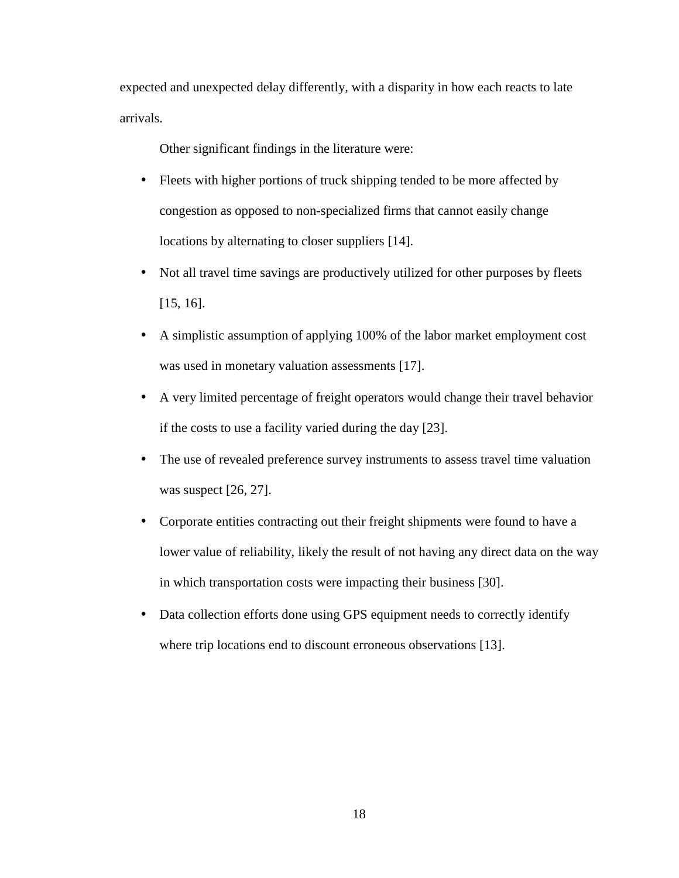expected and unexpected delay differently, with a disparity in how each reacts to late arrivals.

Other significant findings in the literature were:

- Fleets with higher portions of truck shipping tended to be more affected by congestion as opposed to non-specialized firms that cannot easily change locations by alternating to closer suppliers [14].
- Not all travel time savings are productively utilized for other purposes by fleets [15, 16].
- A simplistic assumption of applying 100% of the labor market employment cost was used in monetary valuation assessments [17].
- A very limited percentage of freight operators would change their travel behavior if the costs to use a facility varied during the day [23].
- The use of revealed preference survey instruments to assess travel time valuation was suspect [26, 27].
- Corporate entities contracting out their freight shipments were found to have a lower value of reliability, likely the result of not having any direct data on the way in which transportation costs were impacting their business [30].
- Data collection efforts done using GPS equipment needs to correctly identify where trip locations end to discount erroneous observations [13].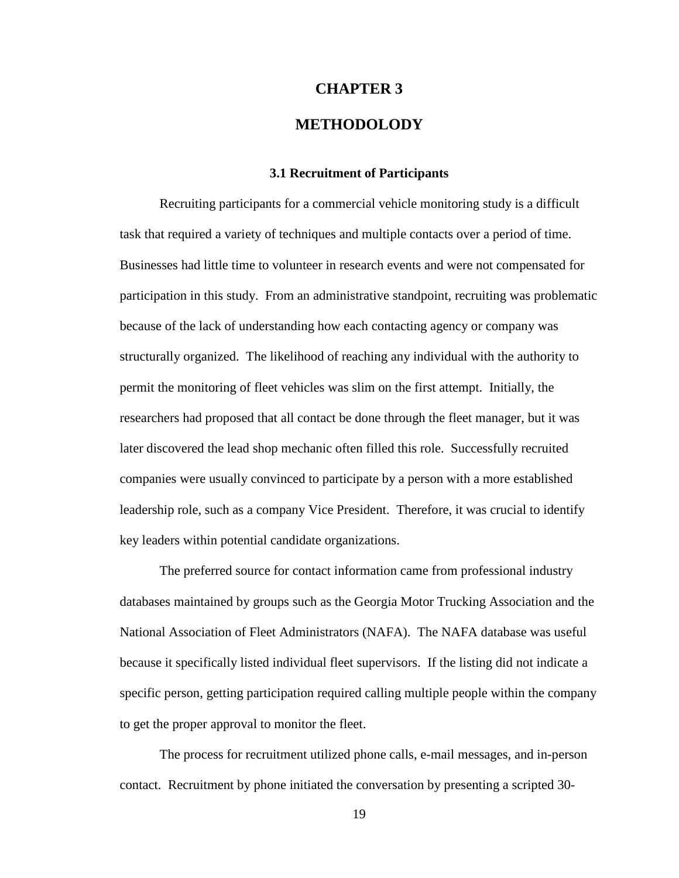### **CHAPTER 3**

### **METHODOLODY**

### **3.1 Recruitment of Participants**

Recruiting participants for a commercial vehicle monitoring study is a difficult task that required a variety of techniques and multiple contacts over a period of time. Businesses had little time to volunteer in research events and were not compensated for participation in this study. From an administrative standpoint, recruiting was problematic because of the lack of understanding how each contacting agency or company was structurally organized. The likelihood of reaching any individual with the authority to permit the monitoring of fleet vehicles was slim on the first attempt. Initially, the researchers had proposed that all contact be done through the fleet manager, but it was later discovered the lead shop mechanic often filled this role. Successfully recruited companies were usually convinced to participate by a person with a more established leadership role, such as a company Vice President. Therefore, it was crucial to identify key leaders within potential candidate organizations.

The preferred source for contact information came from professional industry databases maintained by groups such as the Georgia Motor Trucking Association and the National Association of Fleet Administrators (NAFA). The NAFA database was useful because it specifically listed individual fleet supervisors. If the listing did not indicate a specific person, getting participation required calling multiple people within the company to get the proper approval to monitor the fleet.

The process for recruitment utilized phone calls, e-mail messages, and in-person contact. Recruitment by phone initiated the conversation by presenting a scripted 30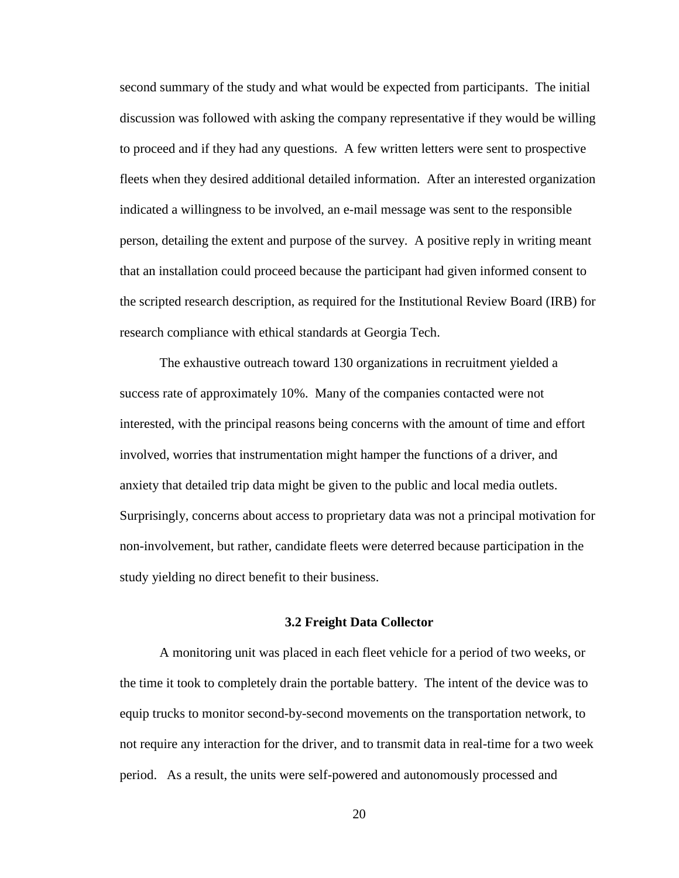second summary of the study and what would be expected from participants. The initial discussion was followed with asking the company representative if they would be willing to proceed and if they had any questions. A few written letters were sent to prospective fleets when they desired additional detailed information. After an interested organization indicated a willingness to be involved, an e-mail message was sent to the responsible person, detailing the extent and purpose of the survey. A positive reply in writing meant that an installation could proceed because the participant had given informed consent to the scripted research description, as required for the Institutional Review Board (IRB) for research compliance with ethical standards at Georgia Tech.

The exhaustive outreach toward 130 organizations in recruitment yielded a success rate of approximately 10%. Many of the companies contacted were not interested, with the principal reasons being concerns with the amount of time and effort involved, worries that instrumentation might hamper the functions of a driver, and anxiety that detailed trip data might be given to the public and local media outlets. Surprisingly, concerns about access to proprietary data was not a principal motivation for non-involvement, but rather, candidate fleets were deterred because participation in the study yielding no direct benefit to their business.

### **3.2 Freight Data Collector**

A monitoring unit was placed in each fleet vehicle for a period of two weeks, or the time it took to completely drain the portable battery. The intent of the device was to equip trucks to monitor second-by-second movements on the transportation network, to not require any interaction for the driver, and to transmit data in real-time for a two week period. As a result, the units were self-powered and autonomously processed and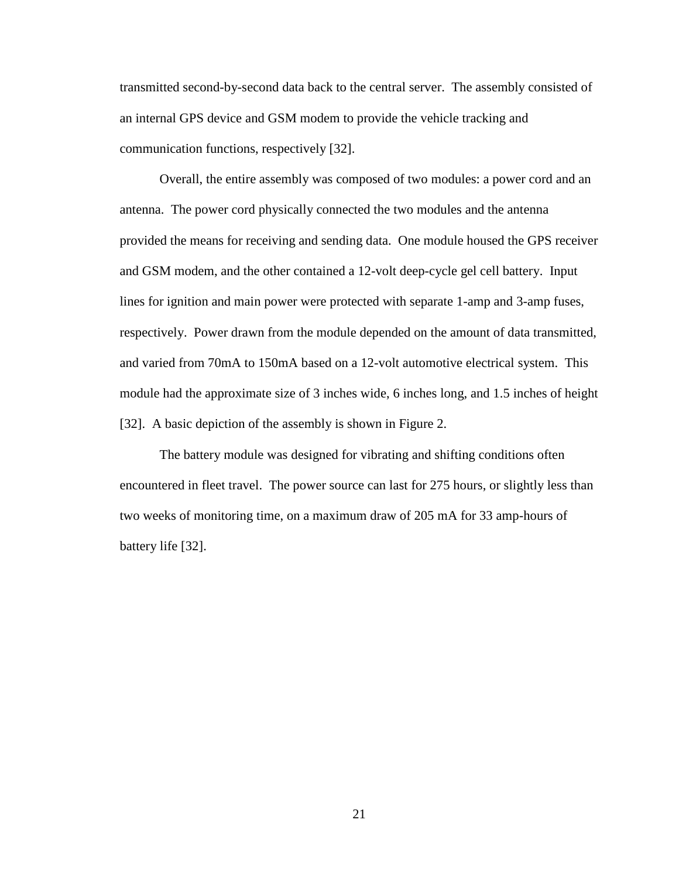transmitted second-by-second data back to the central server. The assembly consisted of an internal GPS device and GSM modem to provide the vehicle tracking and communication functions, respectively [32].

Overall, the entire assembly was composed of two modules: a power cord and an antenna. The power cord physically connected the two modules and the antenna provided the means for receiving and sending data. One module housed the GPS receiver and GSM modem, and the other contained a 12-volt deep-cycle gel cell battery. Input lines for ignition and main power were protected with separate 1-amp and 3-amp fuses, respectively. Power drawn from the module depended on the amount of data transmitted, and varied from 70mA to 150mA based on a 12-volt automotive electrical system. This module had the approximate size of 3 inches wide, 6 inches long, and 1.5 inches of height [32]. A basic depiction of the assembly is shown in Figure 2.

The battery module was designed for vibrating and shifting conditions often encountered in fleet travel. The power source can last for 275 hours, or slightly less than two weeks of monitoring time, on a maximum draw of 205 mA for 33 amp-hours of battery life [32].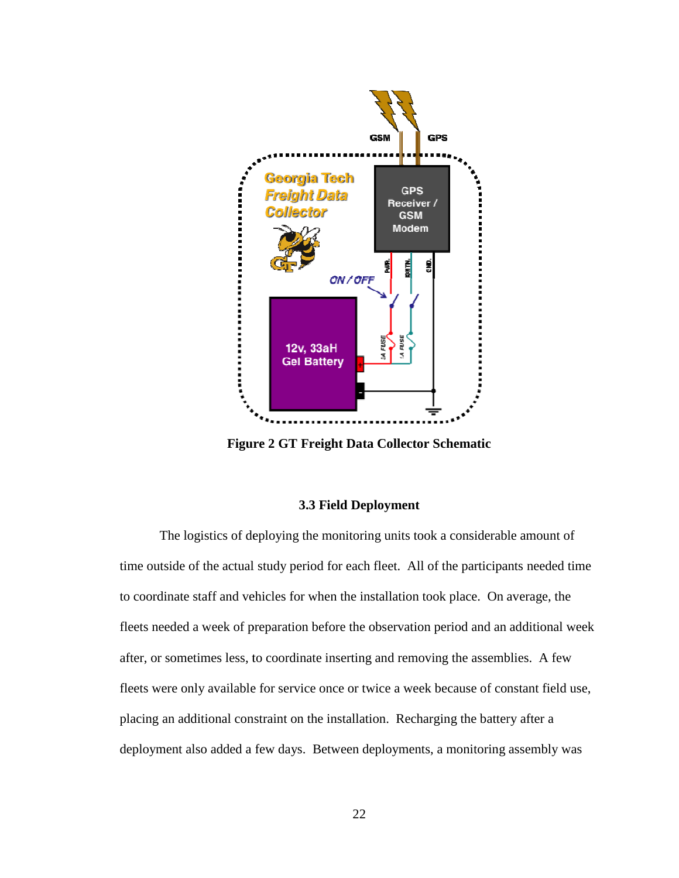

**Figure 2 GT Freight Data Collector Schematic** 

### **3.3 Field Deployment**

The logistics of deploying the monitoring units took a considerable amount of time outside of the actual study period for each fleet. All of the participants needed time to coordinate staff and vehicles for when the installation took place. On average, the fleets needed a week of preparation before the observation period and an additional week after, or sometimes less, to coordinate inserting and removing the assemblies. A few fleets were only available for service once or twice a week because of constant field use, placing an additional constraint on the installation. Recharging the battery after a placing an additional constraint on the installation. Recharging the battery after a<br>deployment also added a few days. Between deployments, a monitoring assembly was aff and vehicles for when the installation took place. On average, t<br>week of preparation before the observation period and an additiona<br>mes less, to coordinate inserting and removing the assemblies. A for<br>available for ser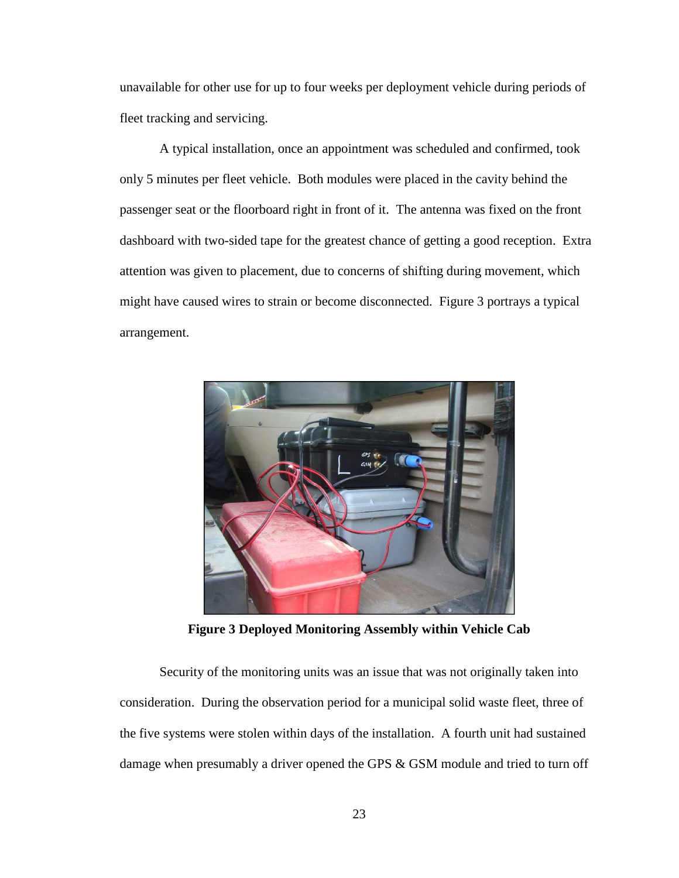unavailable for other use for up to four weeks per deployment vehicle during periods of fleet tracking and servicing.

A typical installation, once an appointment was scheduled and confirmed, took only 5 minutes per fleet vehicle. Both modules were placed in the cavity behind the passenger seat or the floorboard right in front of it. The antenna was fixed on the front dashboard with two-sided tape for the greatest chance of getting a good reception. Extra attention was given to placement, due to concerns of shifting during movement, which might have caused wires to strain or become disconnected. Figure 3 portrays a typical arrangement.



**Figure 3 Deployed Monitoring Assembly within Vehicle Cab** 

Security of the monitoring units was an issue that was not originally taken into consideration. During the observation period for a municipal solid waste fleet, three of the five systems were stolen within days of the installation. A fourth unit had sustained damage when presumably a driver opened the GPS & GSM module and tried to turn off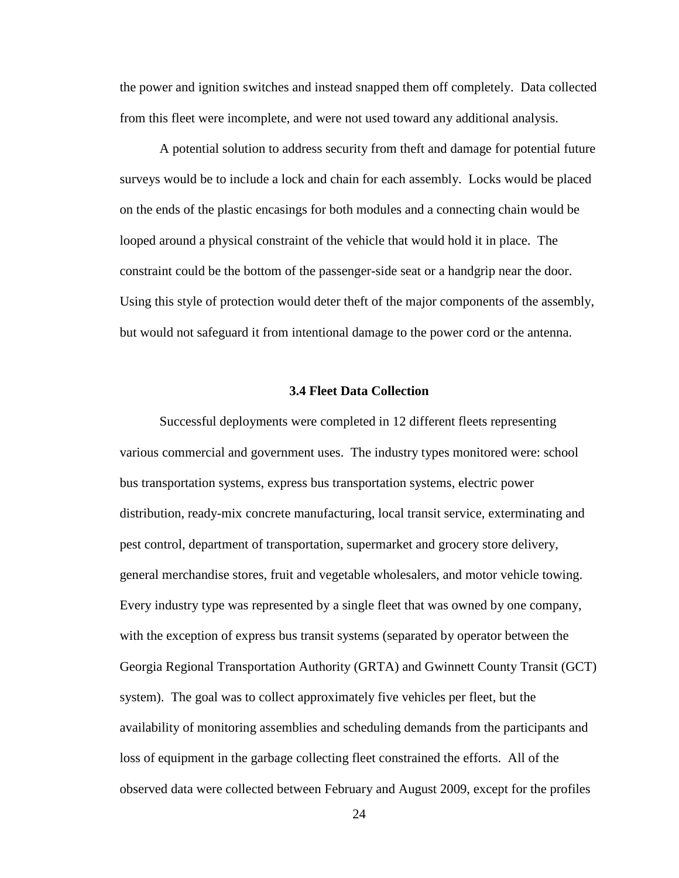the power and ignition switches and instead snapped them off completely. Data collected from this fleet were incomplete, and were not used toward any additional analysis.

A potential solution to address security from theft and damage for potential future surveys would be to include a lock and chain for each assembly. Locks would be placed on the ends of the plastic encasings for both modules and a connecting chain would be looped around a physical constraint of the vehicle that would hold it in place. The constraint could be the bottom of the passenger-side seat or a handgrip near the door. Using this style of protection would deter theft of the major components of the assembly, but would not safeguard it from intentional damage to the power cord or the antenna.

### **3.4 Fleet Data Collection**

Successful deployments were completed in 12 different fleets representing various commercial and government uses. The industry types monitored were: school bus transportation systems, express bus transportation systems, electric power distribution, ready-mix concrete manufacturing, local transit service, exterminating and pest control, department of transportation, supermarket and grocery store delivery, general merchandise stores, fruit and vegetable wholesalers, and motor vehicle towing. Every industry type was represented by a single fleet that was owned by one company, with the exception of express bus transit systems (separated by operator between the Georgia Regional Transportation Authority (GRTA) and Gwinnett County Transit (GCT) system). The goal was to collect approximately five vehicles per fleet, but the availability of monitoring assemblies and scheduling demands from the participants and loss of equipment in the garbage collecting fleet constrained the efforts. All of the observed data were collected between February and August 2009, except for the profiles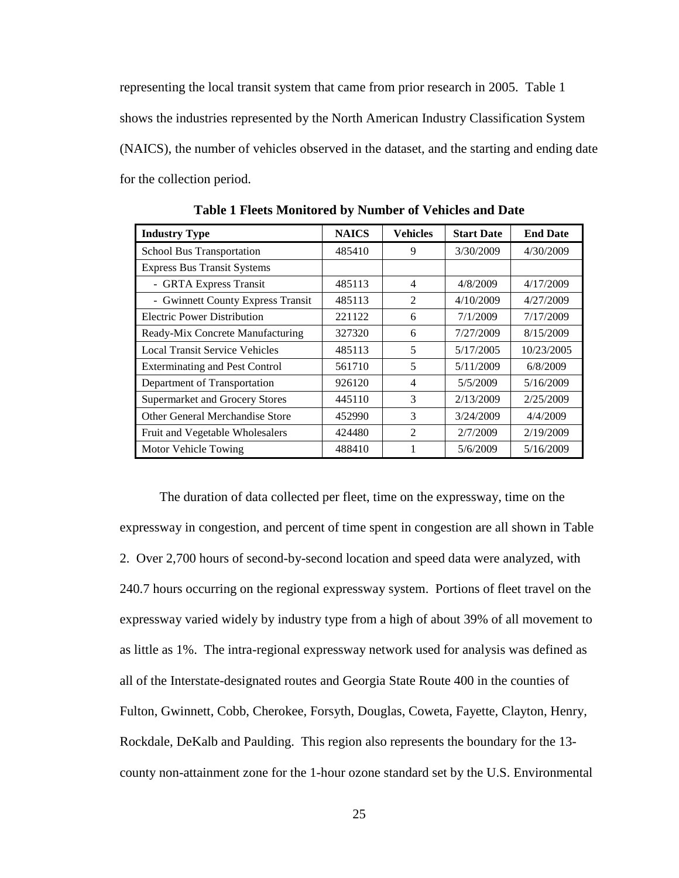representing the local transit system that came from prior research in 2005. Table 1 shows the industries represented by the North American Industry Classification System (NAICS), the number of vehicles observed in the dataset, and the starting and ending date for the collection period.

| <b>Industry Type</b>                  | <b>NAICS</b> | <b>Vehicles</b> | <b>Start Date</b> | <b>End Date</b> |
|---------------------------------------|--------------|-----------------|-------------------|-----------------|
| School Bus Transportation             | 485410       | 9               | 3/30/2009         | 4/30/2009       |
| <b>Express Bus Transit Systems</b>    |              |                 |                   |                 |
| - GRTA Express Transit                | 485113       | 4               | 4/8/2009          | 4/17/2009       |
| - Gwinnett County Express Transit     | 485113       | $\mathfrak{D}$  | 4/10/2009         | 4/27/2009       |
| <b>Electric Power Distribution</b>    | 221122       | 6               | 7/1/2009          | 7/17/2009       |
| Ready-Mix Concrete Manufacturing      | 327320       | 6               | 7/27/2009         | 8/15/2009       |
| <b>Local Transit Service Vehicles</b> | 485113       | 5               | 5/17/2005         | 10/23/2005      |
| <b>Exterminating and Pest Control</b> | 561710       | 5               | 5/11/2009         | 6/8/2009        |
| Department of Transportation          | 926120       | 4               | 5/5/2009          | 5/16/2009       |
| Supermarket and Grocery Stores        | 445110       | 3               | 2/13/2009         | 2/25/2009       |
| Other General Merchandise Store       | 452990       | 3               | 3/24/2009         | 4/4/2009        |
| Fruit and Vegetable Wholesalers       | 424480       | $\overline{2}$  | 2/7/2009          | 2/19/2009       |
| Motor Vehicle Towing                  | 488410       |                 | 5/6/2009          | 5/16/2009       |

**Table 1 Fleets Monitored by Number of Vehicles and Date** 

The duration of data collected per fleet, time on the expressway, time on the expressway in congestion, and percent of time spent in congestion are all shown in Table 2. Over 2,700 hours of second-by-second location and speed data were analyzed, with 240.7 hours occurring on the regional expressway system. Portions of fleet travel on the expressway varied widely by industry type from a high of about 39% of all movement to as little as 1%. The intra-regional expressway network used for analysis was defined as all of the Interstate-designated routes and Georgia State Route 400 in the counties of Fulton, Gwinnett, Cobb, Cherokee, Forsyth, Douglas, Coweta, Fayette, Clayton, Henry, Rockdale, DeKalb and Paulding. This region also represents the boundary for the 13 county non-attainment zone for the 1-hour ozone standard set by the U.S. Environmental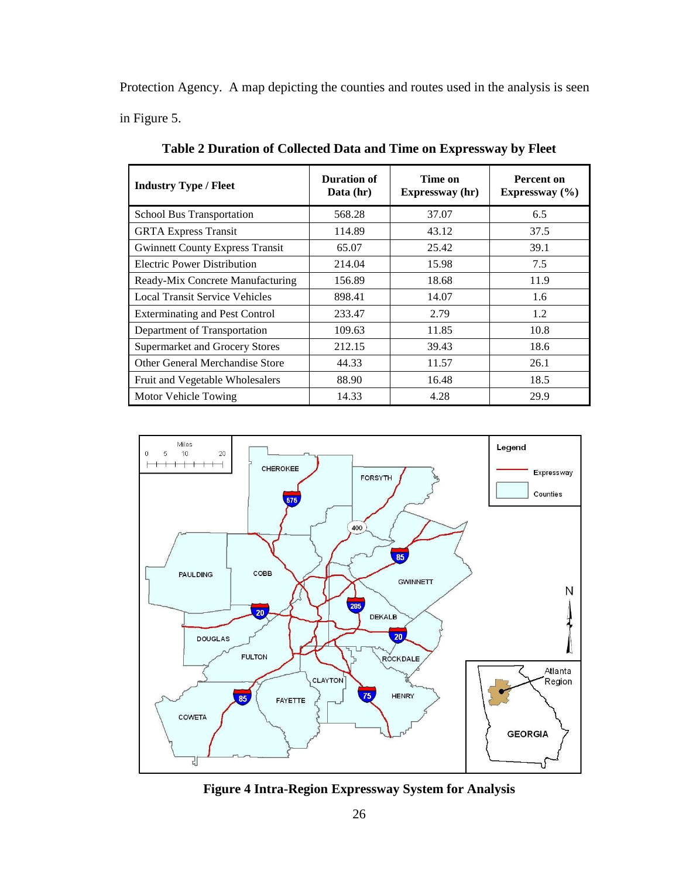Protection Agency. A map depicting the counties and routes used in the analysis is seen in Figure 5.

| <b>Industry Type / Fleet</b>           | Duration of<br>Data $(hr)$ | Time on<br>Expressway (hr) | Percent on<br>Expressway $(\% )$ |
|----------------------------------------|----------------------------|----------------------------|----------------------------------|
| School Bus Transportation              | 568.28                     | 37.07                      | 6.5                              |
| <b>GRTA Express Transit</b>            | 114.89                     | 43.12                      | 37.5                             |
| <b>Gwinnett County Express Transit</b> | 65.07                      | 25.42                      | 39.1                             |
| <b>Electric Power Distribution</b>     | 214.04                     | 15.98                      | 7.5                              |
| Ready-Mix Concrete Manufacturing       | 156.89                     | 18.68                      | 11.9                             |
| <b>Local Transit Service Vehicles</b>  | 898.41                     | 14.07                      | 1.6                              |
| <b>Exterminating and Pest Control</b>  | 233.47                     | 2.79                       | 1.2                              |
| Department of Transportation           | 109.63                     | 11.85                      | 10.8                             |
| Supermarket and Grocery Stores         | 212.15                     | 39.43                      | 18.6                             |
| Other General Merchandise Store        | 44.33                      | 11.57                      | 26.1                             |
| Fruit and Vegetable Wholesalers        | 88.90                      | 16.48                      | 18.5                             |
| Motor Vehicle Towing                   | 14.33                      | 4.28                       | 29.9                             |

**Table 2 Duration of Collected Data and Time on Expressway by Fleet** 



**Figure 4 Intra-Region Expressway System for Analysis**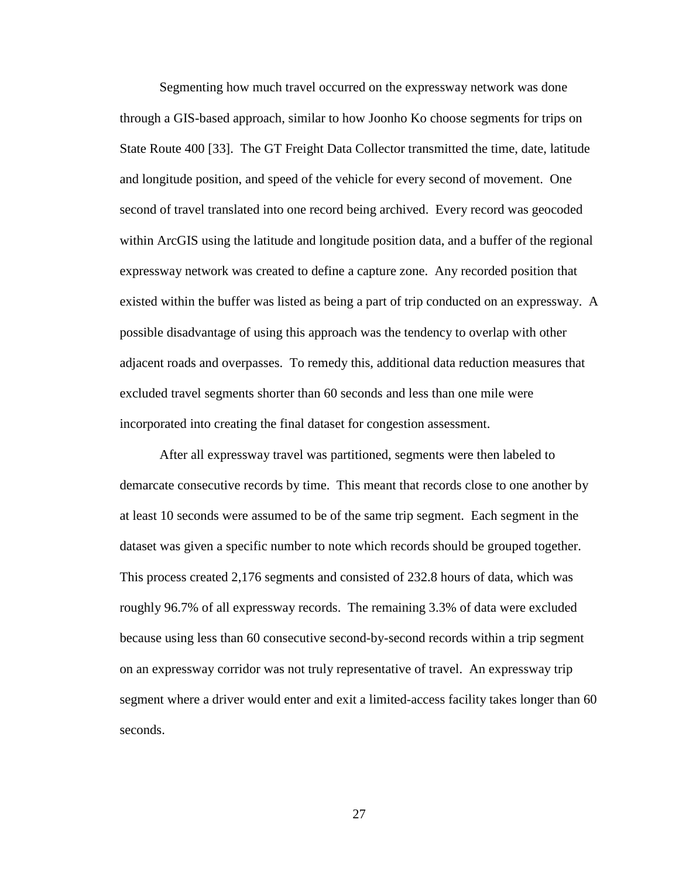Segmenting how much travel occurred on the expressway network was done through a GIS-based approach, similar to how Joonho Ko choose segments for trips on State Route 400 [33]. The GT Freight Data Collector transmitted the time, date, latitude and longitude position, and speed of the vehicle for every second of movement. One second of travel translated into one record being archived. Every record was geocoded within ArcGIS using the latitude and longitude position data, and a buffer of the regional expressway network was created to define a capture zone. Any recorded position that existed within the buffer was listed as being a part of trip conducted on an expressway. A possible disadvantage of using this approach was the tendency to overlap with other adjacent roads and overpasses. To remedy this, additional data reduction measures that excluded travel segments shorter than 60 seconds and less than one mile were incorporated into creating the final dataset for congestion assessment.

After all expressway travel was partitioned, segments were then labeled to demarcate consecutive records by time. This meant that records close to one another by at least 10 seconds were assumed to be of the same trip segment. Each segment in the dataset was given a specific number to note which records should be grouped together. This process created 2,176 segments and consisted of 232.8 hours of data, which was roughly 96.7% of all expressway records. The remaining 3.3% of data were excluded because using less than 60 consecutive second-by-second records within a trip segment on an expressway corridor was not truly representative of travel. An expressway trip segment where a driver would enter and exit a limited-access facility takes longer than 60 seconds.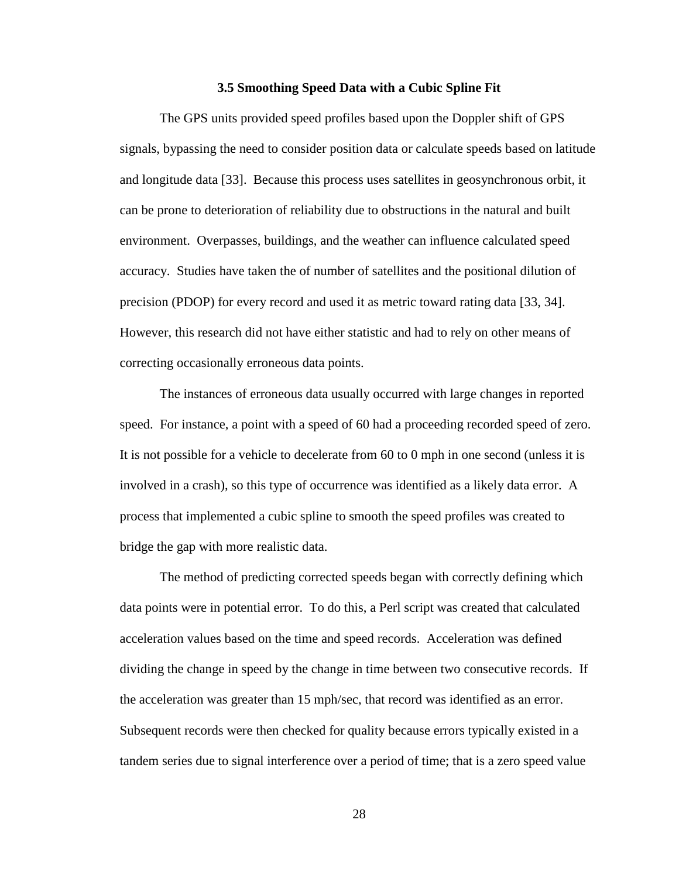#### **3.5 Smoothing Speed Data with a Cubic Spline Fit**

The GPS units provided speed profiles based upon the Doppler shift of GPS signals, bypassing the need to consider position data or calculate speeds based on latitude and longitude data [33]. Because this process uses satellites in geosynchronous orbit, it can be prone to deterioration of reliability due to obstructions in the natural and built environment. Overpasses, buildings, and the weather can influence calculated speed accuracy. Studies have taken the of number of satellites and the positional dilution of precision (PDOP) for every record and used it as metric toward rating data [33, 34]. However, this research did not have either statistic and had to rely on other means of correcting occasionally erroneous data points.

The instances of erroneous data usually occurred with large changes in reported speed. For instance, a point with a speed of 60 had a proceeding recorded speed of zero. It is not possible for a vehicle to decelerate from 60 to 0 mph in one second (unless it is involved in a crash), so this type of occurrence was identified as a likely data error. A process that implemented a cubic spline to smooth the speed profiles was created to bridge the gap with more realistic data.

The method of predicting corrected speeds began with correctly defining which data points were in potential error. To do this, a Perl script was created that calculated acceleration values based on the time and speed records. Acceleration was defined dividing the change in speed by the change in time between two consecutive records. If the acceleration was greater than 15 mph/sec, that record was identified as an error. Subsequent records were then checked for quality because errors typically existed in a tandem series due to signal interference over a period of time; that is a zero speed value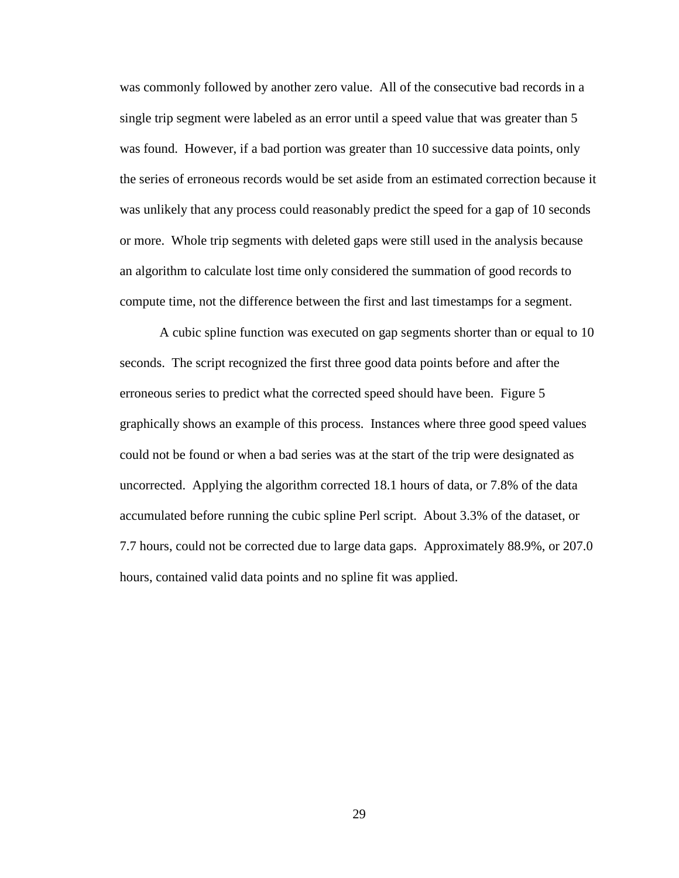was commonly followed by another zero value. All of the consecutive bad records in a single trip segment were labeled as an error until a speed value that was greater than 5 was found. However, if a bad portion was greater than 10 successive data points, only the series of erroneous records would be set aside from an estimated correction because it was unlikely that any process could reasonably predict the speed for a gap of 10 seconds or more. Whole trip segments with deleted gaps were still used in the analysis because an algorithm to calculate lost time only considered the summation of good records to compute time, not the difference between the first and last timestamps for a segment.

A cubic spline function was executed on gap segments shorter than or equal to 10 seconds. The script recognized the first three good data points before and after the erroneous series to predict what the corrected speed should have been. Figure 5 graphically shows an example of this process. Instances where three good speed values could not be found or when a bad series was at the start of the trip were designated as uncorrected. Applying the algorithm corrected 18.1 hours of data, or 7.8% of the data accumulated before running the cubic spline Perl script. About 3.3% of the dataset, or 7.7 hours, could not be corrected due to large data gaps. Approximately 88.9%, or 207.0 hours, contained valid data points and no spline fit was applied.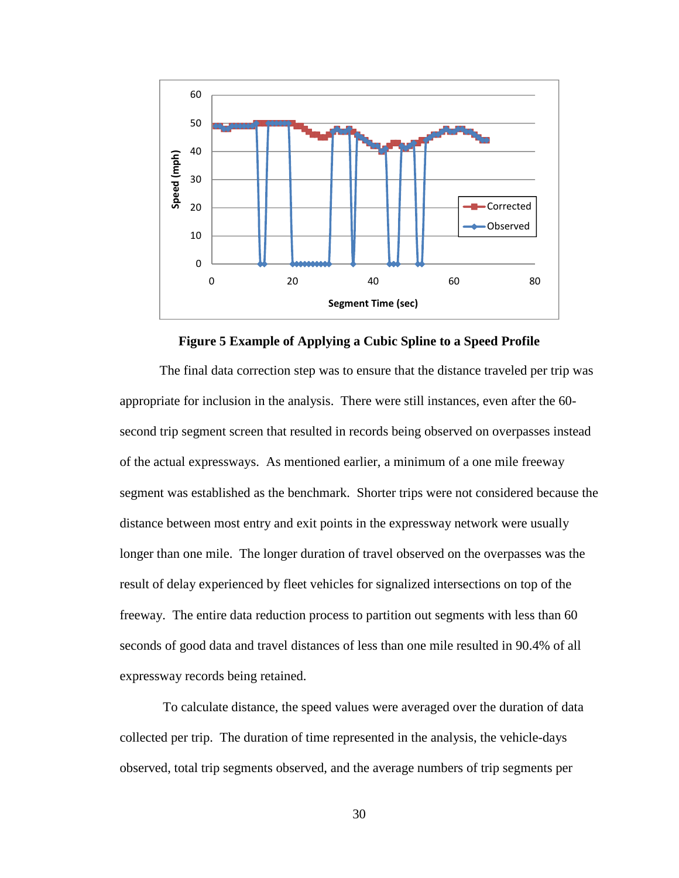



The final data correction step was to ensure that the distance traveled per trip was appropriate for inclusion in the analysis. There were still instances, even after the 60 second trip segment screen that resulted in records being observed on overpasses instead of the actual expressways. As mentioned earlier, a minimum of a one mile freeway segment was established as the benchmark. Shorter trips were not considered because the distance between most entry and exit points in the expressway network were usually longer than one mile. The longer duration of travel observed on the overpasses was the result of delay experienced by fleet vehicles for signalized intersections on top of the freeway. The entire data reduction process to partition out segments with less than 60 seconds of good data and travel distances of less than one mile resulted in 90.4% of all expressway records being retained.

 To calculate distance, the speed values were averaged over the duration of data collected per trip. The duration of time represented in the analysis, the vehicle-days observed, total trip segments observed, and the average numbers of trip segments per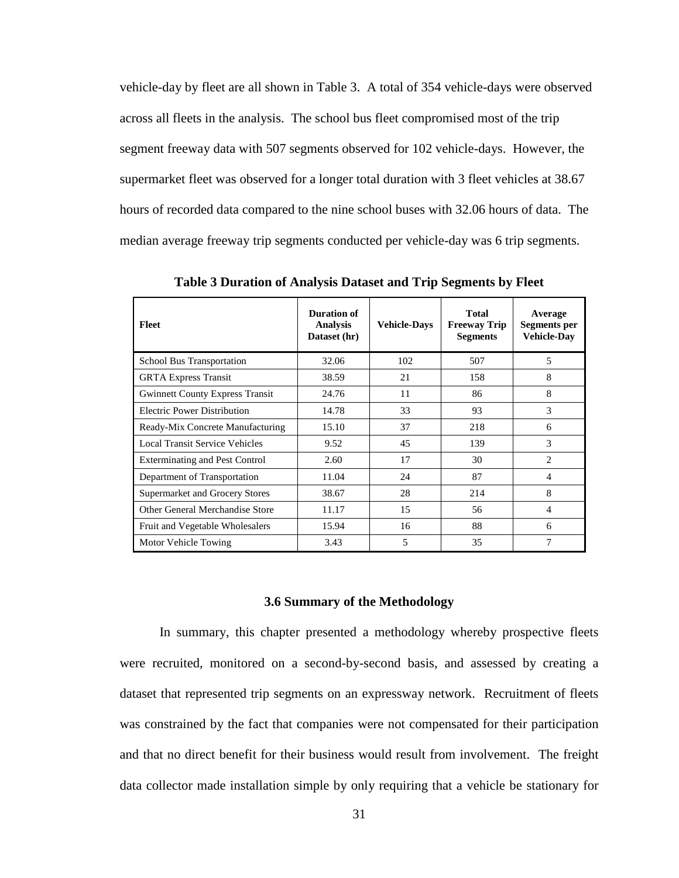vehicle-day by fleet are all shown in Table 3. A total of 354 vehicle-days were observed across all fleets in the analysis. The school bus fleet compromised most of the trip segment freeway data with 507 segments observed for 102 vehicle-days. However, the supermarket fleet was observed for a longer total duration with 3 fleet vehicles at 38.67 hours of recorded data compared to the nine school buses with 32.06 hours of data. The median average freeway trip segments conducted per vehicle-day was 6 trip segments.

| Fleet                                  | Duration of<br><b>Analysis</b><br>Dataset (hr) | <b>Vehicle-Davs</b> | <b>Total</b><br><b>Freeway Trip</b><br><b>Segments</b> | Average<br><b>Segments</b> per<br><b>Vehicle-Dav</b> |
|----------------------------------------|------------------------------------------------|---------------------|--------------------------------------------------------|------------------------------------------------------|
| <b>School Bus Transportation</b>       | 32.06                                          | 102                 | 507                                                    | 5                                                    |
| <b>GRTA</b> Express Transit            | 38.59                                          | 21                  | 158                                                    | 8                                                    |
| <b>Gwinnett County Express Transit</b> | 24.76                                          | 11                  | 86                                                     | 8                                                    |
| <b>Electric Power Distribution</b>     | 14.78                                          | 33                  | 93                                                     | 3                                                    |
| Ready-Mix Concrete Manufacturing       | 15.10                                          | 37                  | 218                                                    | 6                                                    |
| <b>Local Transit Service Vehicles</b>  | 9.52                                           | 45                  | 139                                                    | 3                                                    |
| <b>Exterminating and Pest Control</b>  | 2.60                                           | 17                  | 30                                                     | $\overline{c}$                                       |
| Department of Transportation           | 11.04                                          | 24                  | 87                                                     | $\overline{\mathcal{A}}$                             |
| Supermarket and Grocery Stores         | 38.67                                          | 28                  | 214                                                    | 8                                                    |
| Other General Merchandise Store        | 11.17                                          | 15                  | 56                                                     | $\overline{\mathcal{A}}$                             |
| Fruit and Vegetable Wholesalers        | 15.94                                          | 16                  | 88                                                     | 6                                                    |
| Motor Vehicle Towing                   | 3.43                                           | 5                   | 35                                                     | 7                                                    |

**Table 3 Duration of Analysis Dataset and Trip Segments by Fleet** 

#### **3.6 Summary of the Methodology**

 In summary, this chapter presented a methodology whereby prospective fleets were recruited, monitored on a second-by-second basis, and assessed by creating a dataset that represented trip segments on an expressway network. Recruitment of fleets was constrained by the fact that companies were not compensated for their participation and that no direct benefit for their business would result from involvement. The freight data collector made installation simple by only requiring that a vehicle be stationary for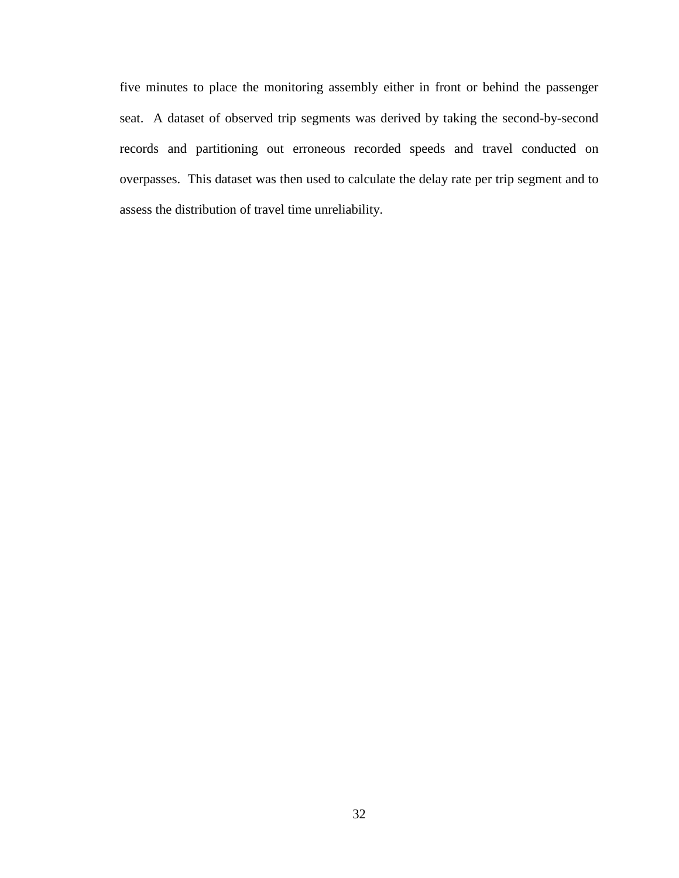five minutes to place the monitoring assembly either in front or behind the passenger seat. A dataset of observed trip segments was derived by taking the second-by-second records and partitioning out erroneous recorded speeds and travel conducted on overpasses. This dataset was then used to calculate the delay rate per trip segment and to assess the distribution of travel time unreliability.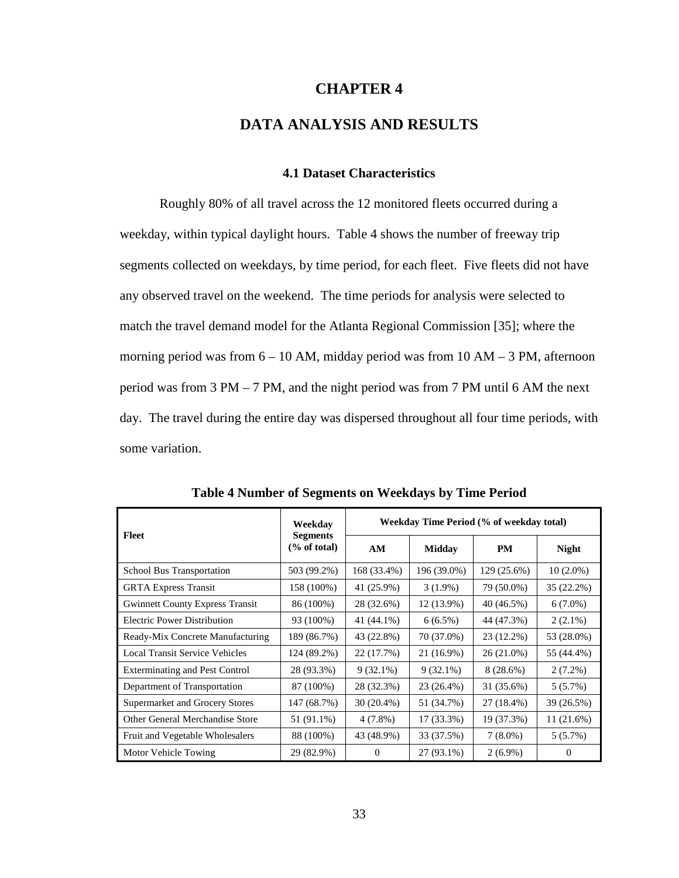## **CHAPTER 4**

# **DATA ANALYSIS AND RESULTS**

## **4.1 Dataset Characteristics**

Roughly 80% of all travel across the 12 monitored fleets occurred during a weekday, within typical daylight hours. Table 4 shows the number of freeway trip segments collected on weekdays, by time period, for each fleet. Five fleets did not have any observed travel on the weekend. The time periods for analysis were selected to match the travel demand model for the Atlanta Regional Commission [35]; where the morning period was from  $6 - 10$  AM, midday period was from  $10$  AM  $-$  3 PM, afternoon period was from 3 PM – 7 PM, and the night period was from 7 PM until 6 AM the next day. The travel during the entire day was dispersed throughout all four time periods, with some variation.

| Fleet                                  | Weekdav<br><b>Segments</b> |             | Weekday Time Period (% of weekday total) |             |              |
|----------------------------------------|----------------------------|-------------|------------------------------------------|-------------|--------------|
|                                        | % of total                 | AM          | <b>Midday</b>                            | <b>PM</b>   | <b>Night</b> |
| <b>School Bus Transportation</b>       | 503 (99.2%)                | 168 (33.4%) | 196 (39.0%)                              | 129 (25.6%) | $10(2.0\%)$  |
| <b>GRTA Express Transit</b>            | 158 (100%)                 | 41 (25.9%)  | $3(1.9\%)$                               | 79 (50.0%)  | 35 (22.2%)   |
| <b>Gwinnett County Express Transit</b> | 86 (100%)                  | 28 (32.6%)  | 12 (13.9%)                               | 40 (46.5%)  | $6(7.0\%)$   |
| <b>Electric Power Distribution</b>     | 93 (100%)                  | 41 (44.1%)  | $6(6.5\%)$                               | 44 (47.3%)  | $2(2.1\%)$   |
| Ready-Mix Concrete Manufacturing       | 189 (86.7%)                | 43 (22.8%)  | 70 (37.0%)                               | 23 (12.2%)  | 53 (28.0%)   |
| <b>Local Transit Service Vehicles</b>  | 124 (89.2%)                | 22 (17.7%)  | 21 (16.9%)                               | 26 (21.0%)  | 55 (44.4%)   |
| <b>Exterminating and Pest Control</b>  | 28 (93.3%)                 | $9(32.1\%)$ | $9(32.1\%)$                              | $8(28.6\%)$ | $2(7.2\%)$   |
| Department of Transportation           | 87 (100%)                  | 28 (32.3%)  | 23 (26.4%)                               | 31 (35.6%)  | 5(5.7%)      |
| Supermarket and Grocery Stores         | 147 (68.7%)                | 30 (20.4%)  | 51 (34.7%)                               | 27 (18.4%)  | 39 (26.5%)   |
| Other General Merchandise Store        | 51 (91.1%)                 | $4(7.8\%)$  | 17 (33.3%)                               | 19 (37.3%)  | 11(21.6%)    |
| Fruit and Vegetable Wholesalers        | 88 (100%)                  | 43 (48.9%)  | 33 (37.5%)                               | $7(8.0\%)$  | $5(5.7\%)$   |
| Motor Vehicle Towing                   | 29 (82.9%)                 | $\Omega$    | 27 (93.1%)                               | $2(6.9\%)$  | $\Omega$     |

**Table 4 Number of Segments on Weekdays by Time Period**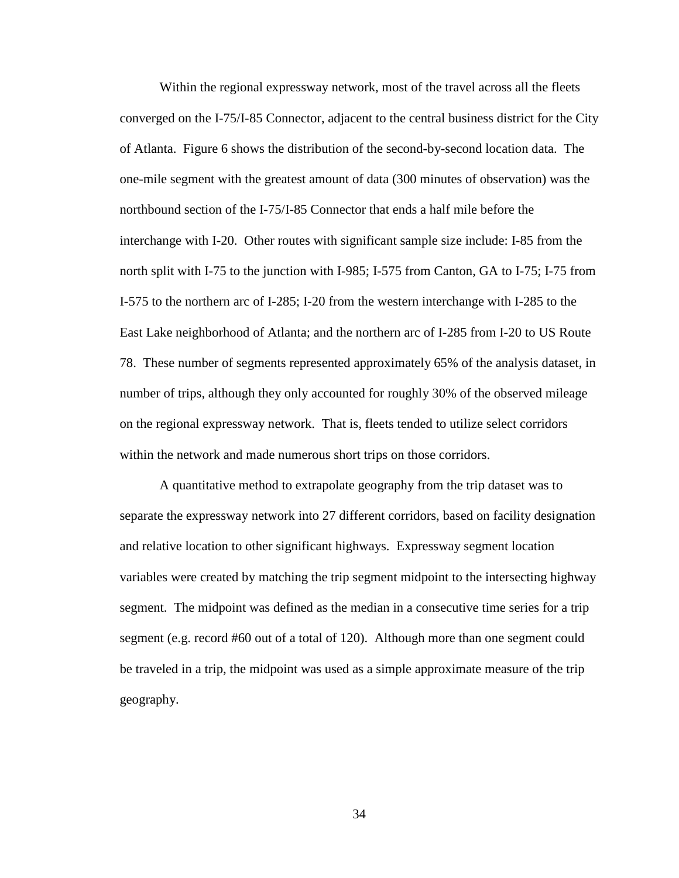Within the regional expressway network, most of the travel across all the fleets converged on the I-75/I-85 Connector, adjacent to the central business district for the City of Atlanta. Figure 6 shows the distribution of the second-by-second location data. The one-mile segment with the greatest amount of data (300 minutes of observation) was the northbound section of the I-75/I-85 Connector that ends a half mile before the interchange with I-20. Other routes with significant sample size include: I-85 from the north split with I-75 to the junction with I-985; I-575 from Canton, GA to I-75; I-75 from I-575 to the northern arc of I-285; I-20 from the western interchange with I-285 to the East Lake neighborhood of Atlanta; and the northern arc of I-285 from I-20 to US Route 78. These number of segments represented approximately 65% of the analysis dataset, in number of trips, although they only accounted for roughly 30% of the observed mileage on the regional expressway network. That is, fleets tended to utilize select corridors within the network and made numerous short trips on those corridors.

A quantitative method to extrapolate geography from the trip dataset was to separate the expressway network into 27 different corridors, based on facility designation and relative location to other significant highways. Expressway segment location variables were created by matching the trip segment midpoint to the intersecting highway segment. The midpoint was defined as the median in a consecutive time series for a trip segment (e.g. record #60 out of a total of 120). Although more than one segment could be traveled in a trip, the midpoint was used as a simple approximate measure of the trip geography.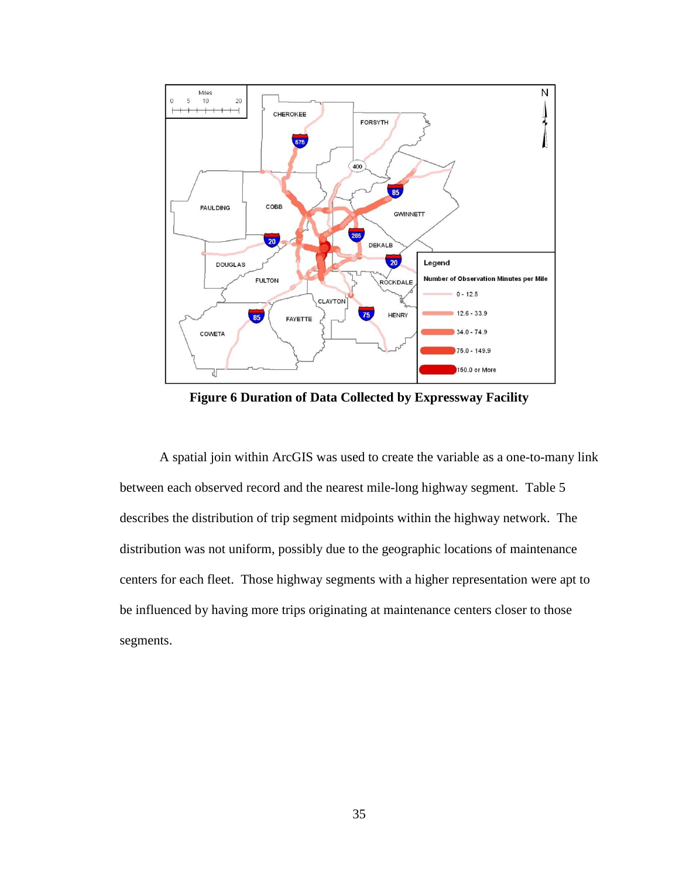

**Figure 6 Duration of Data Collected by Expressway Facility** 

A spatial join within ArcGIS was used to create the variable as a one-to-many link between each observed record and the nearest mile-long highway segment. Table 5 describes the distribution of trip segment midpoints within the highway network. The distribution was not uniform, possibly due to the geographic locations of maintenance centers for each fleet. Those highway segments with a higher representation were apt to be influenced by having more trips originating at maintenance centers closer to those segments.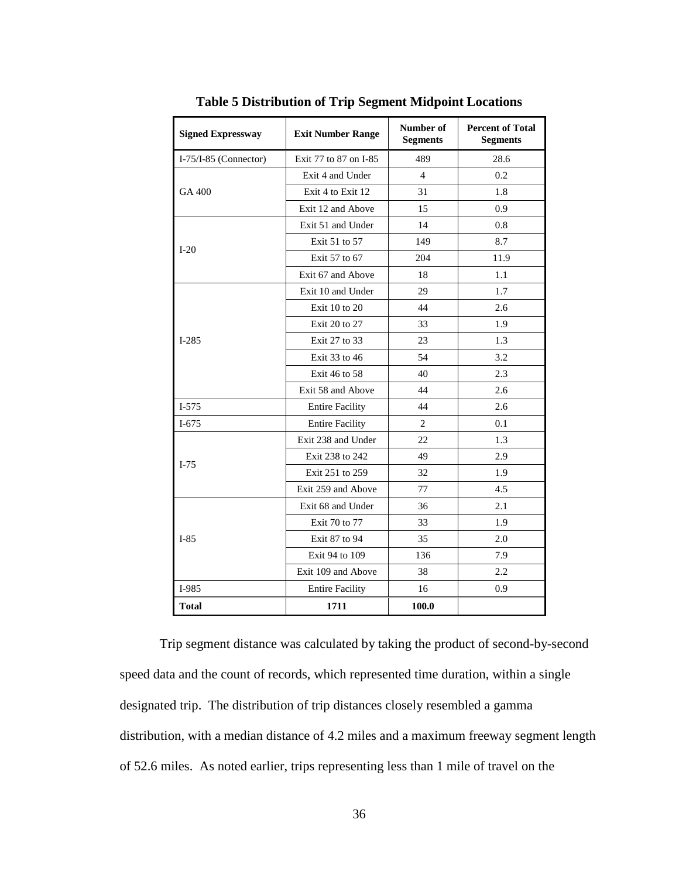| <b>Signed Expressway</b> | <b>Exit Number Range</b> | Number of<br><b>Segments</b> | <b>Percent of Total</b><br><b>Segments</b> |
|--------------------------|--------------------------|------------------------------|--------------------------------------------|
| $I-75/I-85$ (Connector)  | Exit 77 to 87 on I-85    | 489                          | 28.6                                       |
|                          | Exit 4 and Under         | $\overline{4}$               | 0.2                                        |
| GA 400                   | Exit 4 to Exit 12        | 31                           | 1.8                                        |
|                          | Exit 12 and Above        | 15                           | 0.9                                        |
|                          | Exit 51 and Under        | 14                           | 0.8                                        |
| $I-20$                   | Exit 51 to 57            | 149                          | 8.7                                        |
|                          | Exit 57 to 67            | 204                          | 11.9                                       |
|                          | Exit 67 and Above        | 18                           | 1.1                                        |
|                          | Exit 10 and Under        | 29                           | 1.7                                        |
|                          | Exit 10 to 20            | 44                           | 2.6                                        |
|                          | Exit 20 to 27            | 33                           | 1.9                                        |
| $I-285$                  | Exit 27 to 33            | 23                           | 1.3                                        |
|                          | Exit 33 to 46            | 54                           | 3.2                                        |
|                          | Exit 46 to 58            | 40                           | 2.3                                        |
|                          | Exit 58 and Above        | 44                           | 2.6                                        |
| $I-575$                  | <b>Entire Facility</b>   | 44                           | 2.6                                        |
| $I-675$                  | <b>Entire Facility</b>   | 2                            | 0.1                                        |
|                          | Exit 238 and Under       | 22                           | 1.3                                        |
|                          | Exit 238 to 242          | 49                           | 2.9                                        |
| $I-75$                   | Exit 251 to 259          | 32                           | 1.9                                        |
|                          | Exit 259 and Above       | 77                           | 4.5                                        |
|                          | Exit 68 and Under        | 36                           | 2.1                                        |
|                          | Exit 70 to 77            | 33                           | 1.9                                        |
| $I-85$                   | Exit 87 to 94            | 35                           | 2.0                                        |
|                          | Exit 94 to 109           | 136                          | 7.9                                        |
|                          | Exit 109 and Above       | 38                           | 2.2                                        |
| I-985                    | <b>Entire Facility</b>   | 16                           | 0.9                                        |
| <b>Total</b>             | 1711                     | 100.0                        |                                            |

**Table 5 Distribution of Trip Segment Midpoint Locations** 

Trip segment distance was calculated by taking the product of second-by-second speed data and the count of records, which represented time duration, within a single designated trip. The distribution of trip distances closely resembled a gamma distribution, with a median distance of 4.2 miles and a maximum freeway segment length of 52.6 miles. As noted earlier, trips representing less than 1 mile of travel on the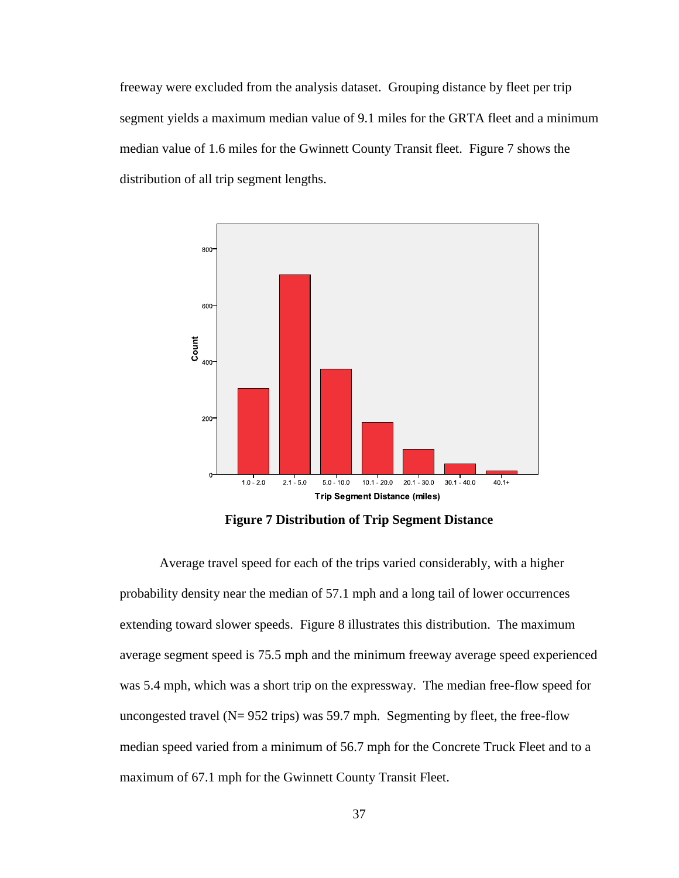freeway were excluded from the analysis dataset. Grouping distance by fleet per trip segment yields a maximum median value of 9.1 miles for the GRTA fleet and a minimum median value of 1.6 miles for the Gwinnett County Transit fleet. Figure 7 shows the distribution of all trip segment lengths.



**Figure 7 Distribution of Trip Segment Distance** 

Average travel speed for each of the trips varied considerably, with a higher probability density near the median of 57.1 mph and a long tail of lower occurrences extending toward slower speeds. Figure 8 illustrates this distribution. The maximum average segment speed is 75.5 mph and the minimum freeway average speed experienced was 5.4 mph, which was a short trip on the expressway. The median free-flow speed for uncongested travel ( $N= 952$  trips) was 59.7 mph. Segmenting by fleet, the free-flow median speed varied from a minimum of 56.7 mph for the Concrete Truck Fleet and to a maximum of 67.1 mph for the Gwinnett County Transit Fleet.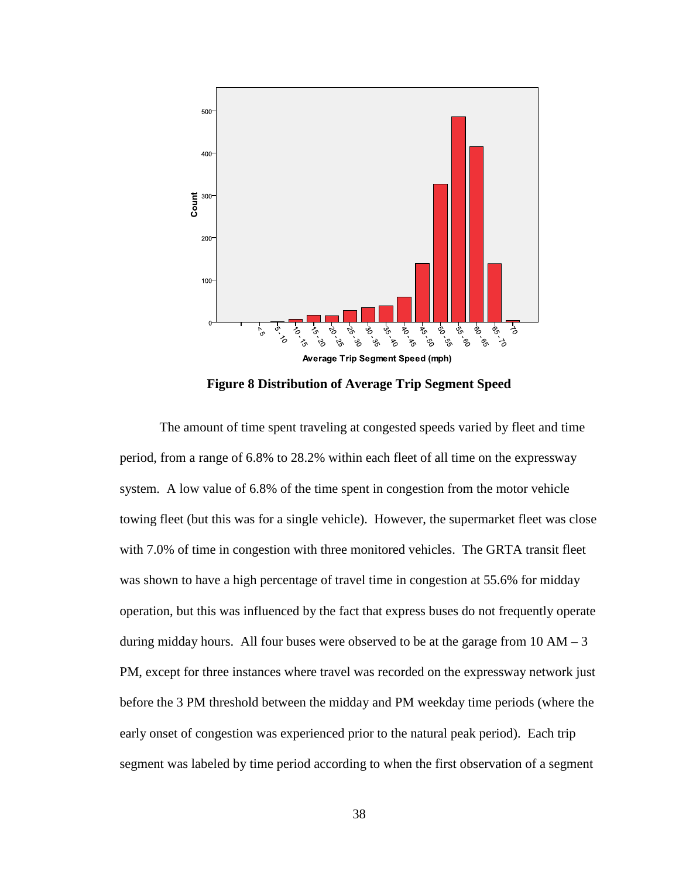

**Figure 8 Distribution of Average Trip Segment Speed**

 The amount of time spent traveling at congested speeds varied by fleet and time period, from a range of 6.8% to 28.2% within each fleet of all time on the expressway system. A low value of 6.8% of the time spent in congestion from the motor vehicle towing fleet (but this was for a single vehicle). However, the supermarket fleet was close with 7.0% of time in congestion with three monitored vehicles. The GRTA transit fleet was shown to have a high percentage of travel time in congestion at 55.6% for midday operation, but this was influenced by the fact that express buses do not frequently operate during midday hours. All four buses were observed to be at the garage from  $10 AM - 3$ PM, except for three instances where travel was recorded on the expressway network just before the 3 PM threshold between the midday and PM weekday time periods (where the early onset of congestion was experienced prior to the natural peak period). Each trip segment was labeled by time period according to when the first observation of a segment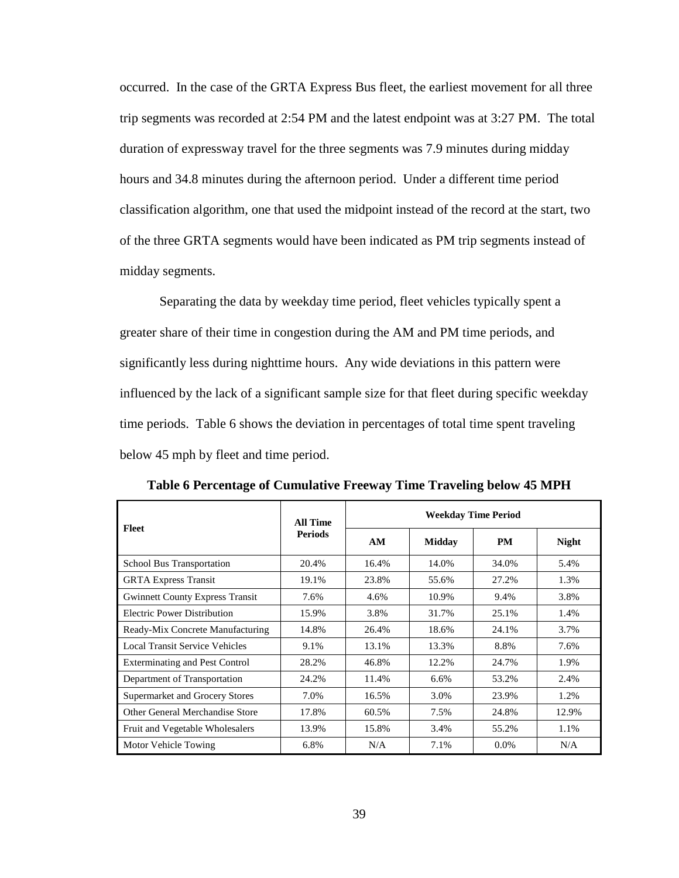occurred. In the case of the GRTA Express Bus fleet, the earliest movement for all three trip segments was recorded at 2:54 PM and the latest endpoint was at 3:27 PM. The total duration of expressway travel for the three segments was 7.9 minutes during midday hours and 34.8 minutes during the afternoon period. Under a different time period classification algorithm, one that used the midpoint instead of the record at the start, two of the three GRTA segments would have been indicated as PM trip segments instead of midday segments.

 Separating the data by weekday time period, fleet vehicles typically spent a greater share of their time in congestion during the AM and PM time periods, and significantly less during nighttime hours. Any wide deviations in this pattern were influenced by the lack of a significant sample size for that fleet during specific weekday time periods. Table 6 shows the deviation in percentages of total time spent traveling below 45 mph by fleet and time period.

| Fleet                                  | All Time       | <b>Weekday Time Period</b> |               |           |              |  |
|----------------------------------------|----------------|----------------------------|---------------|-----------|--------------|--|
|                                        | <b>Periods</b> | AM                         | <b>Midday</b> | <b>PM</b> | <b>Night</b> |  |
| <b>School Bus Transportation</b>       | 20.4%          | 16.4%                      | 14.0%         | 34.0%     | 5.4%         |  |
| <b>GRTA Express Transit</b>            | 19.1%          | 23.8%                      | 55.6%         | 27.2%     | 1.3%         |  |
| <b>Gwinnett County Express Transit</b> | 7.6%           | 4.6%                       | 10.9%         | 9.4%      | 3.8%         |  |
| <b>Electric Power Distribution</b>     | 15.9%          | 3.8%                       | 31.7%         | 25.1%     | 1.4%         |  |
| Ready-Mix Concrete Manufacturing       | 14.8%          | 26.4%                      | 18.6%         | 24.1%     | 3.7%         |  |
| <b>Local Transit Service Vehicles</b>  | 9.1%           | 13.1%                      | 13.3%         | 8.8%      | 7.6%         |  |
| <b>Exterminating and Pest Control</b>  | 28.2%          | 46.8%                      | 12.2%         | 24.7%     | 1.9%         |  |
| Department of Transportation           | 24.2%          | 11.4%                      | 6.6%          | 53.2%     | 2.4%         |  |
| <b>Supermarket and Grocery Stores</b>  | 7.0%           | 16.5%                      | 3.0%          | 23.9%     | 1.2%         |  |
| Other General Merchandise Store        | 17.8%          | 60.5%                      | 7.5%          | 24.8%     | 12.9%        |  |
| Fruit and Vegetable Wholesalers        | 13.9%          | 15.8%                      | 3.4%          | 55.2%     | 1.1%         |  |
| Motor Vehicle Towing                   | 6.8%           | N/A                        | 7.1%          | $0.0\%$   | N/A          |  |

**Table 6 Percentage of Cumulative Freeway Time Traveling below 45 MPH**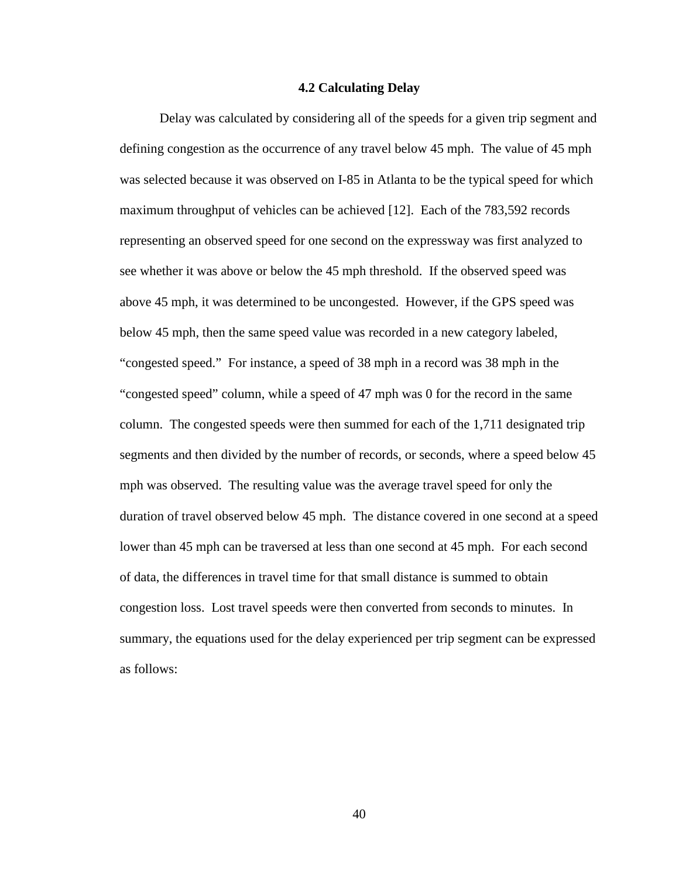#### **4.2 Calculating Delay**

Delay was calculated by considering all of the speeds for a given trip segment and defining congestion as the occurrence of any travel below 45 mph. The value of 45 mph was selected because it was observed on I-85 in Atlanta to be the typical speed for which maximum throughput of vehicles can be achieved [12]. Each of the 783,592 records representing an observed speed for one second on the expressway was first analyzed to see whether it was above or below the 45 mph threshold. If the observed speed was above 45 mph, it was determined to be uncongested. However, if the GPS speed was below 45 mph, then the same speed value was recorded in a new category labeled, "congested speed." For instance, a speed of 38 mph in a record was 38 mph in the "congested speed" column, while a speed of 47 mph was 0 for the record in the same column. The congested speeds were then summed for each of the 1,711 designated trip segments and then divided by the number of records, or seconds, where a speed below 45 mph was observed. The resulting value was the average travel speed for only the duration of travel observed below 45 mph. The distance covered in one second at a speed lower than 45 mph can be traversed at less than one second at 45 mph. For each second of data, the differences in travel time for that small distance is summed to obtain congestion loss. Lost travel speeds were then converted from seconds to minutes. In summary, the equations used for the delay experienced per trip segment can be expressed as follows: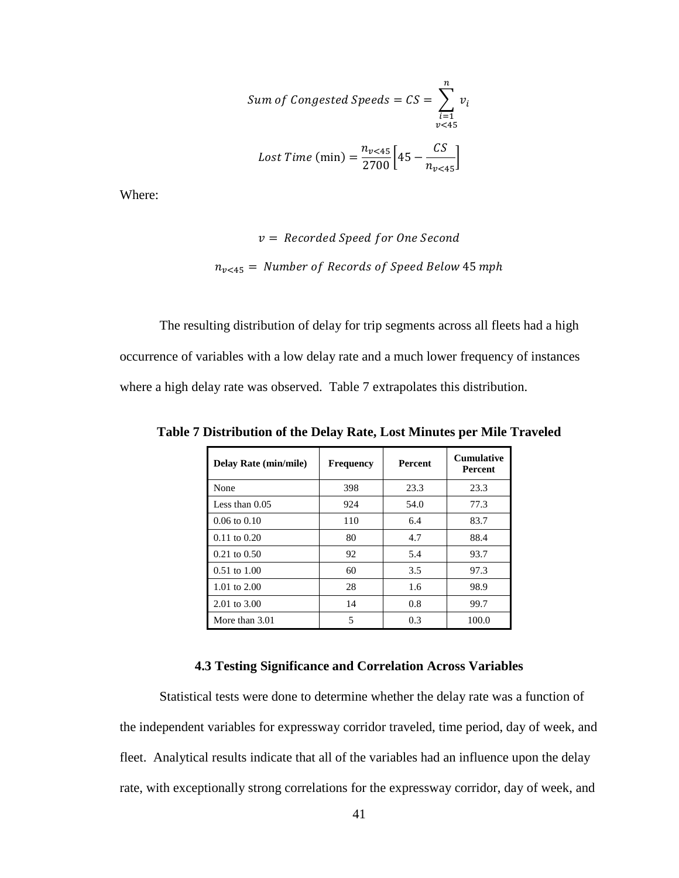Sum of Congested Speeds = 
$$
CS = \sum_{\substack{i=1 \ v < 45}}^{n} v_i
$$
  
 Lost Time (min) =  $\frac{n_{v < 45}}{2700} [45 - \frac{CS}{n_{v < 45}}]$ 

Where:

$$
v = Recorded Speed for One Second
$$
  

$$
n_{v<45} = Number of Records of Speed Below 45 mph
$$

The resulting distribution of delay for trip segments across all fleets had a high occurrence of variables with a low delay rate and a much lower frequency of instances where a high delay rate was observed. Table 7 extrapolates this distribution.

| <b>Delay Rate (min/mile)</b> | <b>Frequency</b> | <b>Percent</b> | <b>Cumulative</b><br><b>Percent</b> |
|------------------------------|------------------|----------------|-------------------------------------|
| None                         | 398              | 23.3           | 23.3                                |
| Less than $0.05$             | 924              | 54.0           | 77.3                                |
| $0.06 \text{ to } 0.10$      | 110              | 6.4            | 83.7                                |
| $0.11$ to $0.20$             | 80               | 4.7            | 88.4                                |
| $0.21$ to $0.50$             | 92               | 5.4            | 93.7                                |
| $0.51 \text{ to } 1.00$      | 60               | 3.5            | 97.3                                |
| 1.01 to $2.00$               | 28               | 1.6            | 98.9                                |
| 2.01 to 3.00                 | 14               | 0.8            | 99.7                                |
| More than 3.01               | 5                | 0.3            | 100.0                               |

**Table 7 Distribution of the Delay Rate, Lost Minutes per Mile Traveled** 

## **4.3 Testing Significance and Correlation Across Variables**

Statistical tests were done to determine whether the delay rate was a function of the independent variables for expressway corridor traveled, time period, day of week, and fleet. Analytical results indicate that all of the variables had an influence upon the delay rate, with exceptionally strong correlations for the expressway corridor, day of week, and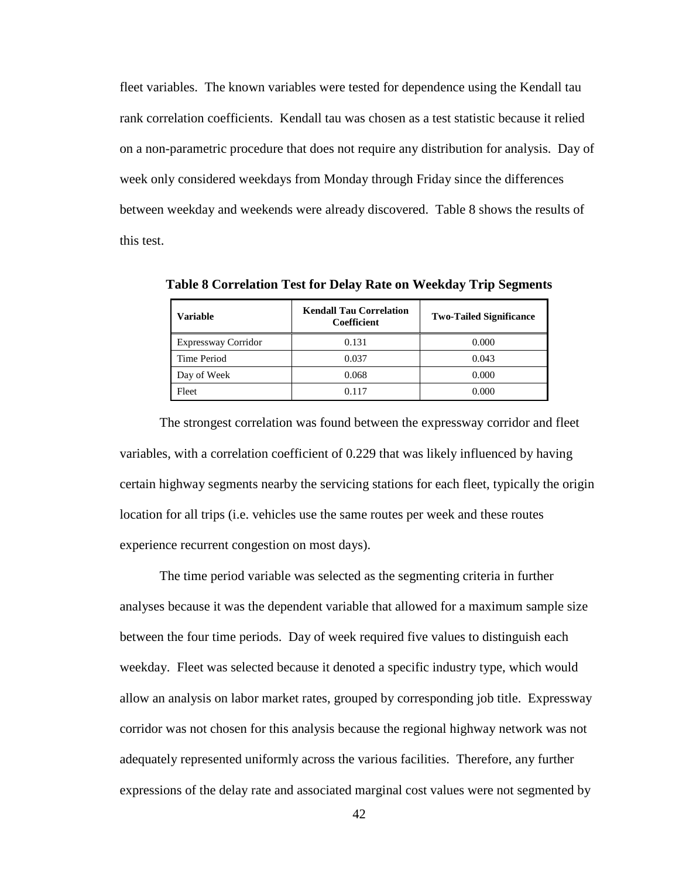fleet variables. The known variables were tested for dependence using the Kendall tau rank correlation coefficients. Kendall tau was chosen as a test statistic because it relied on a non-parametric procedure that does not require any distribution for analysis. Day of week only considered weekdays from Monday through Friday since the differences between weekday and weekends were already discovered. Table 8 shows the results of this test.

| <b>Variable</b>            | <b>Kendall Tau Correlation</b><br>Coefficient | <b>Two-Tailed Significance</b> |
|----------------------------|-----------------------------------------------|--------------------------------|
| <b>Expressway Corridor</b> | 0.131                                         | 0.000                          |
| Time Period                | 0.037                                         | 0.043                          |
| Day of Week                | 0.068                                         | 0.000                          |
| Fleet                      | 0.117                                         | 0.000                          |

**Table 8 Correlation Test for Delay Rate on Weekday Trip Segments** 

The strongest correlation was found between the expressway corridor and fleet variables, with a correlation coefficient of 0.229 that was likely influenced by having certain highway segments nearby the servicing stations for each fleet, typically the origin location for all trips (i.e. vehicles use the same routes per week and these routes experience recurrent congestion on most days).

The time period variable was selected as the segmenting criteria in further analyses because it was the dependent variable that allowed for a maximum sample size between the four time periods. Day of week required five values to distinguish each weekday. Fleet was selected because it denoted a specific industry type, which would allow an analysis on labor market rates, grouped by corresponding job title. Expressway corridor was not chosen for this analysis because the regional highway network was not adequately represented uniformly across the various facilities. Therefore, any further expressions of the delay rate and associated marginal cost values were not segmented by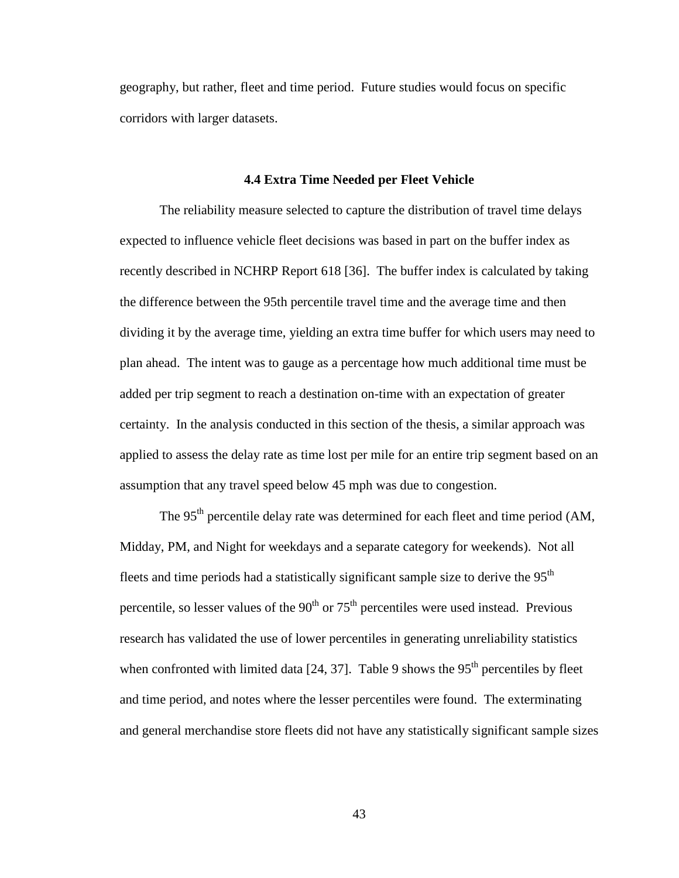geography, but rather, fleet and time period. Future studies would focus on specific corridors with larger datasets.

### **4.4 Extra Time Needed per Fleet Vehicle**

The reliability measure selected to capture the distribution of travel time delays expected to influence vehicle fleet decisions was based in part on the buffer index as recently described in NCHRP Report 618 [36]. The buffer index is calculated by taking the difference between the 95th percentile travel time and the average time and then dividing it by the average time, yielding an extra time buffer for which users may need to plan ahead. The intent was to gauge as a percentage how much additional time must be added per trip segment to reach a destination on-time with an expectation of greater certainty. In the analysis conducted in this section of the thesis, a similar approach was applied to assess the delay rate as time lost per mile for an entire trip segment based on an assumption that any travel speed below 45 mph was due to congestion.

The 95<sup>th</sup> percentile delay rate was determined for each fleet and time period (AM, Midday, PM, and Night for weekdays and a separate category for weekends). Not all fleets and time periods had a statistically significant sample size to derive the 95<sup>th</sup> percentile, so lesser values of the  $90<sup>th</sup>$  or  $75<sup>th</sup>$  percentiles were used instead. Previous research has validated the use of lower percentiles in generating unreliability statistics when confronted with limited data  $[24, 37]$ . Table 9 shows the 95<sup>th</sup> percentiles by fleet and time period, and notes where the lesser percentiles were found. The exterminating and general merchandise store fleets did not have any statistically significant sample sizes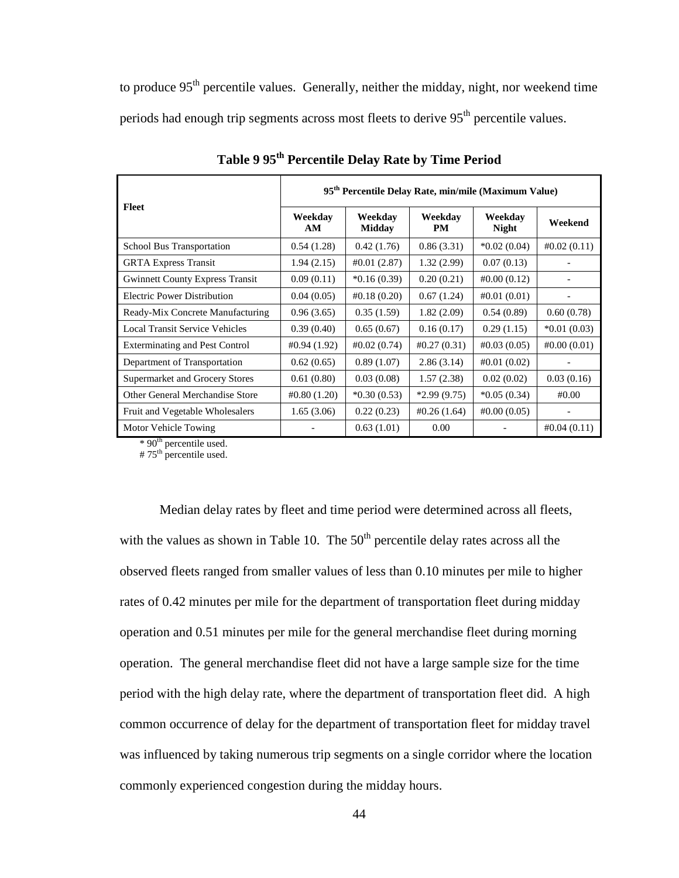to produce  $95<sup>th</sup>$  percentile values. Generally, neither the midday, night, nor weekend time periods had enough trip segments across most fleets to derive 95<sup>th</sup> percentile values.

|                                        | 95 <sup>th</sup> Percentile Delay Rate, min/mile (Maximum Value) |                          |                |                         |                |  |
|----------------------------------------|------------------------------------------------------------------|--------------------------|----------------|-------------------------|----------------|--|
| Fleet                                  | Weekdav<br>AM                                                    | Weekdav<br><b>Midday</b> | Weekdav<br>PM  | Weekdav<br><b>Night</b> | Weekend        |  |
| <b>School Bus Transportation</b>       | 0.54(1.28)                                                       | 0.42(1.76)               | 0.86(3.31)     | $*0.02(0.04)$           | #0.02(0.11)    |  |
| <b>GRTA Express Transit</b>            | 1.94(2.15)                                                       | $\#0.01(2.87)$           | 1.32(2.99)     | 0.07(0.13)              |                |  |
| <b>Gwinnett County Express Transit</b> | 0.09(0.11)                                                       | $*0.16(0.39)$            | 0.20(0.21)     | #0.00(0.12)             |                |  |
| <b>Electric Power Distribution</b>     | 0.04(0.05)                                                       | $\#0.18(0.20)$           | 0.67(1.24)     | #0.01(0.01)             |                |  |
| Ready-Mix Concrete Manufacturing       | 0.96(3.65)                                                       | 0.35(1.59)               | 1.82(2.09)     | 0.54(0.89)              | 0.60(0.78)     |  |
| <b>Local Transit Service Vehicles</b>  | 0.39(0.40)                                                       | 0.65(0.67)               | 0.16(0.17)     | 0.29(1.15)              | $*0.01(0.03)$  |  |
| <b>Exterminating and Pest Control</b>  | $\#0.94(1.92)$                                                   | $\#0.02(0.74)$           | $\#0.27(0.31)$ | $\#0.03(0.05)$          | $\#0.00(0.01)$ |  |
| Department of Transportation           | 0.62(0.65)                                                       | 0.89(1.07)               | 2.86(3.14)     | #0.01(0.02)             |                |  |
| Supermarket and Grocery Stores         | 0.61(0.80)                                                       | 0.03(0.08)               | 1.57(2.38)     | 0.02(0.02)              | 0.03(0.16)     |  |
| Other General Merchandise Store        | #0.80(1.20)                                                      | $*0.30(0.53)$            | $*2.99(9.75)$  | $*0.05(0.34)$           | #0.00          |  |
| Fruit and Vegetable Wholesalers        | 1.65(3.06)                                                       | 0.22(0.23)               | $\#0.26(1.64)$ | $\#0.00(0.05)$          |                |  |
| Motor Vehicle Towing                   |                                                                  | 0.63(1.01)               | 0.00           |                         | $\#0.04(0.11)$ |  |

**Table 9 95th Percentile Delay Rate by Time Period** 

\* 90<sup>th</sup> percentile used.

# 75<sup>th</sup> percentile used.

Median delay rates by fleet and time period were determined across all fleets, with the values as shown in Table 10. The  $50<sup>th</sup>$  percentile delay rates across all the observed fleets ranged from smaller values of less than 0.10 minutes per mile to higher rates of 0.42 minutes per mile for the department of transportation fleet during midday operation and 0.51 minutes per mile for the general merchandise fleet during morning operation. The general merchandise fleet did not have a large sample size for the time period with the high delay rate, where the department of transportation fleet did. A high common occurrence of delay for the department of transportation fleet for midday travel was influenced by taking numerous trip segments on a single corridor where the location commonly experienced congestion during the midday hours.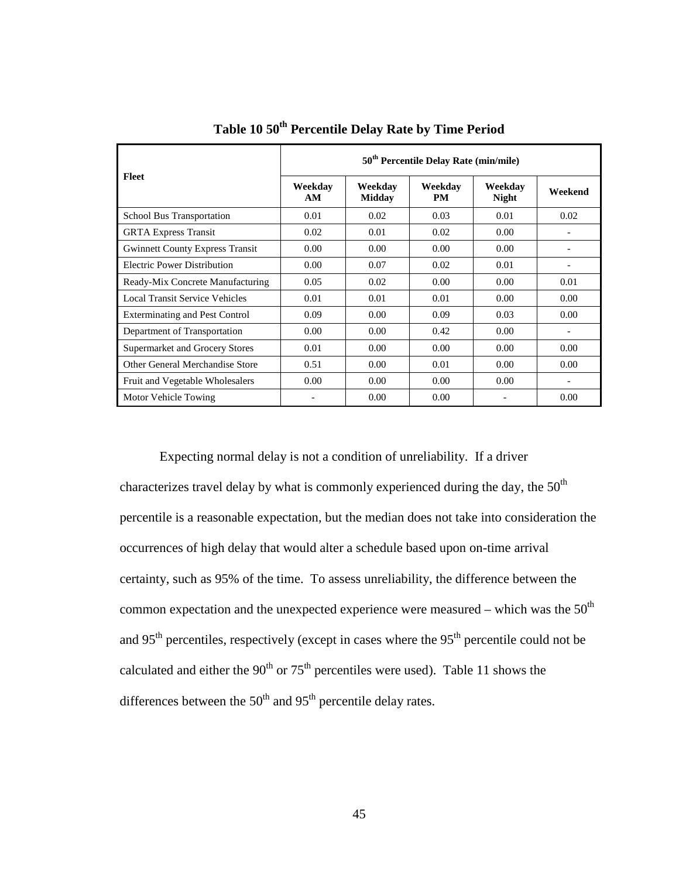| Fleet                                  | 50 <sup>th</sup> Percentile Delay Rate (min/mile) |                          |                      |                         |         |
|----------------------------------------|---------------------------------------------------|--------------------------|----------------------|-------------------------|---------|
|                                        | Weekday<br>AM                                     | Weekdav<br><b>Midday</b> | Weekday<br><b>PM</b> | Weekdav<br><b>Night</b> | Weekend |
| <b>School Bus Transportation</b>       | 0.01                                              | 0.02                     | 0.03                 | 0.01                    | 0.02    |
| <b>GRTA Express Transit</b>            | 0.02                                              | 0.01                     | 0.02                 | 0.00                    |         |
| <b>Gwinnett County Express Transit</b> | 0.00                                              | 0.00                     | 0.00                 | 0.00                    |         |
| <b>Electric Power Distribution</b>     | 0.00                                              | 0.07                     | 0.02                 | 0.01                    |         |
| Ready-Mix Concrete Manufacturing       | 0.05                                              | 0.02                     | 0.00                 | 0.00                    | 0.01    |
| Local Transit Service Vehicles         | 0.01                                              | 0.01                     | 0.01                 | 0.00                    | 0.00    |
| <b>Exterminating and Pest Control</b>  | 0.09                                              | 0.00                     | 0.09                 | 0.03                    | 0.00    |
| Department of Transportation           | 0.00                                              | 0.00                     | 0.42                 | 0.00                    |         |
| Supermarket and Grocery Stores         | 0.01                                              | 0.00                     | 0.00                 | 0.00                    | 0.00    |
| Other General Merchandise Store        | 0.51                                              | 0.00                     | 0.01                 | 0.00                    | 0.00    |
| Fruit and Vegetable Wholesalers        | 0.00                                              | 0.00                     | 0.00                 | 0.00                    |         |
| Motor Vehicle Towing                   | $\qquad \qquad$                                   | 0.00                     | 0.00                 |                         | 0.00    |

**Table 10 50th Percentile Delay Rate by Time Period** 

Expecting normal delay is not a condition of unreliability. If a driver characterizes travel delay by what is commonly experienced during the day, the  $50<sup>th</sup>$ percentile is a reasonable expectation, but the median does not take into consideration the occurrences of high delay that would alter a schedule based upon on-time arrival certainty, such as 95% of the time. To assess unreliability, the difference between the common expectation and the unexpected experience were measured – which was the  $50<sup>th</sup>$ and  $95<sup>th</sup>$  percentiles, respectively (except in cases where the  $95<sup>th</sup>$  percentile could not be calculated and either the  $90<sup>th</sup>$  or  $75<sup>th</sup>$  percentiles were used). Table 11 shows the differences between the  $50<sup>th</sup>$  and  $95<sup>th</sup>$  percentile delay rates.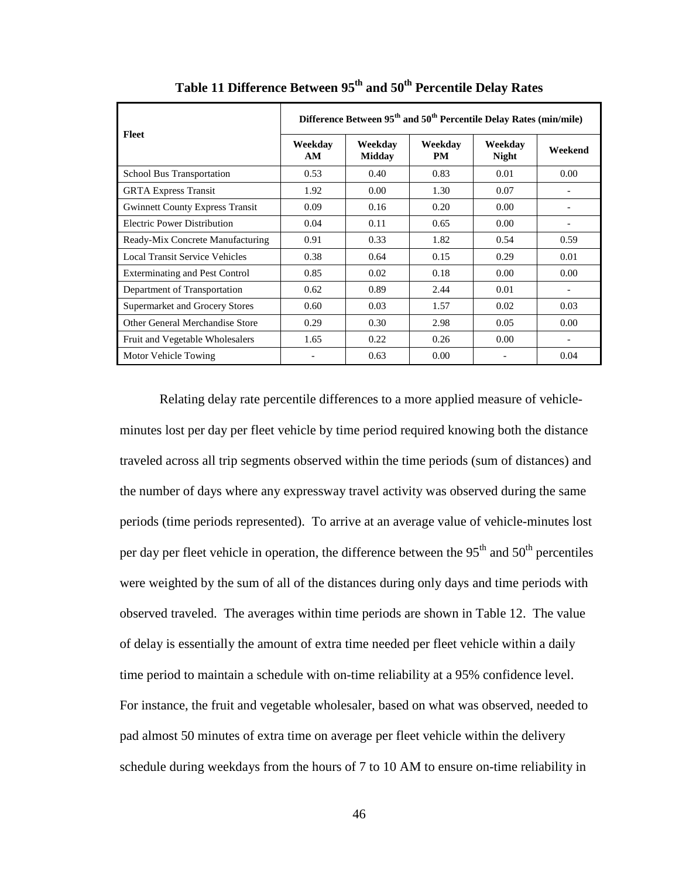| Fleet                                  | Difference Between 95 <sup>th</sup> and 50 <sup>th</sup> Percentile Delay Rates (min/mile) |                          |                      |                         |                              |  |
|----------------------------------------|--------------------------------------------------------------------------------------------|--------------------------|----------------------|-------------------------|------------------------------|--|
|                                        | Weekdav<br>AM                                                                              | Weekdav<br><b>Midday</b> | Weekdav<br><b>PM</b> | Weekday<br><b>Night</b> | Weekend                      |  |
| <b>School Bus Transportation</b>       | 0.53                                                                                       | 0.40                     | 0.83                 | 0.01                    | 0.00                         |  |
| <b>GRTA Express Transit</b>            | 1.92                                                                                       | 0.00                     | 1.30                 | 0.07                    |                              |  |
| <b>Gwinnett County Express Transit</b> | 0.09                                                                                       | 0.16                     | 0.20                 | 0.00                    |                              |  |
| <b>Electric Power Distribution</b>     | 0.04                                                                                       | 0.11                     | 0.65                 | 0.00                    | $\qquad \qquad \blacksquare$ |  |
| Ready-Mix Concrete Manufacturing       | 0.91                                                                                       | 0.33                     | 1.82                 | 0.54                    | 0.59                         |  |
| <b>Local Transit Service Vehicles</b>  | 0.38                                                                                       | 0.64                     | 0.15                 | 0.29                    | 0.01                         |  |
| <b>Exterminating and Pest Control</b>  | 0.85                                                                                       | 0.02                     | 0.18                 | 0.00                    | 0.00                         |  |
| Department of Transportation           | 0.62                                                                                       | 0.89                     | 2.44                 | 0.01                    |                              |  |
| Supermarket and Grocery Stores         | 0.60                                                                                       | 0.03                     | 1.57                 | 0.02                    | 0.03                         |  |
| Other General Merchandise Store        | 0.29                                                                                       | 0.30                     | 2.98                 | 0.05                    | 0.00                         |  |
| Fruit and Vegetable Wholesalers        | 1.65                                                                                       | 0.22                     | 0.26                 | 0.00                    | $\overline{\phantom{0}}$     |  |
| Motor Vehicle Towing                   |                                                                                            | 0.63                     | 0.00                 |                         | 0.04                         |  |

**Table 11 Difference Between 95th and 50th Percentile Delay Rates** 

Relating delay rate percentile differences to a more applied measure of vehicleminutes lost per day per fleet vehicle by time period required knowing both the distance traveled across all trip segments observed within the time periods (sum of distances) and the number of days where any expressway travel activity was observed during the same periods (time periods represented). To arrive at an average value of vehicle-minutes lost per day per fleet vehicle in operation, the difference between the  $95<sup>th</sup>$  and  $50<sup>th</sup>$  percentiles were weighted by the sum of all of the distances during only days and time periods with observed traveled. The averages within time periods are shown in Table 12. The value of delay is essentially the amount of extra time needed per fleet vehicle within a daily time period to maintain a schedule with on-time reliability at a 95% confidence level. For instance, the fruit and vegetable wholesaler, based on what was observed, needed to pad almost 50 minutes of extra time on average per fleet vehicle within the delivery schedule during weekdays from the hours of 7 to 10 AM to ensure on-time reliability in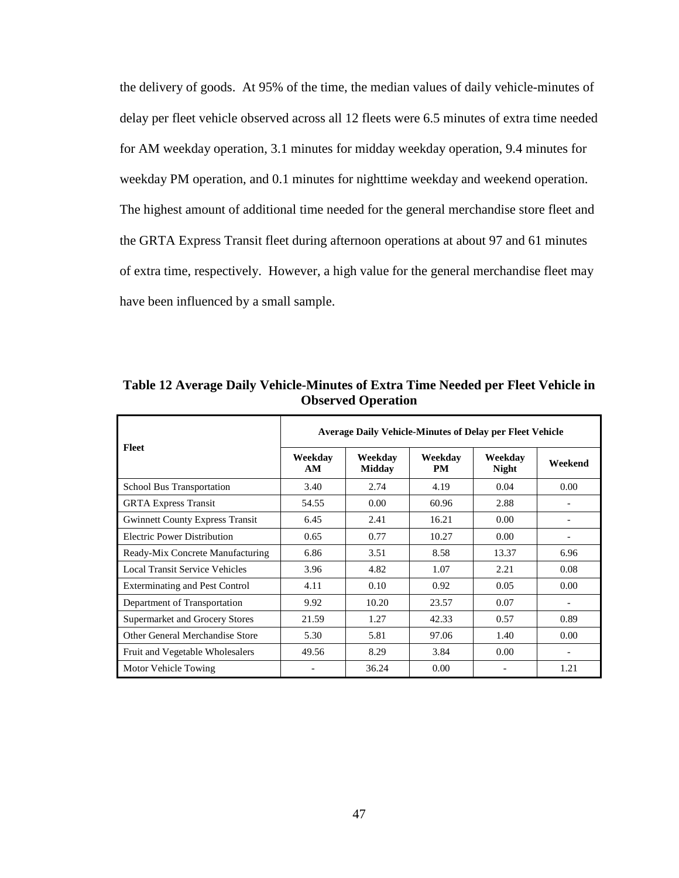the delivery of goods. At 95% of the time, the median values of daily vehicle-minutes of delay per fleet vehicle observed across all 12 fleets were 6.5 minutes of extra time needed for AM weekday operation, 3.1 minutes for midday weekday operation, 9.4 minutes for weekday PM operation, and 0.1 minutes for nighttime weekday and weekend operation. The highest amount of additional time needed for the general merchandise store fleet and the GRTA Express Transit fleet during afternoon operations at about 97 and 61 minutes of extra time, respectively. However, a high value for the general merchandise fleet may have been influenced by a small sample.

| Fleet                                  | <b>Average Daily Vehicle-Minutes of Delay per Fleet Vehicle</b> |                          |                      |                         |                              |  |
|----------------------------------------|-----------------------------------------------------------------|--------------------------|----------------------|-------------------------|------------------------------|--|
|                                        | Weekdav<br>AM                                                   | Weekdav<br><b>Midday</b> | Weekday<br><b>PM</b> | Weekdav<br><b>Night</b> | Weekend                      |  |
| <b>School Bus Transportation</b>       | 3.40                                                            | 2.74                     | 4.19                 | 0.04                    | 0.00                         |  |
| <b>GRTA Express Transit</b>            | 54.55                                                           | 0.00                     | 60.96                | 2.88                    |                              |  |
| <b>Gwinnett County Express Transit</b> | 6.45                                                            | 2.41                     | 16.21                | 0.00                    |                              |  |
| Electric Power Distribution            | 0.65                                                            | 0.77                     | 10.27                | 0.00                    | $\qquad \qquad \blacksquare$ |  |
| Ready-Mix Concrete Manufacturing       | 6.86                                                            | 3.51                     | 8.58                 | 13.37                   | 6.96                         |  |
| <b>Local Transit Service Vehicles</b>  | 3.96                                                            | 4.82                     | 1.07                 | 2.21                    | 0.08                         |  |
| <b>Exterminating and Pest Control</b>  | 4.11                                                            | 0.10                     | 0.92                 | 0.05                    | 0.00                         |  |
| Department of Transportation           | 9.92                                                            | 10.20                    | 23.57                | 0.07                    | $\qquad \qquad \blacksquare$ |  |
| <b>Supermarket and Grocery Stores</b>  | 21.59                                                           | 1.27                     | 42.33                | 0.57                    | 0.89                         |  |
| Other General Merchandise Store        | 5.30                                                            | 5.81                     | 97.06                | 1.40                    | 0.00                         |  |
| Fruit and Vegetable Wholesalers        | 49.56                                                           | 8.29                     | 3.84                 | 0.00                    |                              |  |
| Motor Vehicle Towing                   |                                                                 | 36.24                    | 0.00                 |                         | 1.21                         |  |

**Table 12 Average Daily Vehicle-Minutes of Extra Time Needed per Fleet Vehicle in Observed Operation**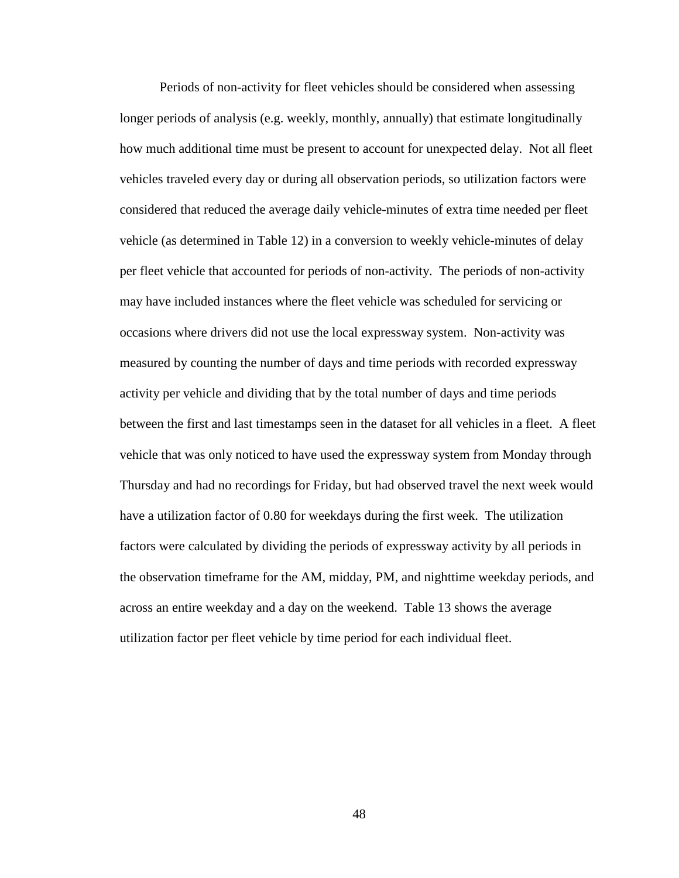Periods of non-activity for fleet vehicles should be considered when assessing longer periods of analysis (e.g. weekly, monthly, annually) that estimate longitudinally how much additional time must be present to account for unexpected delay. Not all fleet vehicles traveled every day or during all observation periods, so utilization factors were considered that reduced the average daily vehicle-minutes of extra time needed per fleet vehicle (as determined in Table 12) in a conversion to weekly vehicle-minutes of delay per fleet vehicle that accounted for periods of non-activity. The periods of non-activity may have included instances where the fleet vehicle was scheduled for servicing or occasions where drivers did not use the local expressway system. Non-activity was measured by counting the number of days and time periods with recorded expressway activity per vehicle and dividing that by the total number of days and time periods between the first and last timestamps seen in the dataset for all vehicles in a fleet. A fleet vehicle that was only noticed to have used the expressway system from Monday through Thursday and had no recordings for Friday, but had observed travel the next week would have a utilization factor of 0.80 for weekdays during the first week. The utilization factors were calculated by dividing the periods of expressway activity by all periods in the observation timeframe for the AM, midday, PM, and nighttime weekday periods, and across an entire weekday and a day on the weekend. Table 13 shows the average utilization factor per fleet vehicle by time period for each individual fleet.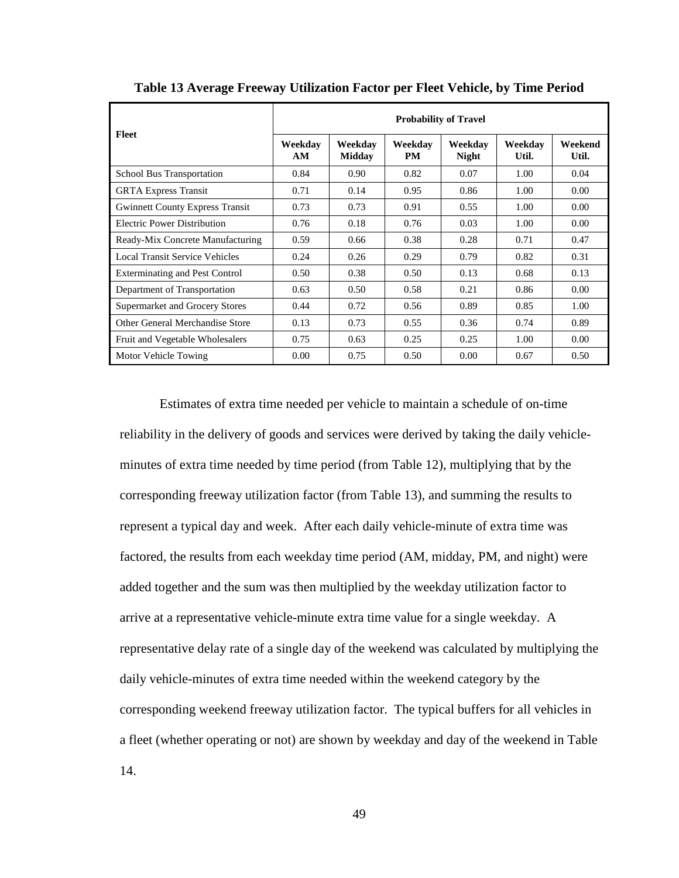| Fleet                                  | <b>Probability of Travel</b> |                          |               |                         |                  |                  |
|----------------------------------------|------------------------------|--------------------------|---------------|-------------------------|------------------|------------------|
|                                        | Weekdav<br>AM                | Weekdav<br><b>Midday</b> | Weekdav<br>PM | Weekdav<br><b>Night</b> | Weekdav<br>Util. | Weekend<br>Util. |
| <b>School Bus Transportation</b>       | 0.84                         | 0.90                     | 0.82          | 0.07                    | 1.00             | 0.04             |
| <b>GRTA Express Transit</b>            | 0.71                         | 0.14                     | 0.95          | 0.86                    | 1.00             | 0.00             |
| <b>Gwinnett County Express Transit</b> | 0.73                         | 0.73                     | 0.91          | 0.55                    | 1.00             | 0.00             |
| Electric Power Distribution            | 0.76                         | 0.18                     | 0.76          | 0.03                    | 1.00             | 0.00             |
| Ready-Mix Concrete Manufacturing       | 0.59                         | 0.66                     | 0.38          | 0.28                    | 0.71             | 0.47             |
| Local Transit Service Vehicles         | 0.24                         | 0.26                     | 0.29          | 0.79                    | 0.82             | 0.31             |
| <b>Exterminating and Pest Control</b>  | 0.50                         | 0.38                     | 0.50          | 0.13                    | 0.68             | 0.13             |
| Department of Transportation           | 0.63                         | 0.50                     | 0.58          | 0.21                    | 0.86             | 0.00             |
| Supermarket and Grocery Stores         | 0.44                         | 0.72                     | 0.56          | 0.89                    | 0.85             | 1.00             |
| Other General Merchandise Store        | 0.13                         | 0.73                     | 0.55          | 0.36                    | 0.74             | 0.89             |
| Fruit and Vegetable Wholesalers        | 0.75                         | 0.63                     | 0.25          | 0.25                    | 1.00             | 0.00             |
| Motor Vehicle Towing                   | 0.00                         | 0.75                     | 0.50          | 0.00                    | 0.67             | 0.50             |

**Table 13 Average Freeway Utilization Factor per Fleet Vehicle, by Time Period** 

 Estimates of extra time needed per vehicle to maintain a schedule of on-time reliability in the delivery of goods and services were derived by taking the daily vehicleminutes of extra time needed by time period (from Table 12), multiplying that by the corresponding freeway utilization factor (from Table 13), and summing the results to represent a typical day and week. After each daily vehicle-minute of extra time was factored, the results from each weekday time period (AM, midday, PM, and night) were added together and the sum was then multiplied by the weekday utilization factor to arrive at a representative vehicle-minute extra time value for a single weekday. A representative delay rate of a single day of the weekend was calculated by multiplying the daily vehicle-minutes of extra time needed within the weekend category by the corresponding weekend freeway utilization factor. The typical buffers for all vehicles in a fleet (whether operating or not) are shown by weekday and day of the weekend in Table 14.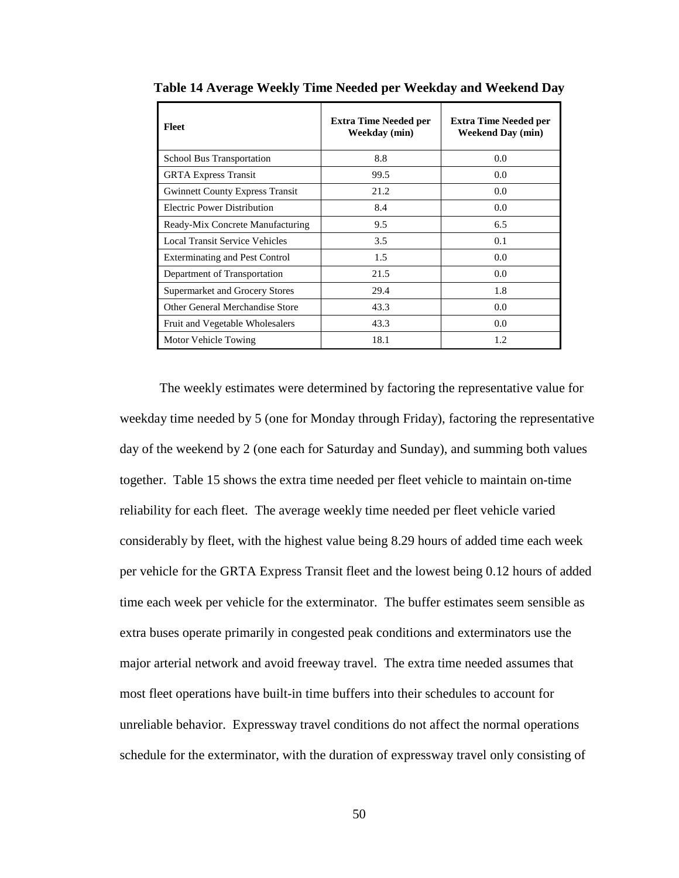| Fleet                                  | <b>Extra Time Needed per</b><br>Weekday (min) | <b>Extra Time Needed per</b><br><b>Weekend Day (min)</b> |
|----------------------------------------|-----------------------------------------------|----------------------------------------------------------|
| <b>School Bus Transportation</b>       | 8.8                                           | 0.0                                                      |
| <b>GRTA Express Transit</b>            | 99.5                                          | 0.0                                                      |
| <b>Gwinnett County Express Transit</b> | 21.2                                          | 0.0                                                      |
| Electric Power Distribution            | 8.4                                           | 0.0                                                      |
| Ready-Mix Concrete Manufacturing       | 9.5                                           | 6.5                                                      |
| Local Transit Service Vehicles         | 3.5                                           | 0.1                                                      |
| <b>Exterminating and Pest Control</b>  | 1.5                                           | 0.0                                                      |
| Department of Transportation           | 21.5                                          | 0.0                                                      |
| Supermarket and Grocery Stores         | 29.4                                          | 1.8                                                      |
| Other General Merchandise Store        | 43.3                                          | $0.0^{\circ}$                                            |
| Fruit and Vegetable Wholesalers        | 43.3                                          | 0.0                                                      |
| Motor Vehicle Towing                   | 18.1                                          | 1.2                                                      |

**Table 14 Average Weekly Time Needed per Weekday and Weekend Day** 

The weekly estimates were determined by factoring the representative value for weekday time needed by 5 (one for Monday through Friday), factoring the representative day of the weekend by 2 (one each for Saturday and Sunday), and summing both values together. Table 15 shows the extra time needed per fleet vehicle to maintain on-time reliability for each fleet. The average weekly time needed per fleet vehicle varied considerably by fleet, with the highest value being 8.29 hours of added time each week per vehicle for the GRTA Express Transit fleet and the lowest being 0.12 hours of added time each week per vehicle for the exterminator. The buffer estimates seem sensible as extra buses operate primarily in congested peak conditions and exterminators use the major arterial network and avoid freeway travel. The extra time needed assumes that most fleet operations have built-in time buffers into their schedules to account for unreliable behavior. Expressway travel conditions do not affect the normal operations schedule for the exterminator, with the duration of expressway travel only consisting of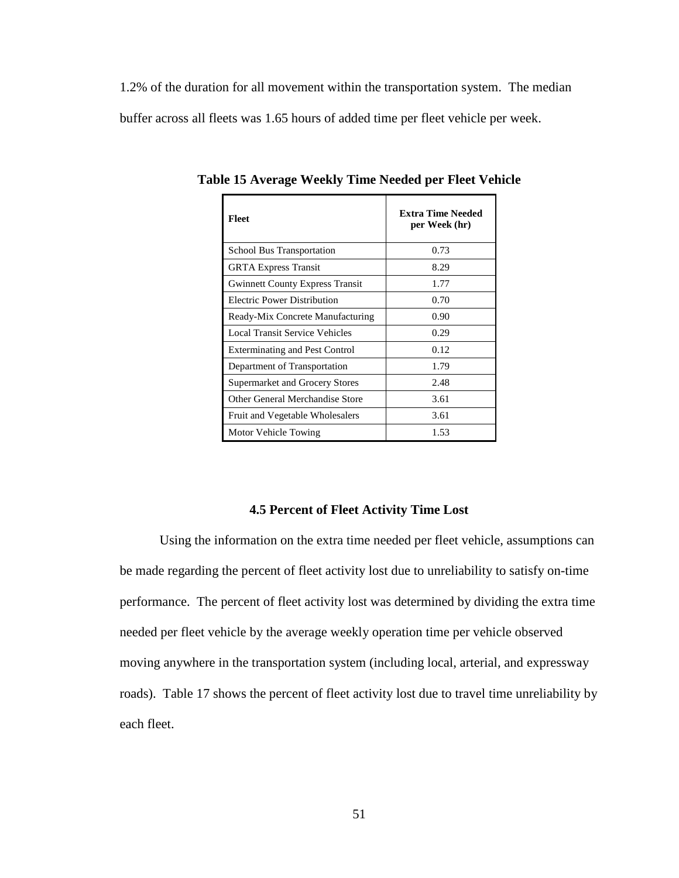1.2% of the duration for all movement within the transportation system. The median buffer across all fleets was 1.65 hours of added time per fleet vehicle per week.

| <b>Fleet</b>                           | <b>Extra Time Needed</b><br>per Week (hr) |
|----------------------------------------|-------------------------------------------|
| <b>School Bus Transportation</b>       | 0.73                                      |
| <b>GRTA Express Transit</b>            | 8.29                                      |
| <b>Gwinnett County Express Transit</b> | 1.77                                      |
| Electric Power Distribution            | 0.70                                      |
| Ready-Mix Concrete Manufacturing       | 0.90                                      |
| <b>Local Transit Service Vehicles</b>  | 0.29                                      |
| <b>Exterminating and Pest Control</b>  | 0.12                                      |
| Department of Transportation           | 1.79                                      |
| Supermarket and Grocery Stores         | 2.48                                      |
| Other General Merchandise Store        | 3.61                                      |
| Fruit and Vegetable Wholesalers        | 3.61                                      |
| Motor Vehicle Towing                   | 1.53                                      |

**Table 15 Average Weekly Time Needed per Fleet Vehicle** 

### **4.5 Percent of Fleet Activity Time Lost**

Using the information on the extra time needed per fleet vehicle, assumptions can be made regarding the percent of fleet activity lost due to unreliability to satisfy on-time performance. The percent of fleet activity lost was determined by dividing the extra time needed per fleet vehicle by the average weekly operation time per vehicle observed moving anywhere in the transportation system (including local, arterial, and expressway roads). Table 17 shows the percent of fleet activity lost due to travel time unreliability by each fleet.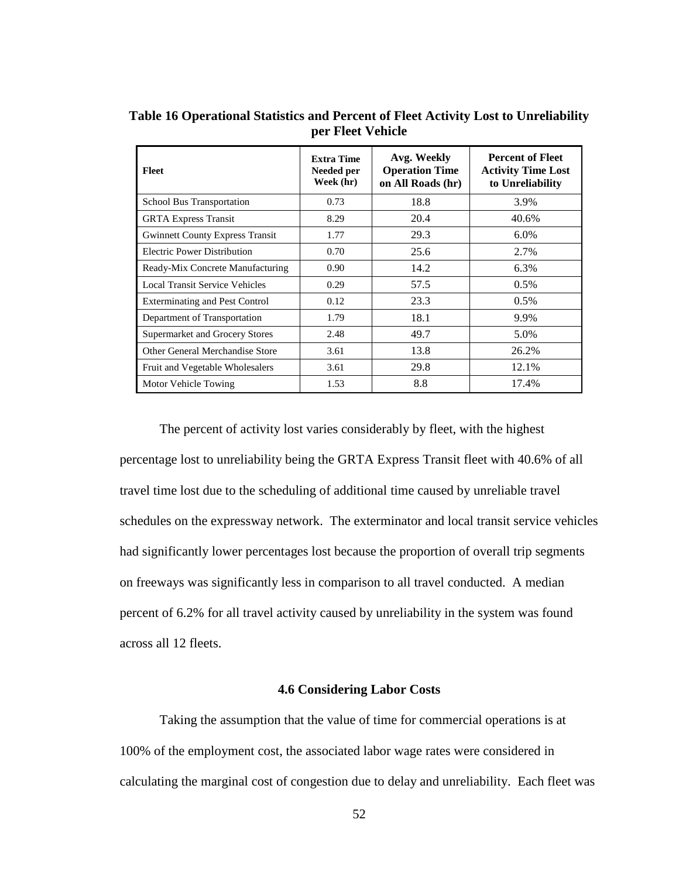| <b>Fleet</b>                           | <b>Extra Time</b><br>Needed per<br>Week (hr) | Avg. Weekly<br><b>Operation Time</b><br>on All Roads (hr) | <b>Percent of Fleet</b><br><b>Activity Time Lost</b><br>to Unreliability |
|----------------------------------------|----------------------------------------------|-----------------------------------------------------------|--------------------------------------------------------------------------|
| <b>School Bus Transportation</b>       | 0.73                                         | 18.8                                                      | 3.9%                                                                     |
| <b>GRTA Express Transit</b>            | 8.29                                         | 20.4                                                      | 40.6%                                                                    |
| <b>Gwinnett County Express Transit</b> | 1.77                                         | 29.3                                                      | 6.0%                                                                     |
| Electric Power Distribution            | 0.70                                         | 25.6                                                      | 2.7%                                                                     |
| Ready-Mix Concrete Manufacturing       | 0.90                                         | 14.2                                                      | 6.3%                                                                     |
| Local Transit Service Vehicles         | 0.29                                         | 57.5                                                      | $0.5\%$                                                                  |
| <b>Exterminating and Pest Control</b>  | 0.12                                         | 23.3                                                      | 0.5%                                                                     |
| Department of Transportation           | 1.79                                         | 18.1                                                      | 9.9%                                                                     |
| <b>Supermarket and Grocery Stores</b>  | 2.48                                         | 49.7                                                      | 5.0%                                                                     |
| Other General Merchandise Store        | 3.61                                         | 13.8                                                      | 26.2%                                                                    |
| Fruit and Vegetable Wholesalers        | 3.61                                         | 29.8                                                      | 12.1%                                                                    |
| Motor Vehicle Towing                   | 1.53                                         | 8.8                                                       | 17.4%                                                                    |

**Table 16 Operational Statistics and Percent of Fleet Activity Lost to Unreliability per Fleet Vehicle** 

The percent of activity lost varies considerably by fleet, with the highest percentage lost to unreliability being the GRTA Express Transit fleet with 40.6% of all travel time lost due to the scheduling of additional time caused by unreliable travel schedules on the expressway network. The exterminator and local transit service vehicles had significantly lower percentages lost because the proportion of overall trip segments on freeways was significantly less in comparison to all travel conducted. A median percent of 6.2% for all travel activity caused by unreliability in the system was found across all 12 fleets.

## **4.6 Considering Labor Costs**

Taking the assumption that the value of time for commercial operations is at 100% of the employment cost, the associated labor wage rates were considered in calculating the marginal cost of congestion due to delay and unreliability. Each fleet was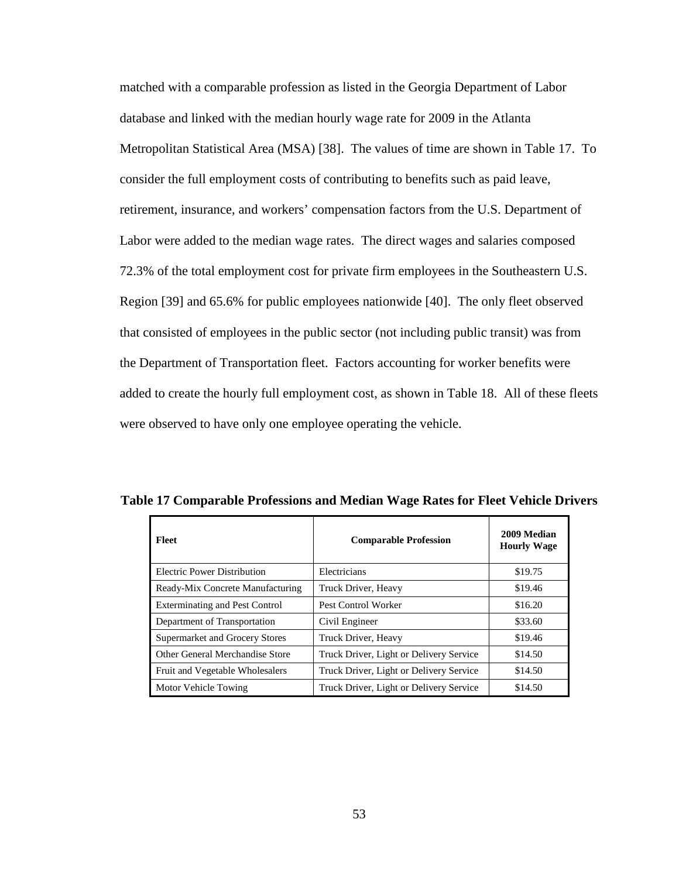matched with a comparable profession as listed in the Georgia Department of Labor database and linked with the median hourly wage rate for 2009 in the Atlanta Metropolitan Statistical Area (MSA) [38]. The values of time are shown in Table 17. To consider the full employment costs of contributing to benefits such as paid leave, retirement, insurance, and workers' compensation factors from the U.S. Department of Labor were added to the median wage rates. The direct wages and salaries composed 72.3% of the total employment cost for private firm employees in the Southeastern U.S. Region [39] and 65.6% for public employees nationwide [40]. The only fleet observed that consisted of employees in the public sector (not including public transit) was from the Department of Transportation fleet. Factors accounting for worker benefits were added to create the hourly full employment cost, as shown in Table 18. All of these fleets were observed to have only one employee operating the vehicle.

| <b>Fleet</b>                          | <b>Comparable Profession</b>            | 2009 Median<br><b>Hourly Wage</b> |
|---------------------------------------|-----------------------------------------|-----------------------------------|
| <b>Electric Power Distribution</b>    | Electricians                            | \$19.75                           |
| Ready-Mix Concrete Manufacturing      | Truck Driver, Heavy                     | \$19.46                           |
| <b>Exterminating and Pest Control</b> | Pest Control Worker                     | \$16.20                           |
| Department of Transportation          | Civil Engineer                          | \$33.60                           |
| Supermarket and Grocery Stores        | Truck Driver, Heavy                     | \$19.46                           |
| Other General Merchandise Store       | Truck Driver, Light or Delivery Service | \$14.50                           |
| Fruit and Vegetable Wholesalers       | Truck Driver, Light or Delivery Service | \$14.50                           |
| Motor Vehicle Towing                  | Truck Driver, Light or Delivery Service | \$14.50                           |

**Table 17 Comparable Professions and Median Wage Rates for Fleet Vehicle Drivers**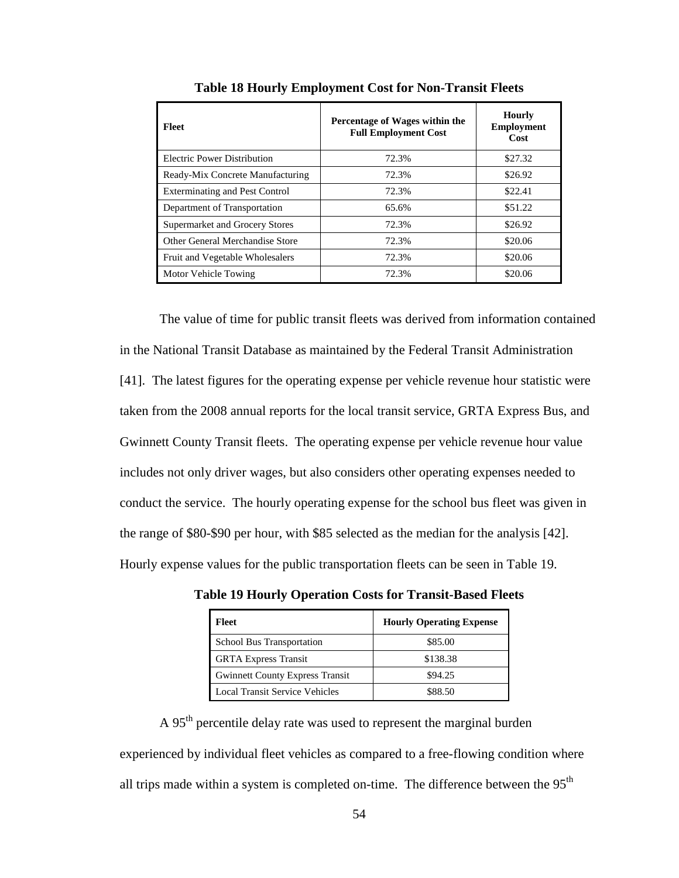| Fleet                                 | Percentage of Wages within the<br><b>Full Employment Cost</b> | <b>Hourly</b><br><b>Employment</b><br>Cost |
|---------------------------------------|---------------------------------------------------------------|--------------------------------------------|
| Electric Power Distribution           | 72.3%                                                         | \$27.32                                    |
| Ready-Mix Concrete Manufacturing      | 72.3%                                                         | \$26.92                                    |
| <b>Exterminating and Pest Control</b> | 72.3%                                                         | \$22.41                                    |
| Department of Transportation          | 65.6%                                                         | \$51.22                                    |
| Supermarket and Grocery Stores        | 72.3%                                                         | \$26.92                                    |
| Other General Merchandise Store       | 72.3%                                                         | \$20.06                                    |
| Fruit and Vegetable Wholesalers       | 72.3%                                                         | \$20.06                                    |
| Motor Vehicle Towing                  | 72.3%                                                         | \$20.06                                    |
|                                       |                                                               |                                            |

**Table 18 Hourly Employment Cost for Non-Transit Fleets** 

The value of time for public transit fleets was derived from information contained in the National Transit Database as maintained by the Federal Transit Administration [41]. The latest figures for the operating expense per vehicle revenue hour statistic were taken from the 2008 annual reports for the local transit service, GRTA Express Bus, and Gwinnett County Transit fleets. The operating expense per vehicle revenue hour value includes not only driver wages, but also considers other operating expenses needed to conduct the service. The hourly operating expense for the school bus fleet was given in the range of \$80-\$90 per hour, with \$85 selected as the median for the analysis [42]. Hourly expense values for the public transportation fleets can be seen in Table 19.

| Fleet                                  | <b>Hourly Operating Expense</b> |
|----------------------------------------|---------------------------------|
| School Bus Transportation              | \$85.00                         |
| <b>GRTA Express Transit</b>            | \$138.38                        |
| <b>Gwinnett County Express Transit</b> | \$94.25                         |
| <b>Local Transit Service Vehicles</b>  | \$88.50                         |

**Table 19 Hourly Operation Costs for Transit-Based Fleets** 

A 95<sup>th</sup> percentile delay rate was used to represent the marginal burden experienced by individual fleet vehicles as compared to a free-flowing condition where all trips made within a system is completed on-time. The difference between the  $95<sup>th</sup>$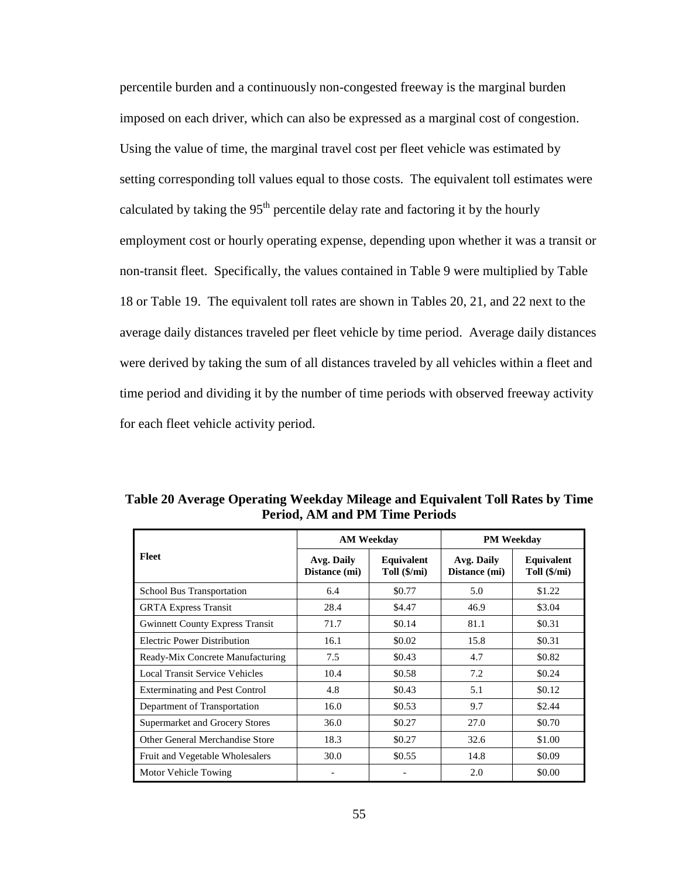percentile burden and a continuously non-congested freeway is the marginal burden imposed on each driver, which can also be expressed as a marginal cost of congestion. Using the value of time, the marginal travel cost per fleet vehicle was estimated by setting corresponding toll values equal to those costs. The equivalent toll estimates were calculated by taking the  $95<sup>th</sup>$  percentile delay rate and factoring it by the hourly employment cost or hourly operating expense, depending upon whether it was a transit or non-transit fleet. Specifically, the values contained in Table 9 were multiplied by Table 18 or Table 19. The equivalent toll rates are shown in Tables 20, 21, and 22 next to the average daily distances traveled per fleet vehicle by time period. Average daily distances were derived by taking the sum of all distances traveled by all vehicles within a fleet and time period and dividing it by the number of time periods with observed freeway activity for each fleet vehicle activity period.

|                                        | <b>AM Weekdav</b>           |                            | <b>PM Weekday</b>           |                            |
|----------------------------------------|-----------------------------|----------------------------|-----------------------------|----------------------------|
| Fleet                                  | Avg. Daily<br>Distance (mi) | Equivalent<br>Toll (\$/mi) | Avg. Daily<br>Distance (mi) | Equivalent<br>Toll (\$/mi) |
| School Bus Transportation              | 6.4                         | \$0.77                     | 5.0                         | \$1.22                     |
| <b>GRTA Express Transit</b>            | 28.4                        | \$4.47                     | 46.9                        | \$3.04                     |
| <b>Gwinnett County Express Transit</b> | 71.7                        | \$0.14                     | 81.1                        | \$0.31                     |
| <b>Electric Power Distribution</b>     | 16.1                        | \$0.02                     | 15.8                        | \$0.31                     |
| Ready-Mix Concrete Manufacturing       | 7.5                         | \$0.43                     | 4.7                         | \$0.82                     |
| <b>Local Transit Service Vehicles</b>  | 10.4                        | \$0.58                     | 7.2                         | \$0.24                     |
| <b>Exterminating and Pest Control</b>  | 4.8                         | \$0.43                     | 5.1                         | \$0.12                     |
| Department of Transportation           | 16.0                        | \$0.53                     | 9.7                         | \$2.44                     |
| <b>Supermarket and Grocery Stores</b>  | 36.0                        | \$0.27                     | 27.0                        | \$0.70                     |
| Other General Merchandise Store        | 18.3                        | \$0.27                     | 32.6                        | \$1.00                     |
| Fruit and Vegetable Wholesalers        | 30.0                        | \$0.55                     | 14.8                        | \$0.09                     |
| Motor Vehicle Towing                   |                             |                            | 2.0                         | \$0.00                     |

**Table 20 Average Operating Weekday Mileage and Equivalent Toll Rates by Time Period, AM and PM Time Periods**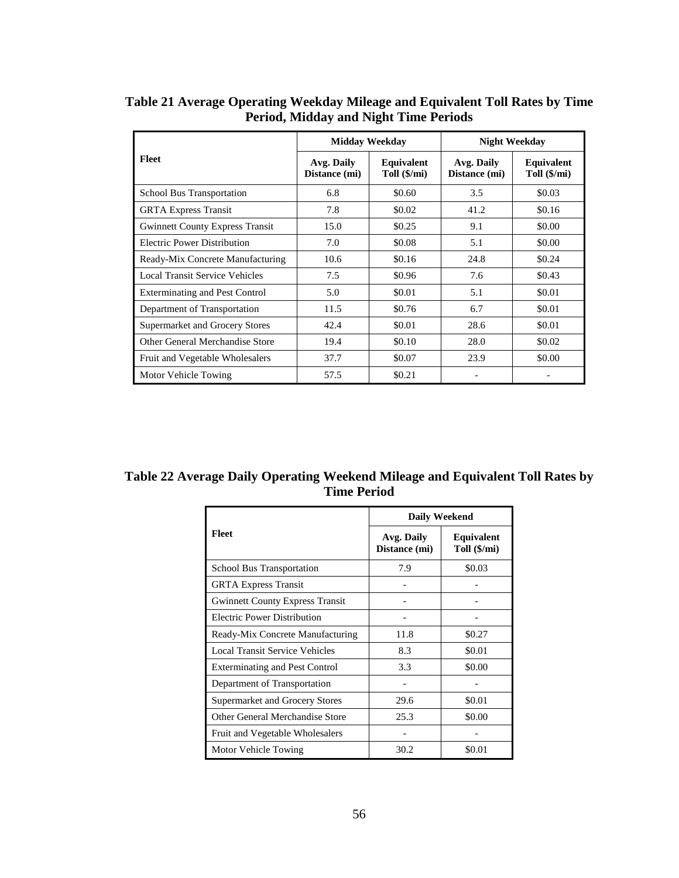|                                        |                             | <b>Midday Weekday</b>      | <b>Night Weekday</b>        |                            |
|----------------------------------------|-----------------------------|----------------------------|-----------------------------|----------------------------|
| Fleet                                  | Avg. Daily<br>Distance (mi) | Equivalent<br>Toll (\$/mi) | Avg. Daily<br>Distance (mi) | Equivalent<br>Toll (\$/mi) |
| School Bus Transportation              | 6.8                         | \$0.60                     | 3.5                         | \$0.03                     |
| <b>GRTA Express Transit</b>            | 7.8                         | \$0.02                     | 41.2                        | \$0.16                     |
| <b>Gwinnett County Express Transit</b> | 15.0                        | \$0.25                     | 9.1                         | \$0.00                     |
| <b>Electric Power Distribution</b>     | 7.0                         | \$0.08                     | 5.1                         | \$0.00                     |
| Ready-Mix Concrete Manufacturing       | 10.6                        | \$0.16                     | 24.8                        | \$0.24                     |
| Local Transit Service Vehicles         | 7.5                         | \$0.96                     | 7.6                         | \$0.43                     |
| <b>Exterminating and Pest Control</b>  | 5.0                         | \$0.01                     | 5.1                         | \$0.01                     |
| Department of Transportation           | 11.5                        | \$0.76                     | 6.7                         | \$0.01                     |
| Supermarket and Grocery Stores         | 42.4                        | \$0.01                     | 28.6                        | \$0.01                     |
| Other General Merchandise Store        | 19.4                        | \$0.10                     | 28.0                        | \$0.02                     |
| Fruit and Vegetable Wholesalers        | 37.7                        | \$0.07                     | 23.9                        | \$0.00                     |
| Motor Vehicle Towing                   | 57.5                        | \$0.21                     |                             |                            |

**Table 21 Average Operating Weekday Mileage and Equivalent Toll Rates by Time Period, Midday and Night Time Periods** 

**Table 22 Average Daily Operating Weekend Mileage and Equivalent Toll Rates by Time Period** 

|                                        | <b>Daily Weekend</b>        |                            |  |  |
|----------------------------------------|-----------------------------|----------------------------|--|--|
| <b>Fleet</b>                           | Avg. Daily<br>Distance (mi) | Equivalent<br>Toll (\$/mi) |  |  |
| <b>School Bus Transportation</b>       | 7.9                         | \$0.03                     |  |  |
| <b>GRTA Express Transit</b>            |                             |                            |  |  |
| <b>Gwinnett County Express Transit</b> |                             |                            |  |  |
| Electric Power Distribution            |                             |                            |  |  |
| Ready-Mix Concrete Manufacturing       | 11.8                        | \$0.27                     |  |  |
| <b>Local Transit Service Vehicles</b>  | 8.3                         | \$0.01                     |  |  |
| <b>Exterminating and Pest Control</b>  | 3.3                         | \$0.00                     |  |  |
| Department of Transportation           |                             |                            |  |  |
| Supermarket and Grocery Stores         | 29.6                        | \$0.01                     |  |  |
| Other General Merchandise Store        | 25.3                        | \$0.00                     |  |  |
| Fruit and Vegetable Wholesalers        |                             |                            |  |  |
| Motor Vehicle Towing                   | 30.2                        | \$0.01                     |  |  |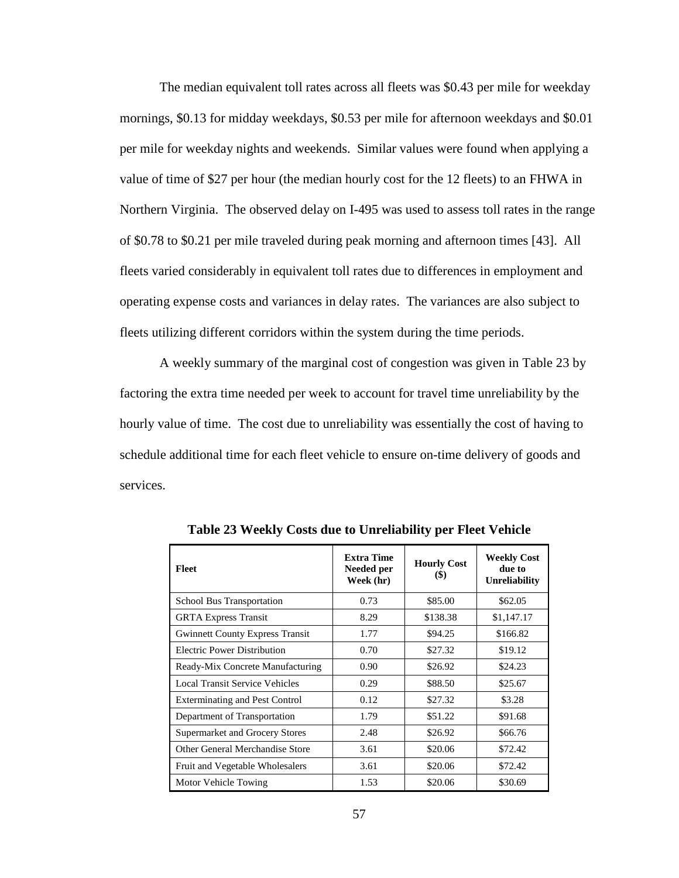The median equivalent toll rates across all fleets was \$0.43 per mile for weekday mornings, \$0.13 for midday weekdays, \$0.53 per mile for afternoon weekdays and \$0.01 per mile for weekday nights and weekends. Similar values were found when applying a value of time of \$27 per hour (the median hourly cost for the 12 fleets) to an FHWA in Northern Virginia. The observed delay on I-495 was used to assess toll rates in the range of \$0.78 to \$0.21 per mile traveled during peak morning and afternoon times [43]. All fleets varied considerably in equivalent toll rates due to differences in employment and operating expense costs and variances in delay rates. The variances are also subject to fleets utilizing different corridors within the system during the time periods.

A weekly summary of the marginal cost of congestion was given in Table 23 by factoring the extra time needed per week to account for travel time unreliability by the hourly value of time. The cost due to unreliability was essentially the cost of having to schedule additional time for each fleet vehicle to ensure on-time delivery of goods and services.

| <b>Fleet</b>                           | <b>Extra Time</b><br>Needed per<br>Week (hr) | <b>Hourly Cost</b><br>$\left( \mathbb{S}\right)$ | <b>Weekly Cost</b><br>due to<br><b>Unreliability</b> |
|----------------------------------------|----------------------------------------------|--------------------------------------------------|------------------------------------------------------|
| School Bus Transportation              | 0.73                                         | \$85.00                                          | \$62.05                                              |
| <b>GRTA Express Transit</b>            | 8.29                                         | \$138.38                                         | \$1,147.17                                           |
| <b>Gwinnett County Express Transit</b> | 1.77                                         | \$94.25                                          | \$166.82                                             |
| Electric Power Distribution            | 0.70                                         | \$27.32                                          | \$19.12                                              |
| Ready-Mix Concrete Manufacturing       | 0.90                                         | \$26.92                                          | \$24.23                                              |
| Local Transit Service Vehicles         | 0.29                                         | \$88.50                                          | \$25.67                                              |
| <b>Exterminating and Pest Control</b>  | 0.12                                         | \$27.32                                          | \$3.28                                               |
| Department of Transportation           | 1.79                                         | \$51.22                                          | \$91.68                                              |
| Supermarket and Grocery Stores         | 2.48                                         | \$26.92                                          | \$66.76                                              |
| Other General Merchandise Store        | 3.61                                         | \$20.06                                          | \$72.42                                              |
| Fruit and Vegetable Wholesalers        | 3.61                                         | \$20.06                                          | \$72.42                                              |
| Motor Vehicle Towing                   | 1.53                                         | \$20.06                                          | \$30.69                                              |

**Table 23 Weekly Costs due to Unreliability per Fleet Vehicle**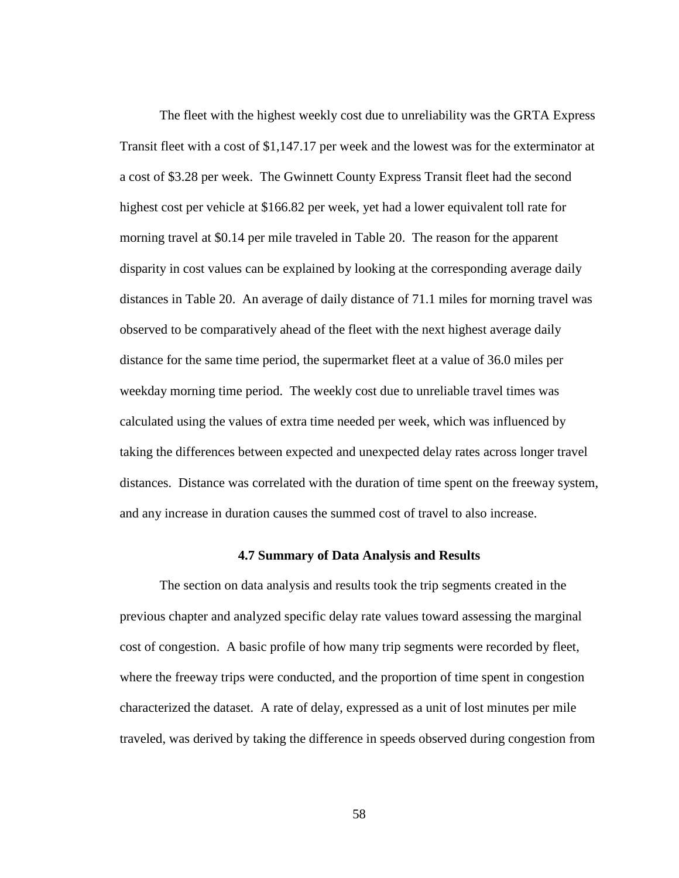The fleet with the highest weekly cost due to unreliability was the GRTA Express Transit fleet with a cost of \$1,147.17 per week and the lowest was for the exterminator at a cost of \$3.28 per week. The Gwinnett County Express Transit fleet had the second highest cost per vehicle at \$166.82 per week, yet had a lower equivalent toll rate for morning travel at \$0.14 per mile traveled in Table 20. The reason for the apparent disparity in cost values can be explained by looking at the corresponding average daily distances in Table 20. An average of daily distance of 71.1 miles for morning travel was observed to be comparatively ahead of the fleet with the next highest average daily distance for the same time period, the supermarket fleet at a value of 36.0 miles per weekday morning time period. The weekly cost due to unreliable travel times was calculated using the values of extra time needed per week, which was influenced by taking the differences between expected and unexpected delay rates across longer travel distances. Distance was correlated with the duration of time spent on the freeway system, and any increase in duration causes the summed cost of travel to also increase.

### **4.7 Summary of Data Analysis and Results**

 The section on data analysis and results took the trip segments created in the previous chapter and analyzed specific delay rate values toward assessing the marginal cost of congestion. A basic profile of how many trip segments were recorded by fleet, where the freeway trips were conducted, and the proportion of time spent in congestion characterized the dataset. A rate of delay, expressed as a unit of lost minutes per mile traveled, was derived by taking the difference in speeds observed during congestion from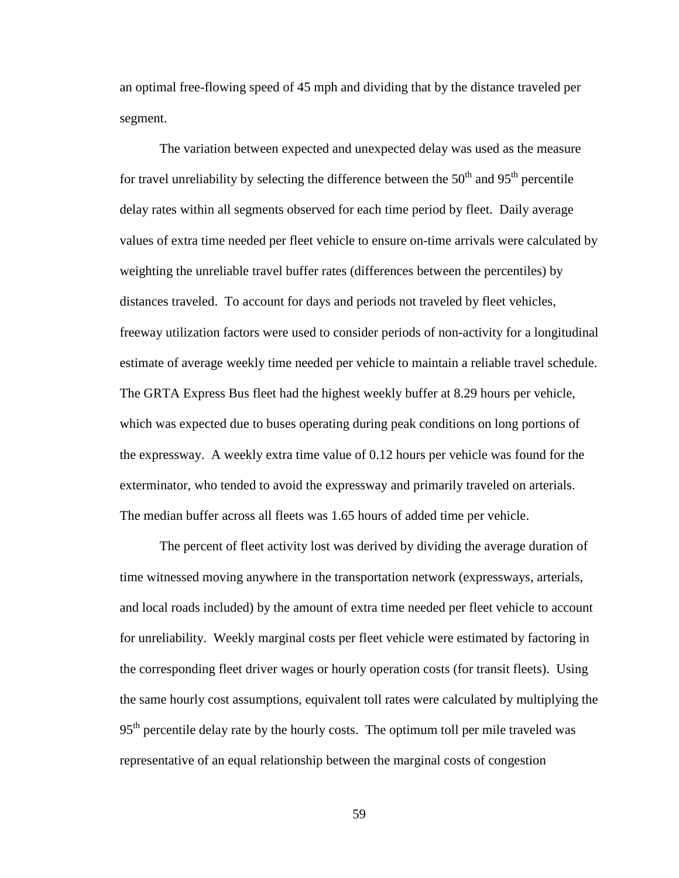an optimal free-flowing speed of 45 mph and dividing that by the distance traveled per segment.

 The variation between expected and unexpected delay was used as the measure for travel unreliability by selecting the difference between the  $50<sup>th</sup>$  and  $95<sup>th</sup>$  percentile delay rates within all segments observed for each time period by fleet. Daily average values of extra time needed per fleet vehicle to ensure on-time arrivals were calculated by weighting the unreliable travel buffer rates (differences between the percentiles) by distances traveled. To account for days and periods not traveled by fleet vehicles, freeway utilization factors were used to consider periods of non-activity for a longitudinal estimate of average weekly time needed per vehicle to maintain a reliable travel schedule. The GRTA Express Bus fleet had the highest weekly buffer at 8.29 hours per vehicle, which was expected due to buses operating during peak conditions on long portions of the expressway. A weekly extra time value of 0.12 hours per vehicle was found for the exterminator, who tended to avoid the expressway and primarily traveled on arterials. The median buffer across all fleets was 1.65 hours of added time per vehicle.

 The percent of fleet activity lost was derived by dividing the average duration of time witnessed moving anywhere in the transportation network (expressways, arterials, and local roads included) by the amount of extra time needed per fleet vehicle to account for unreliability. Weekly marginal costs per fleet vehicle were estimated by factoring in the corresponding fleet driver wages or hourly operation costs (for transit fleets). Using the same hourly cost assumptions, equivalent toll rates were calculated by multiplying the 95<sup>th</sup> percentile delay rate by the hourly costs. The optimum toll per mile traveled was representative of an equal relationship between the marginal costs of congestion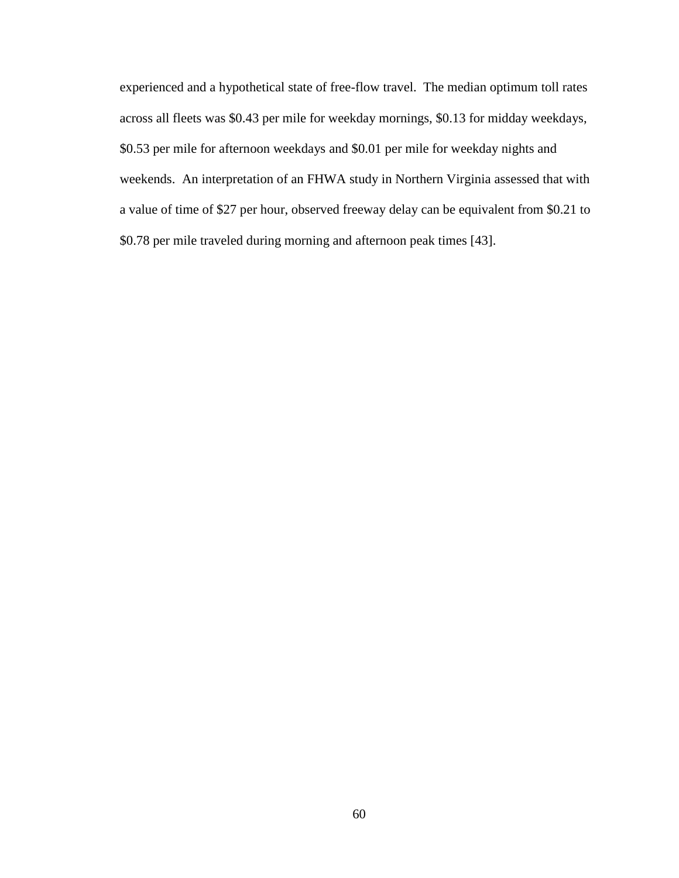experienced and a hypothetical state of free-flow travel. The median optimum toll rates across all fleets was \$0.43 per mile for weekday mornings, \$0.13 for midday weekdays, \$0.53 per mile for afternoon weekdays and \$0.01 per mile for weekday nights and weekends. An interpretation of an FHWA study in Northern Virginia assessed that with a value of time of \$27 per hour, observed freeway delay can be equivalent from \$0.21 to \$0.78 per mile traveled during morning and afternoon peak times [43].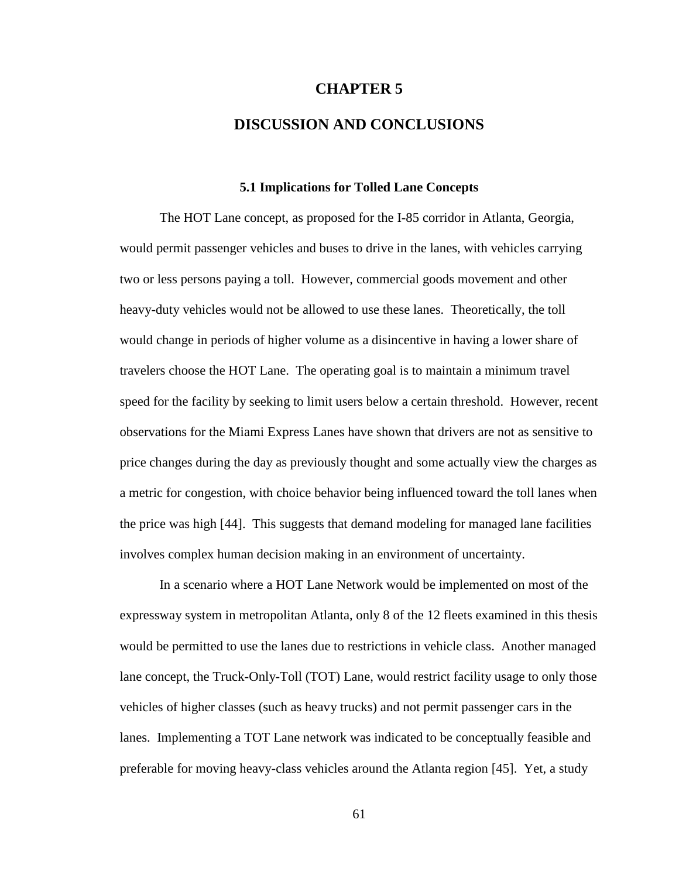#### **CHAPTER 5**

## **DISCUSSION AND CONCLUSIONS**

#### **5.1 Implications for Tolled Lane Concepts**

The HOT Lane concept, as proposed for the I-85 corridor in Atlanta, Georgia, would permit passenger vehicles and buses to drive in the lanes, with vehicles carrying two or less persons paying a toll. However, commercial goods movement and other heavy-duty vehicles would not be allowed to use these lanes. Theoretically, the toll would change in periods of higher volume as a disincentive in having a lower share of travelers choose the HOT Lane. The operating goal is to maintain a minimum travel speed for the facility by seeking to limit users below a certain threshold. However, recent observations for the Miami Express Lanes have shown that drivers are not as sensitive to price changes during the day as previously thought and some actually view the charges as a metric for congestion, with choice behavior being influenced toward the toll lanes when the price was high [44]. This suggests that demand modeling for managed lane facilities involves complex human decision making in an environment of uncertainty.

In a scenario where a HOT Lane Network would be implemented on most of the expressway system in metropolitan Atlanta, only 8 of the 12 fleets examined in this thesis would be permitted to use the lanes due to restrictions in vehicle class. Another managed lane concept, the Truck-Only-Toll (TOT) Lane, would restrict facility usage to only those vehicles of higher classes (such as heavy trucks) and not permit passenger cars in the lanes. Implementing a TOT Lane network was indicated to be conceptually feasible and preferable for moving heavy-class vehicles around the Atlanta region [45]. Yet, a study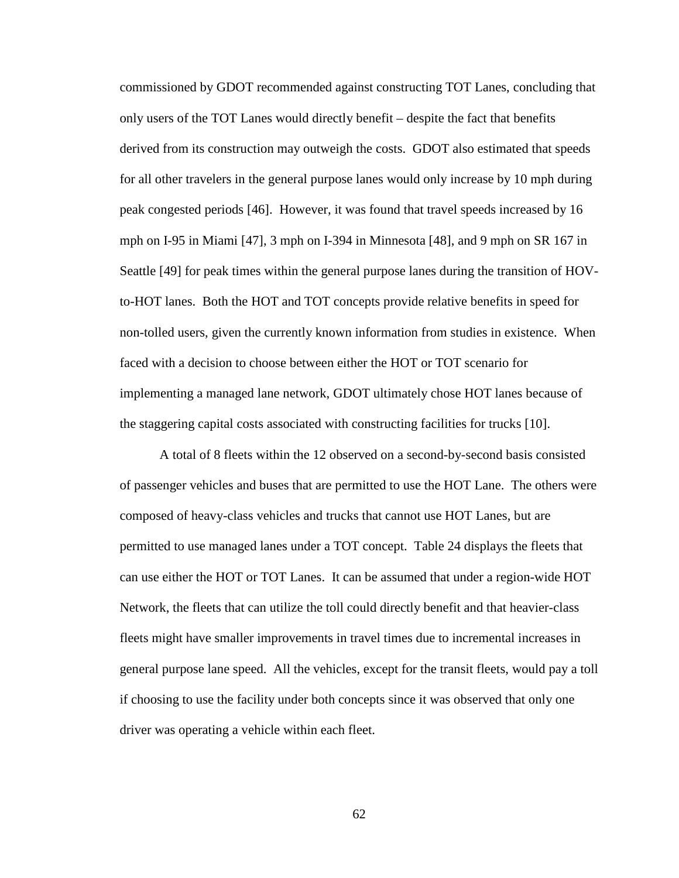commissioned by GDOT recommended against constructing TOT Lanes, concluding that only users of the TOT Lanes would directly benefit – despite the fact that benefits derived from its construction may outweigh the costs. GDOT also estimated that speeds for all other travelers in the general purpose lanes would only increase by 10 mph during peak congested periods [46]. However, it was found that travel speeds increased by 16 mph on I-95 in Miami [47], 3 mph on I-394 in Minnesota [48], and 9 mph on SR 167 in Seattle [49] for peak times within the general purpose lanes during the transition of HOVto-HOT lanes. Both the HOT and TOT concepts provide relative benefits in speed for non-tolled users, given the currently known information from studies in existence. When faced with a decision to choose between either the HOT or TOT scenario for implementing a managed lane network, GDOT ultimately chose HOT lanes because of the staggering capital costs associated with constructing facilities for trucks [10].

A total of 8 fleets within the 12 observed on a second-by-second basis consisted of passenger vehicles and buses that are permitted to use the HOT Lane. The others were composed of heavy-class vehicles and trucks that cannot use HOT Lanes, but are permitted to use managed lanes under a TOT concept. Table 24 displays the fleets that can use either the HOT or TOT Lanes. It can be assumed that under a region-wide HOT Network, the fleets that can utilize the toll could directly benefit and that heavier-class fleets might have smaller improvements in travel times due to incremental increases in general purpose lane speed. All the vehicles, except for the transit fleets, would pay a toll if choosing to use the facility under both concepts since it was observed that only one driver was operating a vehicle within each fleet.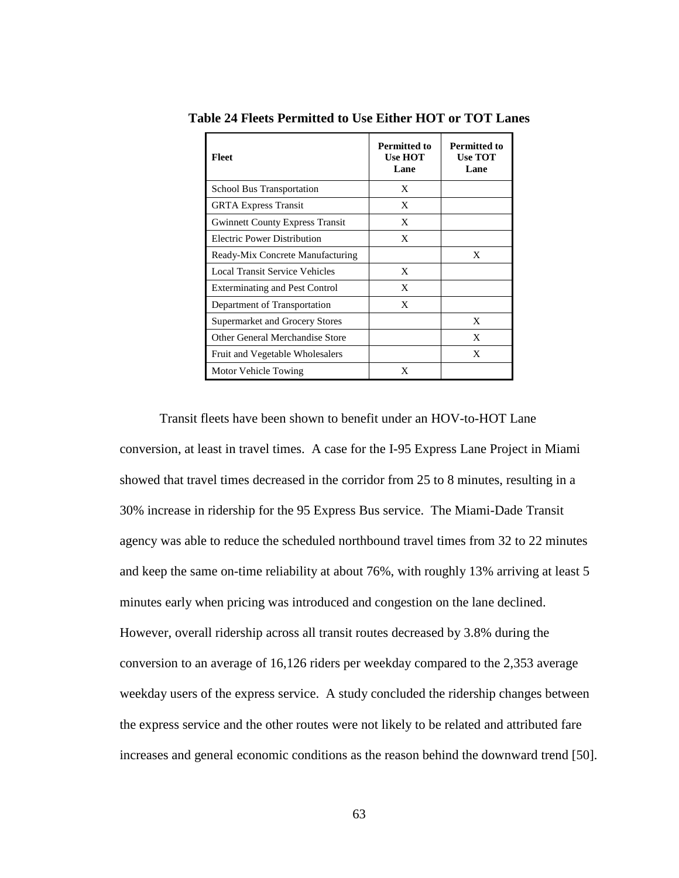| <b>Fleet</b>                           | <b>Permitted to</b><br><b>Use HOT</b><br>Lane | <b>Permitted to</b><br><b>Use TOT</b><br>Lane |
|----------------------------------------|-----------------------------------------------|-----------------------------------------------|
| School Bus Transportation              | X                                             |                                               |
| <b>GRTA Express Transit</b>            | X                                             |                                               |
| <b>Gwinnett County Express Transit</b> | X                                             |                                               |
| Electric Power Distribution            | X                                             |                                               |
| Ready-Mix Concrete Manufacturing       |                                               | X                                             |
| Local Transit Service Vehicles         | X                                             |                                               |
| <b>Exterminating and Pest Control</b>  | X                                             |                                               |
| Department of Transportation           | X                                             |                                               |
| Supermarket and Grocery Stores         |                                               | X                                             |
| Other General Merchandise Store        |                                               | X                                             |
| Fruit and Vegetable Wholesalers        |                                               | X                                             |
| Motor Vehicle Towing                   | X                                             |                                               |

**Table 24 Fleets Permitted to Use Either HOT or TOT Lanes** 

Transit fleets have been shown to benefit under an HOV-to-HOT Lane conversion, at least in travel times. A case for the I-95 Express Lane Project in Miami showed that travel times decreased in the corridor from 25 to 8 minutes, resulting in a 30% increase in ridership for the 95 Express Bus service. The Miami-Dade Transit agency was able to reduce the scheduled northbound travel times from 32 to 22 minutes and keep the same on-time reliability at about 76%, with roughly 13% arriving at least 5 minutes early when pricing was introduced and congestion on the lane declined. However, overall ridership across all transit routes decreased by 3.8% during the conversion to an average of 16,126 riders per weekday compared to the 2,353 average weekday users of the express service. A study concluded the ridership changes between the express service and the other routes were not likely to be related and attributed fare increases and general economic conditions as the reason behind the downward trend [50].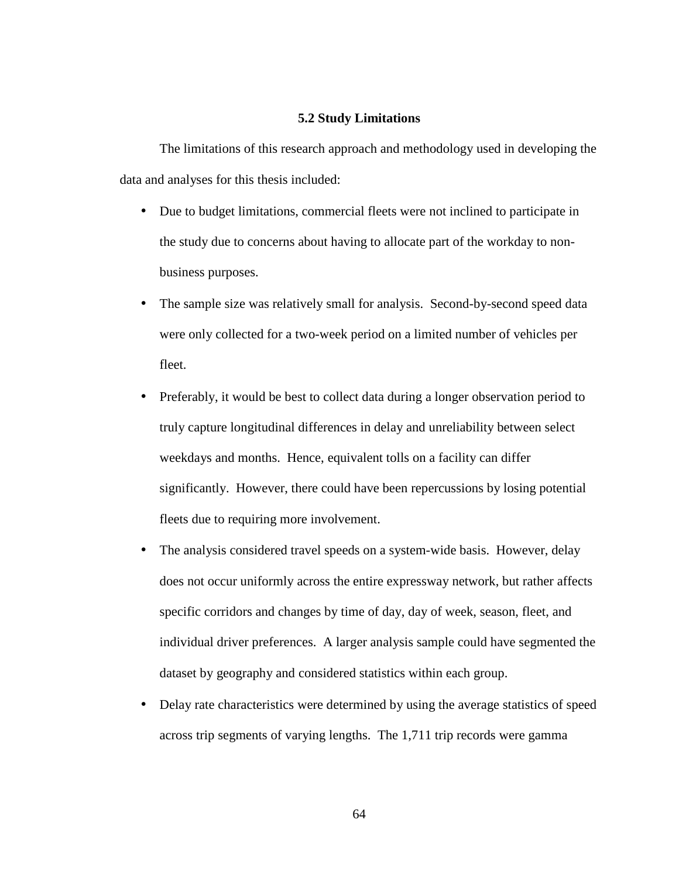#### **5.2 Study Limitations**

 The limitations of this research approach and methodology used in developing the data and analyses for this thesis included:

- Due to budget limitations, commercial fleets were not inclined to participate in the study due to concerns about having to allocate part of the workday to nonbusiness purposes.
- The sample size was relatively small for analysis. Second-by-second speed data were only collected for a two-week period on a limited number of vehicles per fleet.
- Preferably, it would be best to collect data during a longer observation period to truly capture longitudinal differences in delay and unreliability between select weekdays and months. Hence, equivalent tolls on a facility can differ significantly. However, there could have been repercussions by losing potential fleets due to requiring more involvement.
- The analysis considered travel speeds on a system-wide basis. However, delay does not occur uniformly across the entire expressway network, but rather affects specific corridors and changes by time of day, day of week, season, fleet, and individual driver preferences. A larger analysis sample could have segmented the dataset by geography and considered statistics within each group.
- Delay rate characteristics were determined by using the average statistics of speed across trip segments of varying lengths. The 1,711 trip records were gamma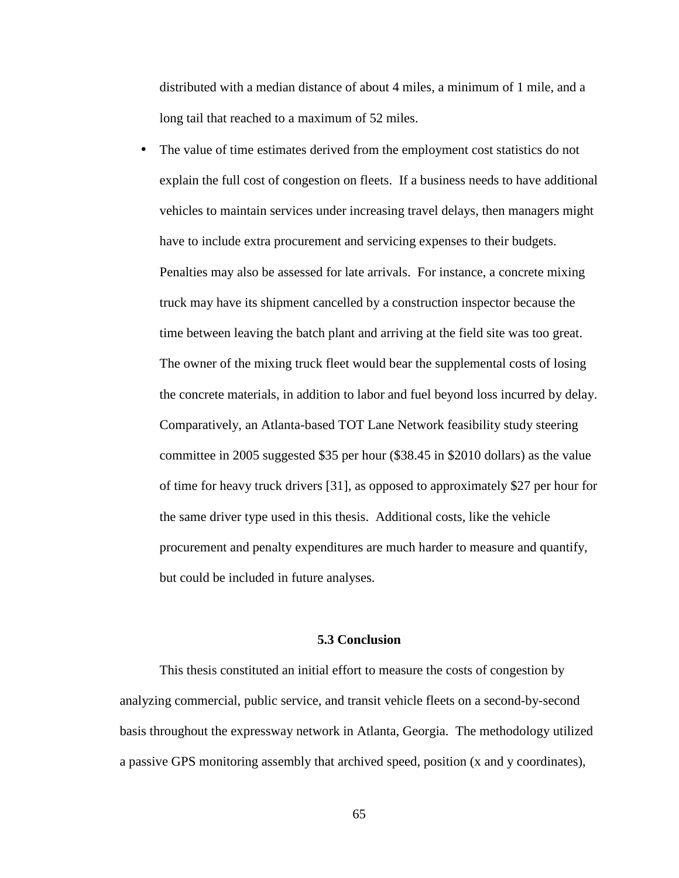distributed with a median distance of about 4 miles, a minimum of 1 mile, and a long tail that reached to a maximum of 52 miles.

• The value of time estimates derived from the employment cost statistics do not explain the full cost of congestion on fleets. If a business needs to have additional vehicles to maintain services under increasing travel delays, then managers might have to include extra procurement and servicing expenses to their budgets. Penalties may also be assessed for late arrivals. For instance, a concrete mixing truck may have its shipment cancelled by a construction inspector because the time between leaving the batch plant and arriving at the field site was too great. The owner of the mixing truck fleet would bear the supplemental costs of losing the concrete materials, in addition to labor and fuel beyond loss incurred by delay. Comparatively, an Atlanta-based TOT Lane Network feasibility study steering committee in 2005 suggested \$35 per hour (\$38.45 in \$2010 dollars) as the value of time for heavy truck drivers [31], as opposed to approximately \$27 per hour for the same driver type used in this thesis. Additional costs, like the vehicle procurement and penalty expenditures are much harder to measure and quantify, but could be included in future analyses.

### **5.3 Conclusion**

This thesis constituted an initial effort to measure the costs of congestion by analyzing commercial, public service, and transit vehicle fleets on a second-by-second basis throughout the expressway network in Atlanta, Georgia. The methodology utilized a passive GPS monitoring assembly that archived speed, position (x and y coordinates),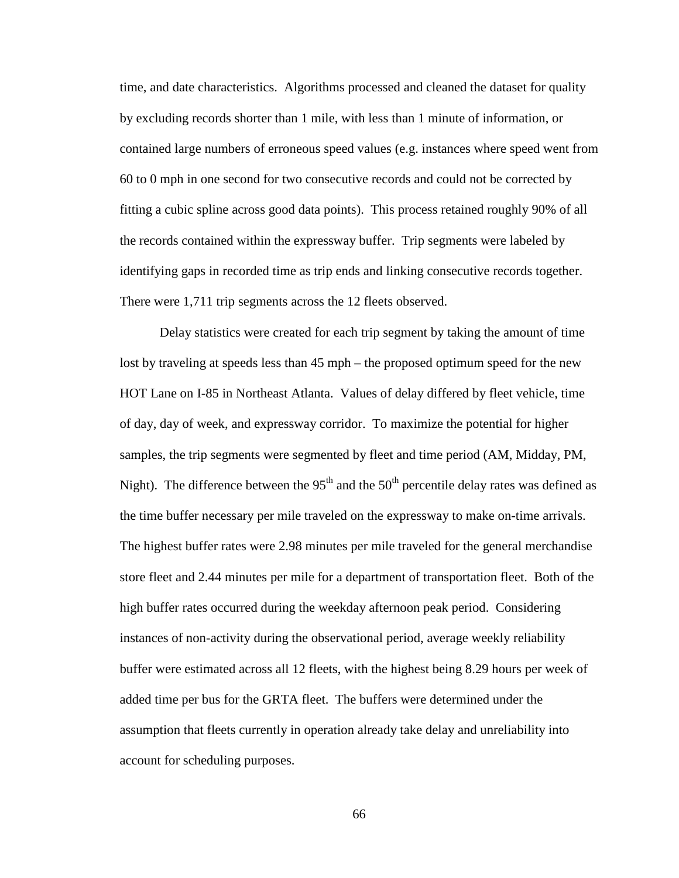time, and date characteristics. Algorithms processed and cleaned the dataset for quality by excluding records shorter than 1 mile, with less than 1 minute of information, or contained large numbers of erroneous speed values (e.g. instances where speed went from 60 to 0 mph in one second for two consecutive records and could not be corrected by fitting a cubic spline across good data points). This process retained roughly 90% of all the records contained within the expressway buffer. Trip segments were labeled by identifying gaps in recorded time as trip ends and linking consecutive records together. There were 1,711 trip segments across the 12 fleets observed.

Delay statistics were created for each trip segment by taking the amount of time lost by traveling at speeds less than 45 mph – the proposed optimum speed for the new HOT Lane on I-85 in Northeast Atlanta. Values of delay differed by fleet vehicle, time of day, day of week, and expressway corridor. To maximize the potential for higher samples, the trip segments were segmented by fleet and time period (AM, Midday, PM, Night). The difference between the  $95<sup>th</sup>$  and the  $50<sup>th</sup>$  percentile delay rates was defined as the time buffer necessary per mile traveled on the expressway to make on-time arrivals. The highest buffer rates were 2.98 minutes per mile traveled for the general merchandise store fleet and 2.44 minutes per mile for a department of transportation fleet. Both of the high buffer rates occurred during the weekday afternoon peak period. Considering instances of non-activity during the observational period, average weekly reliability buffer were estimated across all 12 fleets, with the highest being 8.29 hours per week of added time per bus for the GRTA fleet. The buffers were determined under the assumption that fleets currently in operation already take delay and unreliability into account for scheduling purposes.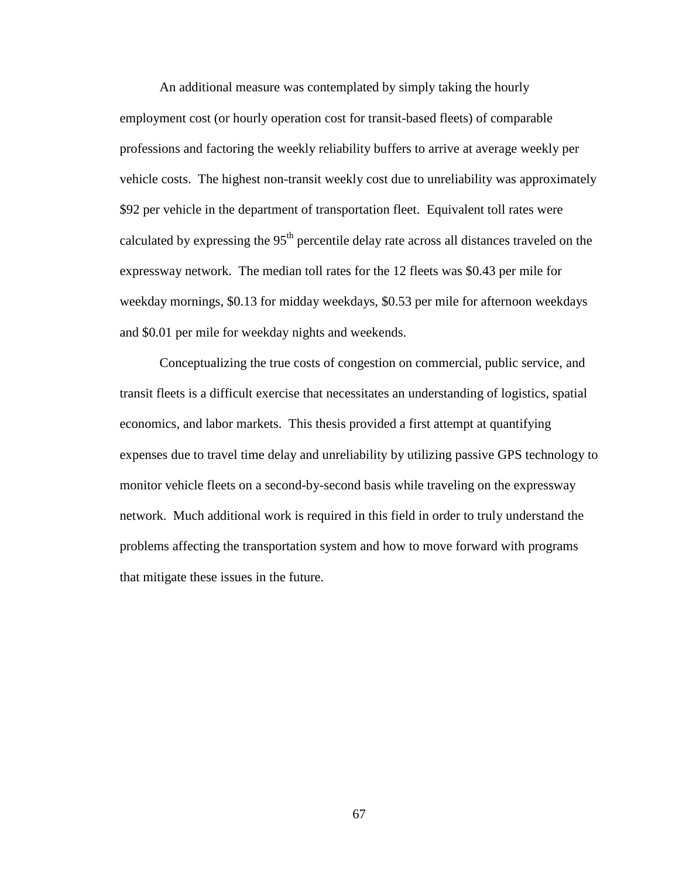An additional measure was contemplated by simply taking the hourly employment cost (or hourly operation cost for transit-based fleets) of comparable professions and factoring the weekly reliability buffers to arrive at average weekly per vehicle costs. The highest non-transit weekly cost due to unreliability was approximately \$92 per vehicle in the department of transportation fleet. Equivalent toll rates were calculated by expressing the  $95<sup>th</sup>$  percentile delay rate across all distances traveled on the expressway network. The median toll rates for the 12 fleets was \$0.43 per mile for weekday mornings, \$0.13 for midday weekdays, \$0.53 per mile for afternoon weekdays and \$0.01 per mile for weekday nights and weekends.

Conceptualizing the true costs of congestion on commercial, public service, and transit fleets is a difficult exercise that necessitates an understanding of logistics, spatial economics, and labor markets. This thesis provided a first attempt at quantifying expenses due to travel time delay and unreliability by utilizing passive GPS technology to monitor vehicle fleets on a second-by-second basis while traveling on the expressway network. Much additional work is required in this field in order to truly understand the problems affecting the transportation system and how to move forward with programs that mitigate these issues in the future.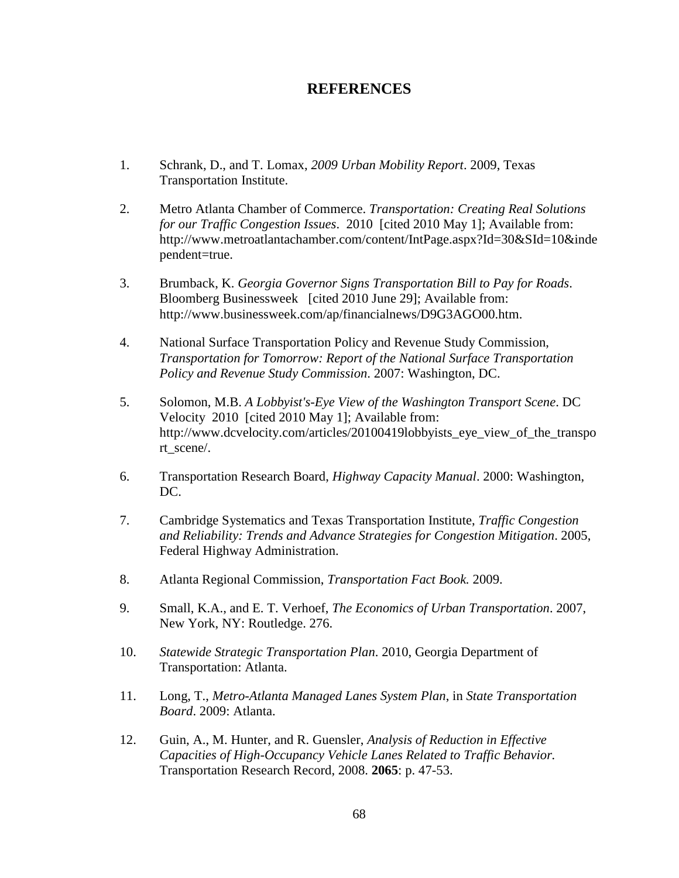# **REFERENCES**

- 1. Schrank, D., and T. Lomax, *2009 Urban Mobility Report*. 2009, Texas Transportation Institute.
- 2. Metro Atlanta Chamber of Commerce. *Transportation: Creating Real Solutions for our Traffic Congestion Issues*. 2010 [cited 2010 May 1]; Available from: http://www.metroatlantachamber.com/content/IntPage.aspx?Id=30&SId=10&inde pendent=true.
- 3. Brumback, K. *Georgia Governor Signs Transportation Bill to Pay for Roads*. Bloomberg Businessweek [cited 2010 June 29]; Available from: http://www.businessweek.com/ap/financialnews/D9G3AGO00.htm.
- 4. National Surface Transportation Policy and Revenue Study Commission, *Transportation for Tomorrow: Report of the National Surface Transportation Policy and Revenue Study Commission*. 2007: Washington, DC.
- 5. Solomon, M.B. *A Lobbyist's-Eye View of the Washington Transport Scene*. DC Velocity 2010 [cited 2010 May 1]; Available from: http://www.dcvelocity.com/articles/20100419lobbyists\_eye\_view\_of\_the\_transpo rt\_scene/.
- 6. Transportation Research Board, *Highway Capacity Manual*. 2000: Washington, DC.
- 7. Cambridge Systematics and Texas Transportation Institute, *Traffic Congestion and Reliability: Trends and Advance Strategies for Congestion Mitigation*. 2005, Federal Highway Administration.
- 8. Atlanta Regional Commission, *Transportation Fact Book.* 2009.
- 9. Small, K.A., and E. T. Verhoef, *The Economics of Urban Transportation*. 2007, New York, NY: Routledge. 276.
- 10. *Statewide Strategic Transportation Plan*. 2010, Georgia Department of Transportation: Atlanta.
- 11. Long, T., *Metro-Atlanta Managed Lanes System Plan*, in *State Transportation Board*. 2009: Atlanta.
- 12. Guin, A., M. Hunter, and R. Guensler, *Analysis of Reduction in Effective Capacities of High-Occupancy Vehicle Lanes Related to Traffic Behavior.* Transportation Research Record, 2008. **2065**: p. 47-53.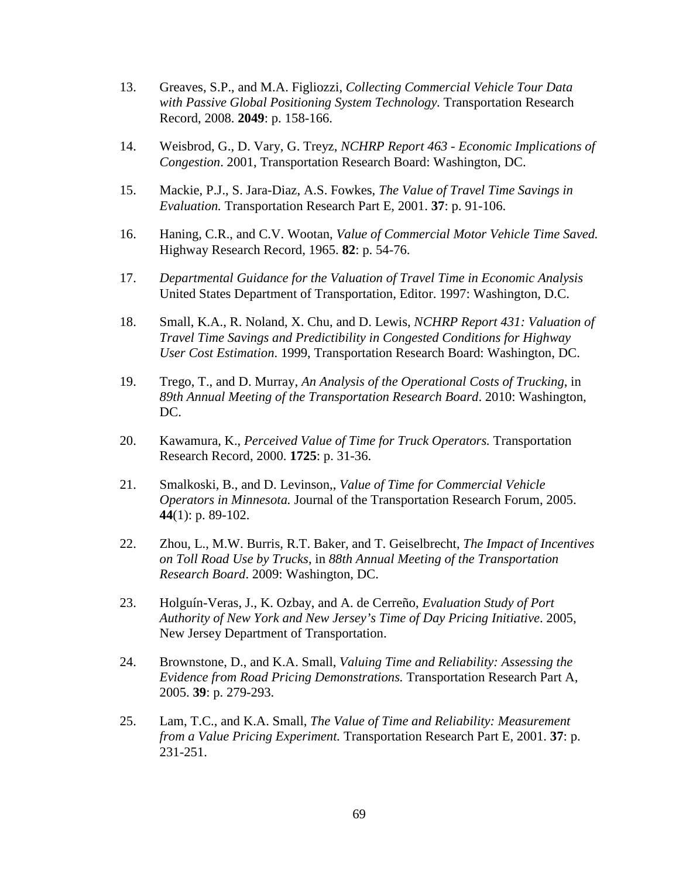- 13. Greaves, S.P., and M.A. Figliozzi, *Collecting Commercial Vehicle Tour Data with Passive Global Positioning System Technology.* Transportation Research Record, 2008. **2049**: p. 158-166.
- 14. Weisbrod, G., D. Vary, G. Treyz, *NCHRP Report 463 Economic Implications of Congestion*. 2001, Transportation Research Board: Washington, DC.
- 15. Mackie, P.J., S. Jara-Diaz, A.S. Fowkes, *The Value of Travel Time Savings in Evaluation.* Transportation Research Part E, 2001. **37**: p. 91-106.
- 16. Haning, C.R., and C.V. Wootan, *Value of Commercial Motor Vehicle Time Saved.* Highway Research Record, 1965. **82**: p. 54-76.
- 17. *Departmental Guidance for the Valuation of Travel Time in Economic Analysis*  United States Department of Transportation, Editor. 1997: Washington, D.C.
- 18. Small, K.A., R. Noland, X. Chu, and D. Lewis, *NCHRP Report 431: Valuation of Travel Time Savings and Predictibility in Congested Conditions for Highway User Cost Estimation*. 1999, Transportation Research Board: Washington, DC.
- 19. Trego, T., and D. Murray, *An Analysis of the Operational Costs of Trucking*, in *89th Annual Meeting of the Transportation Research Board*. 2010: Washington, DC.
- 20. Kawamura, K., *Perceived Value of Time for Truck Operators.* Transportation Research Record, 2000. **1725**: p. 31-36.
- 21. Smalkoski, B., and D. Levinson,, *Value of Time for Commercial Vehicle Operators in Minnesota.* Journal of the Transportation Research Forum, 2005. **44**(1): p. 89-102.
- 22. Zhou, L., M.W. Burris, R.T. Baker, and T. Geiselbrecht, *The Impact of Incentives on Toll Road Use by Trucks*, in *88th Annual Meeting of the Transportation Research Board*. 2009: Washington, DC.
- 23. Holguín-Veras, J., K. Ozbay, and A. de Cerreño, *Evaluation Study of Port Authority of New York and New Jersey's Time of Day Pricing Initiative*. 2005, New Jersey Department of Transportation.
- 24. Brownstone, D., and K.A. Small, *Valuing Time and Reliability: Assessing the Evidence from Road Pricing Demonstrations.* Transportation Research Part A, 2005. **39**: p. 279-293.
- 25. Lam, T.C., and K.A. Small, *The Value of Time and Reliability: Measurement from a Value Pricing Experiment.* Transportation Research Part E, 2001. **37**: p. 231-251.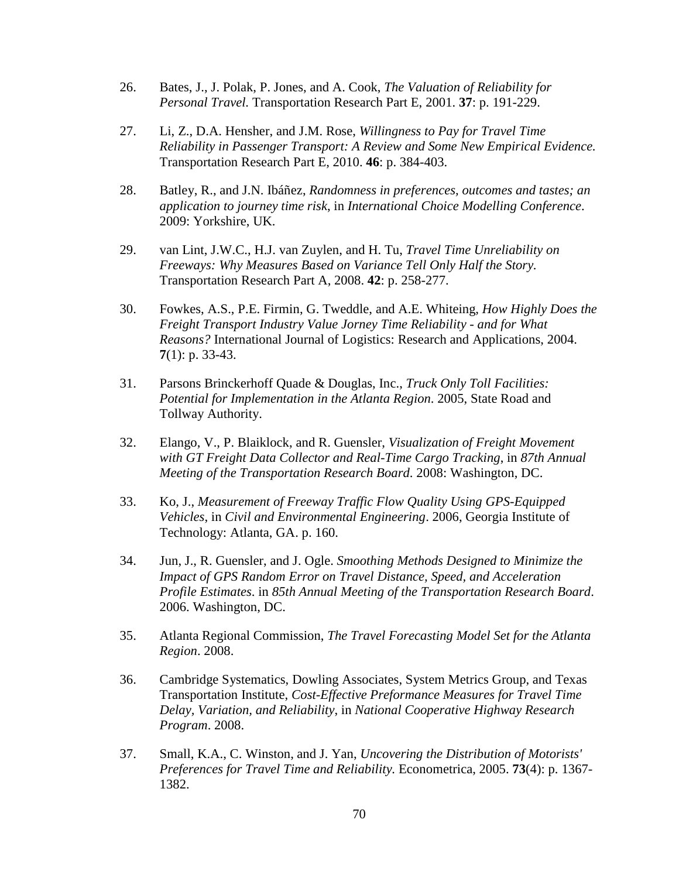- 26. Bates, J., J. Polak, P. Jones, and A. Cook, *The Valuation of Reliability for Personal Travel.* Transportation Research Part E, 2001. **37**: p. 191-229.
- 27. Li, Z., D.A. Hensher, and J.M. Rose, *Willingness to Pay for Travel Time Reliability in Passenger Transport: A Review and Some New Empirical Evidence.* Transportation Research Part E, 2010. **46**: p. 384-403.
- 28. Batley, R., and J.N. Ibáñez, *Randomness in preferences, outcomes and tastes; an application to journey time risk*, in *International Choice Modelling Conference*. 2009: Yorkshire, UK.
- 29. van Lint, J.W.C., H.J. van Zuylen, and H. Tu, *Travel Time Unreliability on Freeways: Why Measures Based on Variance Tell Only Half the Story.* Transportation Research Part A, 2008. **42**: p. 258-277.
- 30. Fowkes, A.S., P.E. Firmin, G. Tweddle, and A.E. Whiteing, *How Highly Does the Freight Transport Industry Value Jorney Time Reliability - and for What Reasons?* International Journal of Logistics: Research and Applications, 2004. **7**(1): p. 33-43.
- 31. Parsons Brinckerhoff Quade & Douglas, Inc., *Truck Only Toll Facilities: Potential for Implementation in the Atlanta Region*. 2005, State Road and Tollway Authority.
- 32. Elango, V., P. Blaiklock, and R. Guensler, *Visualization of Freight Movement with GT Freight Data Collector and Real-Time Cargo Tracking*, in *87th Annual Meeting of the Transportation Research Board*. 2008: Washington, DC.
- 33. Ko, J., *Measurement of Freeway Traffic Flow Quality Using GPS-Equipped Vehicles*, in *Civil and Environmental Engineering*. 2006, Georgia Institute of Technology: Atlanta, GA. p. 160.
- 34. Jun, J., R. Guensler, and J. Ogle. *Smoothing Methods Designed to Minimize the Impact of GPS Random Error on Travel Distance, Speed, and Acceleration Profile Estimates*. in *85th Annual Meeting of the Transportation Research Board*. 2006. Washington, DC.
- 35. Atlanta Regional Commission, *The Travel Forecasting Model Set for the Atlanta Region*. 2008.
- 36. Cambridge Systematics, Dowling Associates, System Metrics Group, and Texas Transportation Institute, *Cost-Effective Preformance Measures for Travel Time Delay, Variation, and Reliability*, in *National Cooperative Highway Research Program*. 2008.
- 37. Small, K.A., C. Winston, and J. Yan, *Uncovering the Distribution of Motorists' Preferences for Travel Time and Reliability.* Econometrica, 2005. **73**(4): p. 1367- 1382.